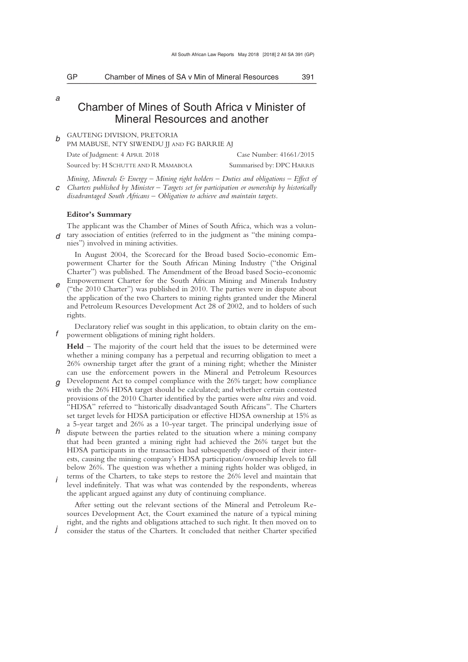*a* 

# Chamber of Mines of South Africa v Minister of Mineral Resources and another

\_\_\_\_\_\_\_\_\_\_\_\_\_\_\_\_\_\_\_\_\_\_\_\_\_\_\_\_\_\_\_\_\_\_\_\_\_\_\_\_\_\_\_\_\_\_\_\_\_\_\_\_\_\_\_\_\_\_\_\_\_\_\_\_\_\_\_\_\_\_\_\_\_\_\_\_\_\_\_\_\_\_\_\_\_\_\_\_\_\_\_\_\_\_\_\_\_\_\_\_\_\_\_\_\_\_\_\_\_\_\_\_\_\_\_\_\_\_\_\_\_\_\_\_\_\_\_\_\_\_\_\_\_\_\_\_\_\_\_\_\_\_\_

*b*  GAUTENG DIVISION, PRETORIA

PM MABUSE, NTY SIWENDU JJ AND FG BARRIE AJ

Date of Judgment: 4 APRIL 2018 Case Number: 41661/2015 Sourced by: H SCHUTTE AND R MAMABOLA Summarised by: DPC HARRIS

*c Mining, Minerals & Energy – Mining right holders – Duties and obligations – Effect of Charters published by Minister – Targets set for participation or ownership by historically disadvantaged South Africans – Obligation to achieve and maintain targets.* 

### **Editor's Summary**

*d*  tary association of entities (referred to in the judgment as "the mining compa-The applicant was the Chamber of Mines of South Africa, which was a volunnies") involved in mining activities.

In August 2004, the Scorecard for the Broad based Socio-economic Empowerment Charter for the South African Mining Industry ("the Original Charter") was published. The Amendment of the Broad based Socio-economic Empowerment Charter for the South African Mining and Minerals Industry

*e*  ("the 2010 Charter") was published in 2010. The parties were in dispute about the application of the two Charters to mining rights granted under the Mineral and Petroleum Resources Development Act 28 of 2002, and to holders of such rights.

*f*  Declaratory relief was sought in this application, to obtain clarity on the empowerment obligations of mining right holders.

**Held** – The majority of the court held that the issues to be determined were whether a mining company has a perpetual and recurring obligation to meet a 26% ownership target after the grant of a mining right; whether the Minister can use the enforcement powers in the Mineral and Petroleum Resources

- *g*  Development Act to compel compliance with the 26% target; how compliance with the 26% HDSA target should be calculated; and whether certain contested provisions of the 2010 Charter identified by the parties were *ultra vires* and void. "HDSA" referred to "historically disadvantaged South Africans". The Charters set target levels for HDSA participation or effective HDSA ownership at 15% as a 5-year target and 26% as a 10-year target. The principal underlying issue of
- *h*  dispute between the parties related to the situation where a mining company that had been granted a mining right had achieved the 26% target but the HDSA participants in the transaction had subsequently disposed of their interests, causing the mining company's HDSA participation/ownership levels to fall below 26%. The question was whether a mining rights holder was obliged, in
- *i*  terms of the Charters, to take steps to restore the 26% level and maintain that level indefinitely. That was what was contended by the respondents, whereas the applicant argued against any duty of continuing compliance.

After setting out the relevant sections of the Mineral and Petroleum Resources Development Act, the Court examined the nature of a typical mining right, and the rights and obligations attached to such right. It then moved on to

*j*  consider the status of the Charters. It concluded that neither Charter specified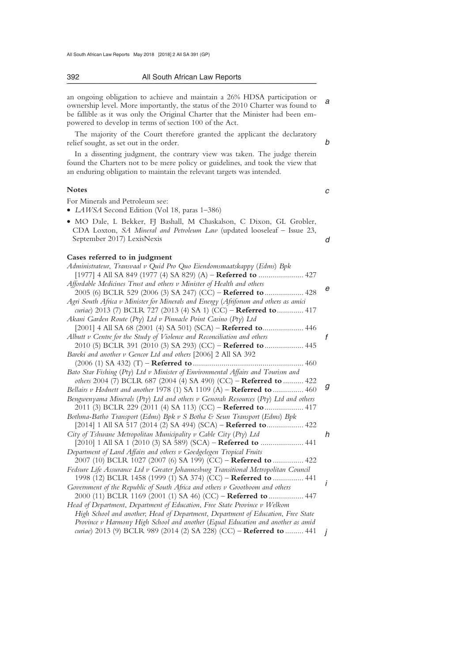#### 392 All South African Law Reports \_\_\_\_\_\_\_\_\_\_\_\_\_\_\_\_\_\_\_\_\_\_\_\_\_\_\_\_\_\_\_\_\_\_\_\_\_\_\_\_\_\_\_\_\_\_\_\_\_\_\_\_\_\_\_\_\_\_\_\_\_\_\_\_\_\_\_\_\_\_\_\_\_\_\_\_\_\_\_\_\_\_\_\_\_\_\_\_\_\_\_\_\_\_\_\_\_\_\_\_\_\_\_\_\_\_\_\_\_\_\_\_\_\_\_\_\_\_\_\_\_\_\_\_\_\_\_\_\_\_\_\_\_\_\_\_\_\_\_\_\_\_\_

*a*  an ongoing obligation to achieve and maintain a 26% HDSA participation or ownership level. More importantly, the status of the 2010 Charter was found to be fallible as it was only the Original Charter that the Minister had been empowered to develop in terms of section 100 of the Act.

The majority of the Court therefore granted the applicant the declaratory relief sought, as set out in the order.

*b* 

*c* 

In a dissenting judgment, the contrary view was taken. The judge therein found the Charters not to be mere policy or guidelines, and took the view that an enduring obligation to maintain the relevant targets was intended.

### **Notes**

For Minerals and Petroleum see:

• *LAWSA* Second Edition (Vol 18, paras 1–386)

| • MO Dale, L Bekker, FJ Bashall, M Chaskalson, C Dixon, GL Grobler,            |  |
|--------------------------------------------------------------------------------|--|
| CDA Loxton, <i>SA Mineral and Petroleum Law</i> (updated looseleaf – Issue 23, |  |
| September 2017) LexisNexis                                                     |  |

### **Cases referred to in judgment**

| Administrateur, Transvaal v Quid Pro Quo Eiendomsmaatskappy (Edms) Bpk                 |   |
|----------------------------------------------------------------------------------------|---|
| [1977] 4 All SA 849 (1977 (4) SA 829) (A) – Referred to  427                           |   |
| Affordable Medicines Trust and others v Minister of Health and others                  |   |
| 2005 (6) BCLR 529 (2006 (3) SA 247) (CC) - Referred to  428                            | e |
| Agri South Africa v Minister for Minerals and Energy (Afriforum and others as amici    |   |
| curiae) 2013 (7) BCLR 727 (2013 (4) SA 1) (CC) - Referred to  417                      |   |
| Akani Garden Route (Pty) Ltd v Pinnacle Point Casino (Pty) Ltd                         |   |
| [2001] 4 All SA 68 (2001 (4) SA 501) (SCA) – Referred to 446                           |   |
| Albutt v Centre for the Study of Violence and Reconciliation and others                | f |
| 2010 (5) BCLR 391 (2010 (3) SA 293) (CC) - Referred to  445                            |   |
| Bareki and another v Gencor Ltd and others [2006] 2 All SA 392                         |   |
|                                                                                        |   |
| Bato Star Fishing (Pty) Ltd v Minister of Environmental Affairs and Tourism and        |   |
| others 2004 (7) BCLR 687 (2004 (4) SA 490) (CC) - Referred to  422                     |   |
| Bellairs v Hodnett and another 1978 (1) SA 1109 (A) - Referred to  460                 | g |
| Bengwenyama Minerals (Pty) Ltd and others $\nu$ Genorah Resources (Pty) Ltd and others |   |
| 2011 (3) BCLR 229 (2011 (4) SA 113) (CC) - Referred to  417                            |   |
| Bothma-Batho Transport (Edms) Bpk v S Botha & Seun Transport (Edms) Bpk                |   |
| [2014] 1 All SA 517 (2014 (2) SA 494) (SCA) – Referred to 422                          |   |
| City of Tshwane Metropolitan Municipality v Cable City (Pty) Ltd                       | h |
| [2010] 1 All SA 1 (2010 (3) SA 589) (SCA) – Referred to  441                           |   |
| Department of Land Affairs and others v Goedgelegen Tropical Fruits                    |   |
| 2007 (10) BCLR 1027 (2007 (6) SA 199) (CC) - Referred to  422                          |   |
| Fedsure Life Assurance Ltd v Greater Johannesburg Transitional Metropolitan Council    |   |
| 1998 (12) BCLR 1458 (1999 (1) SA 374) (CC) - Referred to  441                          |   |
| Government of the Republic of South Africa and others v Grootboom and others           |   |
| 2000 (11) BCLR 1169 (2001 (1) SA 46) (CC) - Referred to  447                           |   |
| Head of Department, Department of Education, Free State Province v Welkom              |   |
| High School and another; Head of Department, Department of Education, Free State       |   |
| Province v Harmony High School and another (Equal Education and another as amid        |   |
| curiae) 2013 (9) BCLR 989 (2014 (2) SA 228) (CC) - Referred to  441                    |   |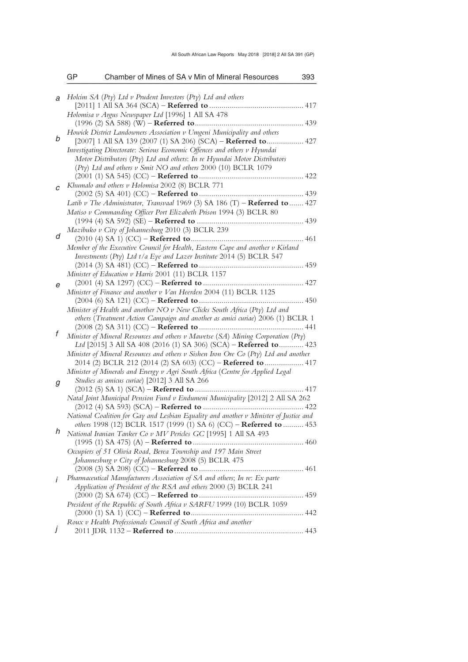|   | GP | Chamber of Mines of SA v Min of Mineral Resources                                       | 393 |
|---|----|-----------------------------------------------------------------------------------------|-----|
| a |    | Holcim SA (Pty) Ltd v Prudent Investors (Pty) Ltd and others                            |     |
|   |    |                                                                                         |     |
|   |    | Holomisa v Argus Newspaper Ltd [1996] 1 All SA 478                                      |     |
|   |    |                                                                                         |     |
|   |    | Howick District Landowners Association v Umgeni Municipality and others                 |     |
| b |    | [2007] 1 All SA 139 (2007 (1) SA 206) (SCA) – Referred to 427                           |     |
|   |    | Investigating Directorate: Serious Economic Offences and others v Hyundai               |     |
|   |    | Motor Distributors (Pty) Ltd and others: In re Hyundai Motor Distributors               |     |
|   |    | (Pty) Ltd and others v Smit NO and others 2000 (10) BCLR 1079                           |     |
|   |    |                                                                                         |     |
| C |    | Khumalo and others v Holomisa 2002 (8) BCLR 771                                         |     |
|   |    |                                                                                         |     |
|   |    | Latib v The Administrator, Transvaal 1969 (3) SA 186 (T) - Referred to  427             |     |
|   |    | Matiso v Commanding Officer Port Elizabeth Prison 1994 (3) BCLR 80                      |     |
|   |    |                                                                                         |     |
|   |    | Mazibuko v City of Johannesburg 2010 (3) BCLR 239                                       |     |
| d |    |                                                                                         |     |
|   |    | Member of the Executive Council for Health, Eastern Cape and another v Kirland          |     |
|   |    | Investments (Pty) Ltd t/a Eye and Lazer Institute 2014 (5) BCLR 547                     |     |
|   |    |                                                                                         |     |
|   |    | Minister of Education v Harris 2001 (11) BCLR 1157                                      |     |
| е |    |                                                                                         |     |
|   |    | Minister of Finance and another v Van Heerden 2004 (11) BCLR 1125                       |     |
|   |    |                                                                                         |     |
|   |    | Minister of Health and another NO v New Clicks South Africa (Pty) Ltd and               |     |
|   |    | others (Treatment Action Campaign and another as amici curiae) 2006 (1) BCLR 1          |     |
| f |    |                                                                                         |     |
|   |    | Minister of Mineral Resources and others v Mawetse (SA) Mining Corporation (Pty)        |     |
|   |    | Ltd [2015] 3 All SA 408 (2016 (1) SA 306) (SCA) - Referred to 423                       |     |
|   |    | Minister of Mineral Resources and others $\nu$ Sishen Iron Ore Co (Pty) Ltd and another |     |
|   |    | 2014 (2) BCLR 212 (2014 (2) SA 603) (CC) – Referred to  417                             |     |
|   |    | Minister of Minerals and Energy v Agri South Africa (Centre for Applied Legal           |     |
| g |    | Studies as amicus curiae) [2012] 3 All SA 266                                           |     |
|   |    | Natal Joint Municipal Pension Fund v Endumeni Municipality [2012] 2 All SA 262          |     |
|   |    |                                                                                         |     |
|   |    | National Coalition for Gay and Lesbian Equality and another v Minister of Justice and   |     |
|   |    | others 1998 (12) BCLR 1517 (1999 (1) SA 6) (CC) - Referred to  453                      |     |
| h |    | National Iranian Tanker Co v MV Pericles GC [1995] 1 All SA 493                         |     |
|   |    |                                                                                         |     |
|   |    | Occupiers of 51 Olivia Road, Berea Township and 197 Main Street                         |     |
|   |    | Johannesburg v City of Johannesburg 2008 (5) BCLR 475                                   |     |
|   |    |                                                                                         |     |
| İ |    | Pharmaceutical Manufacturers Association of SA and others; In re: Ex parte              |     |
|   |    | Application of President of the RSA and others 2000 (3) BCLR 241                        |     |
|   |    |                                                                                         |     |
|   |    | President of the Republic of South Africa v SARFU 1999 (10) BCLR 1059                   |     |
|   |    |                                                                                         |     |
|   |    | Roux v Health Professionals Council of South Africa and another                         |     |
| J |    |                                                                                         |     |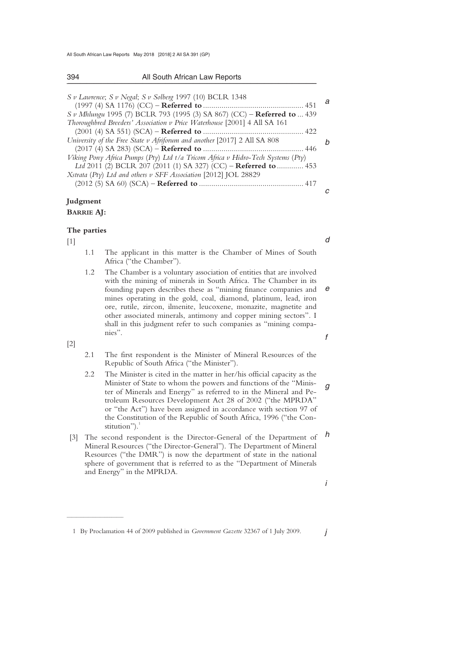394 All South African Law Reports

| S v Lawrence; S v Negal; S v Solberg 1997 (10) BCLR 1348                      |  |
|-------------------------------------------------------------------------------|--|
|                                                                               |  |
| S v Mhlungu 1995 (7) BCLR 793 (1995 (3) SA 867) (CC) – <b>Referred to</b> 439 |  |
| Thoroughbred Breeders' Association v Price Waterhouse [2001] 4 All SA 161     |  |
|                                                                               |  |
| University of the Free State y Afriforum and another [2017] 2 All SA 808      |  |

| University of the Free State v Afriforum and another $ 2017 $ 2 All SA 808      | h |
|---------------------------------------------------------------------------------|---|
|                                                                                 |   |
| Viking Pony Africa Pumps (Pty) Ltd t/a Tricom Africa v Hidro-Tech Systems (Pty) |   |
| Ltd 2011 (2) BCLR 207 (2011 (1) SA 327) (CC) – Referred to  453                 |   |
| Xstrata (Pty) Ltd and others v SFF Association [2012] JOL 28829                 |   |
|                                                                                 |   |

# **Judgment BARRIE AJ:**

### **The parties**

[1]

*d* 

*c* 

*a* 

- 1.1 The applicant in this matter is the Chamber of Mines of South Africa ("the Chamber").
- *e f*  1.2 The Chamber is a voluntary association of entities that are involved with the mining of minerals in South Africa. The Chamber in its founding papers describes these as "mining finance companies and mines operating in the gold, coal, diamond, platinum, lead, iron ore, rutile, zircon, ilmenite, leucoxene, monazite, magnetite and other associated minerals, antimony and copper mining sectors"*.* I shall in this judgment refer to such companies as "mining companies".

[2]

 $\overline{\phantom{a}}$  , where  $\overline{\phantom{a}}$ 

- 2.1 The first respondent is the Minister of Mineral Resources of the Republic of South Africa ("the Minister").
- *g*  2.2 The Minister is cited in the matter in her/his official capacity as the Minister of State to whom the powers and functions of the "Minister of Minerals and Energy" as referred to in the Mineral and Petroleum Resources Development Act 28 of 2002 ("the MPRDA" or "the Act") have been assigned in accordance with section 97 of the Constitution of the Republic of South Africa, 1996 ("the Constitution").<sup>1</sup>
- *h*  [3] The second respondent is the Director-General of the Department of Mineral Resources ("the Director-General"). The Department of Mineral Resources ("the DMR") is now the department of state in the national sphere of government that is referred to as the "Department of Minerals and Energy" in the MPRDA.

*i* 

*j* 

 <sup>1</sup> By Proclamation 44 of 2009 published in *Government Gazette* 32367 of 1 July 2009.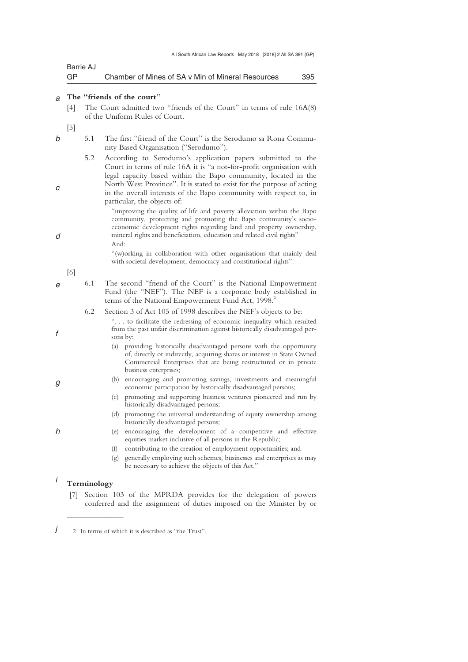| GP        | Chamber of Mines of SA v Min of Mineral Resources | 395 |
|-----------|---------------------------------------------------|-----|
| Barrie AJ |                                                   |     |

#### *a*  **The "friends of the court"**

- [4] The Court admitted two "friends of the Court" in terms of rule 16A(8) of the Uniform Rules of Court.
- [5]

*b* 

*c* 

*d* 

*f* 

*g* 

*h* 

- 5.1 The first "friend of the Court" is the Serodumo sa Rona Community Based Organisation ("Serodumo").
	- 5.2 According to Serodumo's application papers submitted to the Court in terms of rule 16A it is "a not-for-profit organisation with legal capacity based within the Bapo community, located in the North West Province". It is stated to exist for the purpose of acting in the overall interests of the Bapo community with respect to, in particular, the objects of:
		- "improving the quality of life and poverty alleviation within the Bapo community, protecting and promoting the Bapo community's socioeconomic development rights regarding land and property ownership, mineral rights and beneficiation, education and related civil rights" And:

 "(w)orking in collaboration with other organisations that mainly deal with societal development, democracy and constitutional rights".

[6]

- *e*  6.1 The second "friend of the Court" is the National Empowerment Fund (the "NEF"). The NEF is a corporate body established in terms of the National Empowerment Fund Act, 1998.<sup>2</sup>
	- 6.2 Section 3 of Act 105 of 1998 describes the NEF's objects to be: ". . . to facilitate the redressing of economic inequality which resulted from the past unfair discrimination against historically disadvantaged persons by:
		- (a) providing historically disadvantaged persons with the opportunity of, directly or indirectly, acquiring shares or interest in State Owned Commercial Enterprises that are being restructured or in private business enterprises;
		- (b) encouraging and promoting savings, investments and meaningful economic participation by historically disadvantaged persons;
			- (c) promoting and supporting business ventures pioneered and run by historically disadvantaged persons;
			- (d) promoting the universal understanding of equity ownership among historically disadvantaged persons;
			- (e) encouraging the development of a competitive and effective equities market inclusive of all persons in the Republic;
			- (f) contributing to the creation of employment opportunities; and
			- (g) generally employing such schemes, businesses and enterprises as may be necessary to achieve the objects of this Act."

#### *i*  **Terminology**

 $\overline{\phantom{a}}$  , where  $\overline{\phantom{a}}$ 

 [7] Section 103 of the MPRDA provides for the delegation of powers conferred and the assignment of duties imposed on the Minister by or

*j*  2 In terms of which it is described as "the Trust".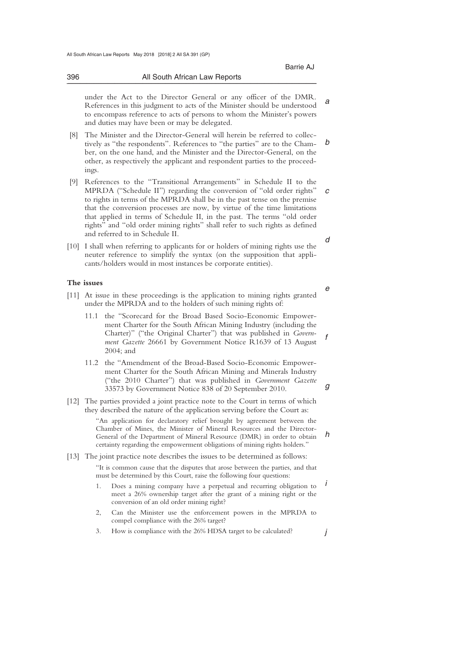*a* 

*e* 

*g* 

*j* 

 under the Act to the Director General or any officer of the DMR. References in this judgment to acts of the Minister should be understood to encompass reference to acts of persons to whom the Minister's powers and duties may have been or may be delegated.

\_\_\_\_\_\_\_\_\_\_\_\_\_\_\_\_\_\_\_\_\_\_\_\_\_\_\_\_\_\_\_\_\_\_\_\_\_\_\_\_\_\_\_\_\_\_\_\_\_\_\_\_\_\_\_\_\_\_\_\_\_\_\_\_\_\_\_\_\_\_\_\_\_\_\_\_\_\_\_\_\_\_\_\_\_\_\_\_\_\_\_\_\_\_\_\_\_\_\_\_\_\_\_\_\_\_\_\_\_\_\_\_\_\_\_\_\_\_\_\_\_\_\_\_\_\_\_\_\_\_\_\_\_\_\_\_\_\_\_\_\_\_\_

- *b*  [8] The Minister and the Director-General will herein be referred to collectively as "the respondents". References to "the parties" are to the Chamber, on the one hand, and the Minister and the Director-General, on the other, as respectively the applicant and respondent parties to the proceedings.
- *c d*  [9] References to the "Transitional Arrangements" in Schedule II to the MPRDA ("Schedule II") regarding the conversion of "old order rights" to rights in terms of the MPRDA shall be in the past tense on the premise that the conversion processes are now, by virtue of the time limitations that applied in terms of Schedule II, in the past. The terms "old order rights" and "old order mining rights" shall refer to such rights as defined and referred to in Schedule II.
- [10] I shall when referring to applicants for or holders of mining rights use the neuter reference to simplify the syntax (on the supposition that applicants/holders would in most instances be corporate entities).

### **The issues**

- [11] At issue in these proceedings is the application to mining rights granted under the MPRDA and to the holders of such mining rights of:
	- *f*  11.1 the "Scorecard for the Broad Based Socio-Economic Empowerment Charter for the South African Mining Industry (including the Charter)" ("the Original Charter") that was published in *Government Gazette* 26661 by Government Notice R1639 of 13 August 2004; and
	- 11.2 the "Amendment of the Broad-Based Socio-Economic Empowerment Charter for the South African Mining and Minerals Industry ("the 2010 Charter") that was published in *Government Gazette* 33573 by Government Notice 838 of 20 September 2010.
- [12] The parties provided a joint practice note to the Court in terms of which they described the nature of the application serving before the Court as:

*h*  "An application for declaratory relief brought by agreement between the Chamber of Mines, the Minister of Mineral Resources and the Director-General of the Department of Mineral Resource (DMR) in order to obtain certainty regarding the empowerment obligations of mining rights holders."

[13] The joint practice note describes the issues to be determined as follows:

"It is common cause that the disputes that arose between the parties, and that must be determined by this Court, raise the following four questions:

- *i*  1. Does a mining company have a perpetual and recurring obligation to meet a 26% ownership target after the grant of a mining right or the conversion of an old order mining right?
- 2, Can the Minister use the enforcement powers in the MPRDA to compel compliance with the 26% target?
- 3. How is compliance with the 26% HDSA target to be calculated?

396 All South African Law Reports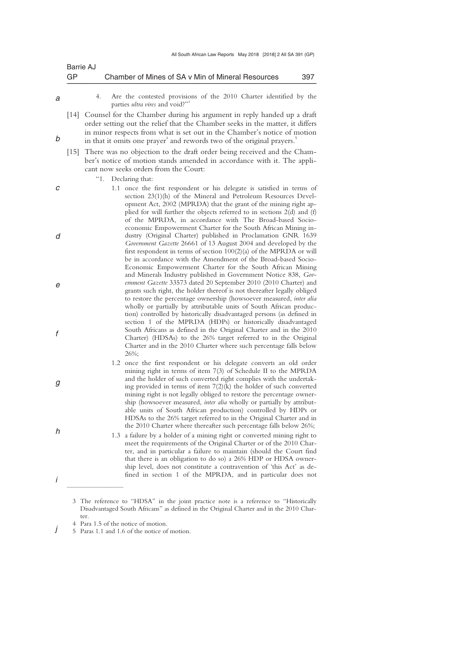| Barrie AJ |                                                   |     |
|-----------|---------------------------------------------------|-----|
| GP        | Chamber of Mines of SA v Min of Mineral Resources | 397 |

*a* 

*b* 

*c* 

*d* 

*e* 

*f* 

*g* 

*h* 

*i* 

 4. Are the contested provisions of the 2010 Charter identified by the parties *ultra vires* and void?"

- [14] Counsel for the Chamber during his argument in reply handed up a draft order setting out the relief that the Chamber seeks in the matter, it differs in minor respects from what is set out in the Chamber's notice of motion in that it omits one prayer<sup>4</sup> and rewords two of the original prayers.<sup>5</sup>
- [15] There was no objection to the draft order being received and the Chamber's notice of motion stands amended in accordance with it. The applicant now seeks orders from the Court:

"1. Declaring that:

- 1.1 once the first respondent or his delegate is satisfied in terms of section 23(1)(h) of the Mineral and Petroleum Resources Development Act, 2002 (MPRDA) that the grant of the mining right applied for will further the objects referred to in sections 2(d) and (f) of the MPRDA, in accordance with The Broad-based Socioeconomic Empowerment Charter for the South African Mining industry (Original Charter) published in Proclamation GNR 1639 *Government Gazette* 26661 of 13 August 2004 and developed by the first respondent in terms of section 100(2)(a) of the MPRDA or will be in accordance with the Amendment of the Broad-based Socio-Economic Empowerment Charter for the South African Mining and Minerals Industry published in Government Notice 838, *Government Gazette* 33573 dated 20 September 2010 (2010 Charter) and grants such right, the holder thereof is not thereafter legally obliged to restore the percentage ownership (howsoever measured, *inter alia* wholly or partially by attributable units of South African production) controlled by historically disadvantaged persons (as defined in section 1 of the MPRDA (HDPs) or historically disadvantaged South Africans as defined in the Original Charter and in the 2010 Charter) (HDSAs) to the 26% target referred to in the Original Charter and in the 2010 Charter where such percentage falls below 26%;
	- 1.2 once the first respondent or his delegate converts an old order mining right in terms of item 7(3) of Schedule II to the MPRDA and the holder of such converted right complies with the undertaking provided in terms of item 7(2)(k) the holder of such converted mining right is not legally obliged to restore the percentage ownership (howsoever measured, *inter alia* wholly or partially by attributable units of South African production) controlled by HDPs or HDSAs to the 26% target referred to in the Original Charter and in the 2010 Charter where thereafter such percentage falls below 26%;
- 1.3 a failure by a holder of a mining right or converted mining right to meet the requirements of the Original Charter or of the 2010 Charter, and in particular a failure to maintain (should the Court find that there is an obligation to do so) a 26% HDP or HDSA ownership level, does not constitute a contravention of 'this Act' as defined in section 1 of the MPRDA, and in particular does not

4 Para 1.5 of the notice of motion.

 $\overline{\phantom{a}}$  , where  $\overline{\phantom{a}}$ 

*j*  5 Paras 1.1 and 1.6 of the notice of motion.

 <sup>3</sup> The reference to "HDSA" in the joint practice note is a reference to "Historically Disadvantaged South Africans" as defined in the Original Charter and in the 2010 Charter.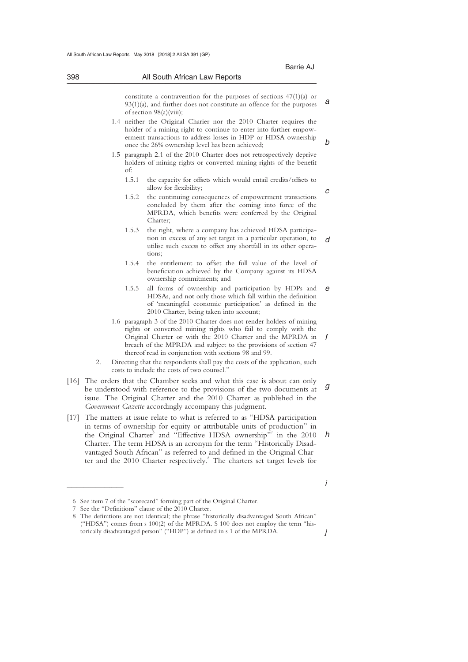*i* 

| constitute a contravention for the purposes of sections $47(1)(a)$ or<br>$93(1)(a)$ , and further does not constitute an offence for the purposes<br>of section $98(a)(viii)$ ; |  |
|---------------------------------------------------------------------------------------------------------------------------------------------------------------------------------|--|
|---------------------------------------------------------------------------------------------------------------------------------------------------------------------------------|--|

- *b*  1.4 neither the Original Charier nor the 2010 Charter requires the holder of a mining right to continue to enter into further empowerment transactions to address losses in HDP or HDSA ownership once the 26% ownership level has been achieved;
- 1.5 paragraph 2.1 of the 2010 Charter does not retrospectively deprive holders of mining rights or converted mining rights of the benefit of:
	- 1.5.1 the capacity for offsets which would entail credits/offsets to allow for flexibility;
	- *c*  1.5.2 the continuing consequences of empowerment transactions concluded by them after the coming into force of the MPRDA, which benefits were conferred by the Original Charter;
	- *d*  1.5.3 the right, where a company has achieved HDSA participation in excess of any set target in a particular operation, to utilise such excess to offset any shortfall in its other operations;
	- 1.5.4 the entitlement to offset the full value of the level of beneficiation achieved by the Company against its HDSA ownership commitments; and
	- *e*  1.5.5 all forms of ownership and participation by HDPs and HDSAs, and not only those which fall within the definition of 'meaningful economic participation' as defined in the 2010 Charter, being taken into account;
- *f*  1.6 paragraph 3 of the 2010 Charter does not render holders of mining rights or converted mining rights who fail to comply with the Original Charter or with the 2010 Charter and the MPRDA in breach of the MPRDA and subject to the provisions of section 47 thereof read in conjunction with sections 98 and 99.
- 2. Directing that the respondents shall pay the costs of the application, such costs to include the costs of two counsel."
- *g*  [16] The orders that the Chamber seeks and what this case is about can only be understood with reference to the provisions of the two documents at issue. The Original Charter and the 2010 Charter as published in the *Government Gazette* accordingly accompany this judgment.
- *h*  [17] The matters at issue relate to what is referred to as "HDSA participation in terms of ownership for equity or attributable units of production" in the Original Charter<sup>6</sup> and "Effective HDSA ownership"<sup>7</sup> in the 2010 Charter. The term HDSA is an acronym for the term "Historically Disadvantaged South African" as referred to and defined in the Original Charter and the 2010 Charter respectively.<sup>8</sup> The charters set target levels for

 <sup>6</sup> See item 7 of the "scorecard" forming part of the Original Charter.

 <sup>7</sup> See the "Definitions" clause of the 2010 Charter.

*j*  8 The definitions are not identical; the phrase "historically disadvantaged South African" ("HDSA") comes from s 100(2) of the MPRDA. S 100 does not employ the term "historically disadvantaged person" ("HDP") as defined in s 1 of the MPRDA.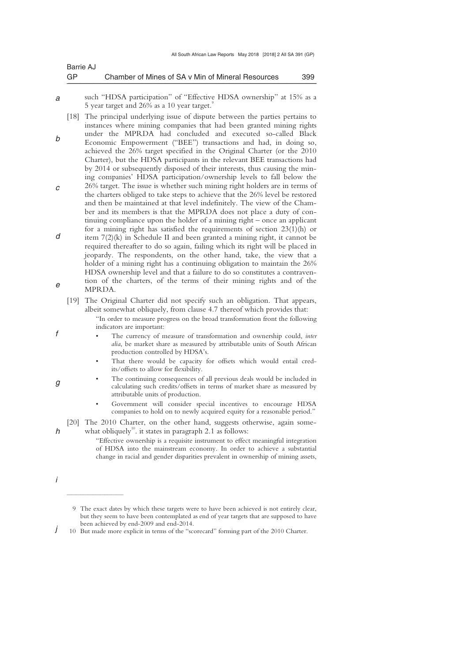| Barrie AJ |                                                   |     |
|-----------|---------------------------------------------------|-----|
| <b>GP</b> | Chamber of Mines of SA v Min of Mineral Resources | 399 |

*a*  such "HDSA participation" of "Effective HDSA ownership" at 15% as a 5 year target and  $26\%$  as a 10 year target.

*b*  [18] The principal underlying issue of dispute between the parties pertains to instances where mining companies that had been granted mining rights under the MPRDA had concluded and executed so-called Black Economic Empowerment ("BEE") transactions and had, in doing so, achieved the 26% target specified in the Original Charter (or the 2010 Charter), but the HDSA participants in the relevant BEE transactions had

- *c*  by 2014 or subsequently disposed of their interests, thus causing the mining companies' HDSA participation/ownership levels to fall below the 26% target. The issue is whether such mining right holders are in terms of the charters obliged to take steps to achieve that the 26% level be restored and then be maintained at that level indefinitely. The view of the Chamber and its members is that the MPRDA does not place a duty of continuing compliance upon the holder of a mining right – once an applicant
- *d e*  for a mining right has satisfied the requirements of section 23(1)(h) or item 7(2)(k) in Schedule II and been granted a mining right, it cannot be required thereafter to do so again, failing which its right will be placed in jeopardy. The respondents, on the other hand, take, the view that a holder of a mining right has a continuing obligation to maintain the 26% HDSA ownership level and that a failure to do so constitutes a contravention of the charters, of the terms of their mining rights and of the MPRDA.
	- [19] The Original Charter did not specify such an obligation. That appears, albeit somewhat obliquely, from clause 4.7 thereof which provides that:
		- "In order to measure progress on the broad transformation front the following indicators are important:
		- The currency of measure of transformation and ownership could, *inter alia*, be market share as measured by attributable units of South African production controlled by HDSA's.
		- That there would be capacity for offsets which would entail credits/offsets to allow for flexibility.
		- The continuing consequences of all previous deals would be included in calculating such credits/offsets in terms of market share as measured by attributable units of production.
			- Government will consider special incentives to encourage HDSA companies to hold on to newly acquired equity for a reasonable period."

[20] The 2010 Charter, on the other hand, suggests otherwise, again somewhat obliquely<sup>10</sup>. it states in paragraph 2.1 as follows:

- "Effective ownership is a requisite instrument to effect meaningful integration of HDSA into the mainstream economy. In order to achieve a substantial change in racial and gender disparities prevalent in ownership of mining assets,
- *i*

 $\overline{\phantom{a}}$  , where  $\overline{\phantom{a}}$ 

*f* 

*g* 

*h* 

*j*  10 But made more explicit in terms of the "scorecard" forming part of the 2010 Charter.

 <sup>9</sup> The exact dates by which these targets were to have been achieved is not entirely clear, but they seem to have been contemplated as end of year targets that are supposed to have been achieved by end-2009 and end-2014.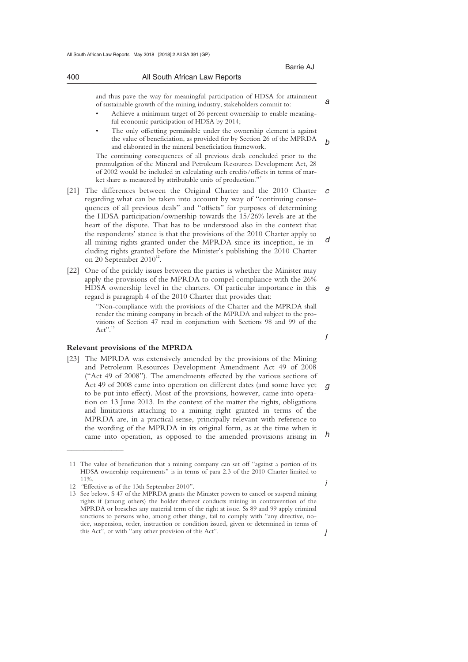and thus pave the way for meaningful participation of HDSA for attainment of sustainable growth of the mining industry, stakeholders commit to:

- Achieve a minimum target of 26 percent ownership to enable meaningful economic participation of HDSA by 2014;
- The only offsetting permissible under the ownership element is against the value of beneficiation, as provided for by Section 26 of the MPRDA and elaborated in the mineral beneficiation framework.

The continuing consequences of all previous deals concluded prior to the promulgation of the Mineral and Petroleum Resources Development Act, 28 of 2002 would be included in calculating such credits/offsets in terms of market share as measured by attributable units of production."<sup>11</sup>

- [21] The differences between the Original Charter and the 2010 Charter  $c$ *d*  regarding what can be taken into account by way of "continuing consequences of all previous deals" and "offsets" for purposes of determining the HDSA participation/ownership towards the 15/26% levels are at the heart of the dispute. That has to be understood also in the context that the respondents' stance is that the provisions of the 2010 Charter apply to all mining rights granted under the MPRDA since its inception, ie including rights granted before the Minister's publishing the 2010 Charter on 20 September  $2010^{12}$ .
- [22] One of the prickly issues between the parties is whether the Minister may apply the provisions of the MPRDA to compel compliance with the 26% HDSA ownership level in the charters. Of particular importance in this regard is paragraph 4 of the 2010 Charter that provides that:

"Non-compliance with the provisions of the Charter and the MPRDA shall render the mining company in breach of the MPRDA and subject to the provisions of Section 47 read in conjunction with Sections 98 and 99 of the Act".<sup>1</sup>

#### **Relevant provisions of the MPRDA**

*g h*  [23] The MPRDA was extensively amended by the provisions of the Mining and Petroleum Resources Development Amendment Act 49 of 2008 ("Act 49 of 2008"). The amendments effected by the various sections of Act 49 of 2008 came into operation on different dates (and some have yet to be put into effect). Most of the provisions, however, came into operation on 13 June 2013. In the context of the matter the rights, obligations and limitations attaching to a mining right granted in terms of the MPRDA are, in a practical sense, principally relevant with reference to the wording of the MPRDA in its original form, as at the time when it came into operation, as opposed to the amended provisions arising in

 $\overline{\phantom{a}}$  , where  $\overline{\phantom{a}}$ 

*a* 

*b* 

*i* 

*j* 

*f* 

*e* 

 <sup>11</sup> The value of beneficiation that a mining company can set off "against a portion of its HDSA ownership requirements" is in terms of para 2.3 of the 2010 Charter limited to 11%.

 <sup>12</sup> *"*Effective as of the 13th September 2010".

 <sup>13</sup> See below. S 47 of the MPRDA grants the Minister powers to cancel or suspend mining rights if (among others) the holder thereof conducts mining in contravention of the MPRDA or breaches any material term of the right at issue. Ss 89 and 99 apply criminal sanctions to persons who, among other things, fail to comply with "any directive, notice, suspension, order, instruction or condition issued, given or determined in terms of this Act", or with ''any other provision of this Act".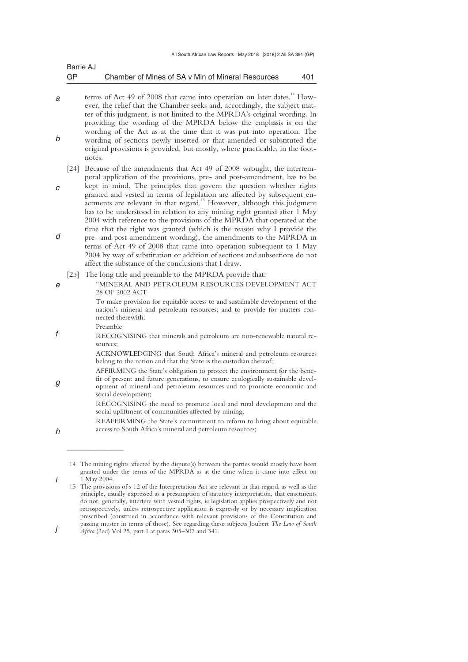| Barrie AJ |                                                   |     |
|-----------|---------------------------------------------------|-----|
| GP        | Chamber of Mines of SA v Min of Mineral Resources | 401 |

- *a b*  terms of Act 49 of 2008 that came into operation on later dates.<sup>14</sup> However, the relief that the Chamber seeks and, accordingly, the subject matter of this judgment, is not limited to the MPRDA's original wording. In providing the wording of the MPRDA below the emphasis is on the wording of the Act as at the time that it was put into operation. The wording of sections newly inserted or that amended or substituted the original provisions is provided, but mostly, where practicable, in the footnotes.
	- [24] Because of the amendments that Act 49 of 2008 wrought, the intertemporal application of the provisions, pre- and post-amendment, has to be
- *c d*  kept in mind. The principles that govern the question whether rights granted and vested in terms of legislation are affected by subsequent enactments are relevant in that regard.<sup>15</sup> However, although this judgment has to be understood in relation to any mining right granted after 1 May 2004 with reference to the provisions of the MPRDA that operated at the time that the right was granted (which is the reason why I provide the pre- and post-amendment wording), the amendments to the MPRDA in terms of Act 49 of 2008 that came into operation subsequent to 1 May 2004 by way of substitution or addition of sections and subsections do not
	- affect the substance of the conclusions that I draw.
	- [25] The long title and preamble to the MPRDA provide that:
		- "MINERAL AND PETROLEUM RESOURCES DEVELOPMENT ACT 28 OF 2002 ACT

To make provision for equitable access to and sustainable development of the nation's mineral and petroleum resources; and to provide for matters connected therewith:

*f*  Preamble

 $\overline{\phantom{a}}$  , where  $\overline{\phantom{a}}$ 

*e* 

*h* 

*i* 

RECOGNISING that minerals and petroleum are non-renewable natural resources;

> ACKNOWLEDGING that South Africa's mineral and petroleum resources belong to the nation and that the State is the custodian thereof;

*g*  AFFIRMING the State's obligation to protect the environment for the benefit of present and future generations, to ensure ecologically sustainable development of mineral and petroleum resources and to promote economic and social development;

RECOGNISING the need to promote local and rural development and the social upliftment of communities affected by mining;

REAFFIRMING the State's commitment to reform to bring about equitable access to South Africa's mineral and petroleum resources;

 <sup>14</sup> The mining rights affected by the dispute(s) between the parties would mostly have been granted under the terms of the MPRDA as at the time when it came into effect on 1 May 2004.

 <sup>15</sup> The provisions of s 12 of the Interpretation Act are relevant in that regard, as well as the principle, usually expressed as a presumption of statutory interpretation, that enactments do not, generally, interfere with vested rights, ie legislation applies prospectively and not retrospectively, unless retrospective application is expressly or by necessary implication prescribed (construed in accordance with relevant provisions of the Constitution and passing muster in terms of those). See regarding these subjects Joubert *The Law of South* 

*j Africa* (2ed) Vol 25, part 1 at paras 305–307 and 341.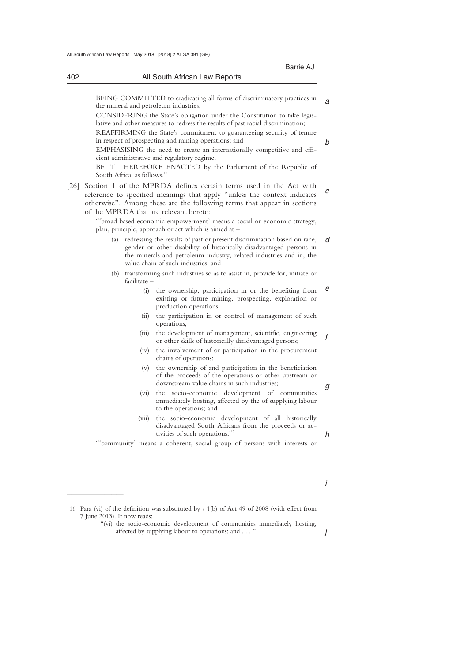|                                        | All South African Law Reports                                                                                                                                                                                                                                    |
|----------------------------------------|------------------------------------------------------------------------------------------------------------------------------------------------------------------------------------------------------------------------------------------------------------------|
|                                        |                                                                                                                                                                                                                                                                  |
| the mineral and petroleum industries;  | BEING COMMITTED to eradicating all forms of discriminatory practices in                                                                                                                                                                                          |
|                                        | CONSIDERING the State's obligation under the Constitution to take legis-<br>lative and other measures to redress the results of past racial discrimination;                                                                                                      |
|                                        | REAFFIRMING the State's commitment to guaranteeing security of tenure<br>in respect of prospecting and mining operations; and                                                                                                                                    |
|                                        | EMPHASISING the need to create an internationally competitive and effi-<br>cient administrative and regulatory regime,                                                                                                                                           |
| South Africa, as follows."             | BE IT THEREFORE ENACTED by the Parliament of the Republic of                                                                                                                                                                                                     |
|                                        | [26] Section 1 of the MPRDA defines certain terms used in the Act with                                                                                                                                                                                           |
| of the MPRDA that are relevant hereto: | reference to specified meanings that apply "unless the context indicates<br>otherwise". Among these are the following terms that appear in sections                                                                                                              |
|                                        | "'broad based economic empowerment' means a social or economic strategy,<br>plan, principle, approach or act which is aimed at -                                                                                                                                 |
|                                        | (a) redressing the results of past or present discrimination based on race,<br>gender or other disability of historically disadvantaged persons in<br>the minerals and petroleum industry, related industries and in, the<br>value chain of such industries; and |
| $facilitate -$                         | (b) transforming such industries so as to assist in, provide for, initiate or                                                                                                                                                                                    |
| (i)                                    | the ownership, participation in or the benefiting from<br>existing or future mining, prospecting, exploration or<br>production operations;                                                                                                                       |
| (i)                                    | the participation in or control of management of such<br>operations;                                                                                                                                                                                             |
| (iii)                                  | the development of management, scientific, engineering<br>or other skills of historically disadvantaged persons;                                                                                                                                                 |
| (iv)                                   | the involvement of or participation in the procurement<br>chains of operations:                                                                                                                                                                                  |
| (v)                                    | the ownership of and participation in the beneficiation<br>of the proceeds of the operations or other upstream or<br>downstream value chains in such industries;                                                                                                 |
| (vi)                                   | the socio-economic development of communities<br>immediately hosting, affected by the of supplying labour<br>to the operations; and                                                                                                                              |
| (vii)                                  | the socio-economic development of all historically<br>disadvantaged South Africans from the proceeds or ac-<br>tivities of such operations;' <sup>16</sup>                                                                                                       |
|                                        | "community' means a coherent, social group of persons with interests or                                                                                                                                                                                          |

 "(vi) the socio-economic development of communities immediately hosting, affected by supplying labour to operations; and . . . "

*j*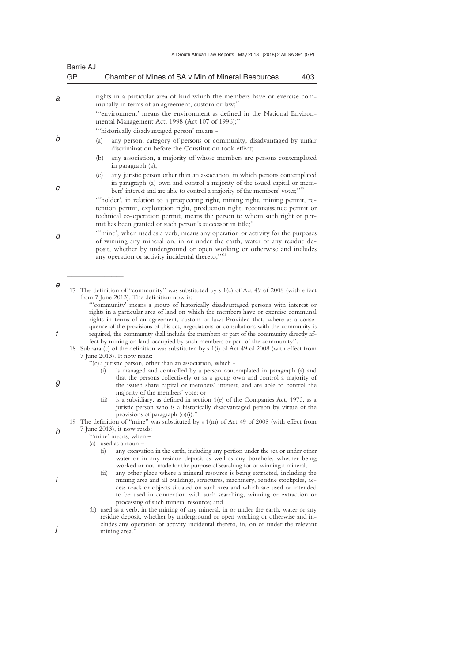| GP | <b>Barrie AJ</b><br>Chamber of Mines of SA v Min of Mineral Resources                                                                                                                                                                                                                                                                                                                                                                                                                                                                          | 403 |
|----|------------------------------------------------------------------------------------------------------------------------------------------------------------------------------------------------------------------------------------------------------------------------------------------------------------------------------------------------------------------------------------------------------------------------------------------------------------------------------------------------------------------------------------------------|-----|
|    | rights in a particular area of land which the members have or exercise com-                                                                                                                                                                                                                                                                                                                                                                                                                                                                    |     |
|    | munally in terms of an agreement, custom or law;"<br>"environment' means the environment as defined in the National Environ-                                                                                                                                                                                                                                                                                                                                                                                                                   |     |
|    | mental Management Act, 1998 (Act 107 of 1996);"<br>"'historically disadvantaged person' means -                                                                                                                                                                                                                                                                                                                                                                                                                                                |     |
|    | any person, category of persons or community, disadvantaged by unfair<br>(a)<br>discrimination before the Constitution took effect;                                                                                                                                                                                                                                                                                                                                                                                                            |     |
|    | (b)<br>any association, a majority of whose members are persons contemplated<br>in paragraph (a);                                                                                                                                                                                                                                                                                                                                                                                                                                              |     |
|    | (c)<br>any juristic person other than an association, in which persons contemplated<br>in paragraph (a) own and control a majority of the issued capital or mem-<br>bers' interest and are able to control a majority of the members' votes;" <sup>18</sup>                                                                                                                                                                                                                                                                                    |     |
|    | "holder', in relation to a prospecting right, mining right, mining permit, re-<br>tention permit, exploration right, production right, reconnaissance permit or<br>technical co-operation permit, means the person to whom such right or per-                                                                                                                                                                                                                                                                                                  |     |
|    | mit has been granted or such person's successor in title;"<br>"'mine', when used as a verb, means any operation or activity for the purposes                                                                                                                                                                                                                                                                                                                                                                                                   |     |
|    | of winning any mineral on, in or under the earth, water or any residue de-<br>posit, whether by underground or open working or otherwise and includes<br>any operation or activity incidental thereto;"' <sup>19</sup>                                                                                                                                                                                                                                                                                                                         |     |
|    | 17 The definition of "community" was substituted by s 1(c) of Act 49 of 2008 (with effect<br>from 7 June 2013). The definition now is:<br>"community' means a group of historically disadvantaged persons with interest or                                                                                                                                                                                                                                                                                                                     |     |
|    | rights in a particular area of land on which the members have or exercise communal<br>rights in terms of an agreement, custom or law: Provided that, where as a conse-<br>quence of the provisions of this act, negotiations or consultations with the community is<br>required, the community shall include the members or part of the community directly af-<br>fect by mining on land occupied by such members or part of the community".<br>18 Subpara (c) of the definition was substituted by s 1(i) of Act 49 of 2008 (with effect from |     |
|    | 7 June 2013). It now reads:<br>"(c) a juristic person, other than an association, which -<br>is managed and controlled by a person contemplated in paragraph (a) and<br>$\left( 1\right)$                                                                                                                                                                                                                                                                                                                                                      |     |
|    | that the persons collectively or as a group own and control a majority of<br>the issued share capital or members' interest, and are able to control the<br>majority of the members' vote; or<br>(ii)<br>is a subsidiary, as defined in section 1(e) of the Companies Act, 1973, as a<br>juristic person who is a historically disadvantaged person by virtue of the                                                                                                                                                                            |     |
|    | provisions of paragraph $(o)(i)$ .<br>19 The definition of "mine" was substituted by s 1(m) of Act 49 of 2008 (with effect from                                                                                                                                                                                                                                                                                                                                                                                                                |     |
|    | 7 June 2013), it now reads:<br>""mine' means, when -                                                                                                                                                                                                                                                                                                                                                                                                                                                                                           |     |
|    | (a) used as a noun $-$<br>any excavation in the earth, including any portion under the sea or under other<br>(i)<br>water or in any residue deposit as well as any borehole, whether being<br>worked or not, made for the purpose of searching for or winning a mineral;                                                                                                                                                                                                                                                                       |     |
|    | any other place where a mineral resource is being extracted, including the<br>(i)<br>mining area and all buildings, structures, machinery, residue stockpiles, ac-<br>cess roads or objects situated on such area and which are used or intended<br>to be used in connection with such searching, winning or extraction or                                                                                                                                                                                                                     |     |
|    | processing of such mineral resource; and<br>(b) used as a verb, in the mining of any mineral, in or under the earth, water or any<br>residue deposit, whether by underground or open working or otherwise and in-                                                                                                                                                                                                                                                                                                                              |     |
|    | cludes any operation or activity incidental thereto, in, on or under the relevant<br>mining area."                                                                                                                                                                                                                                                                                                                                                                                                                                             |     |

- 
- 
- 
- 
- 
- 
- 
- 
- 
- 
- 
-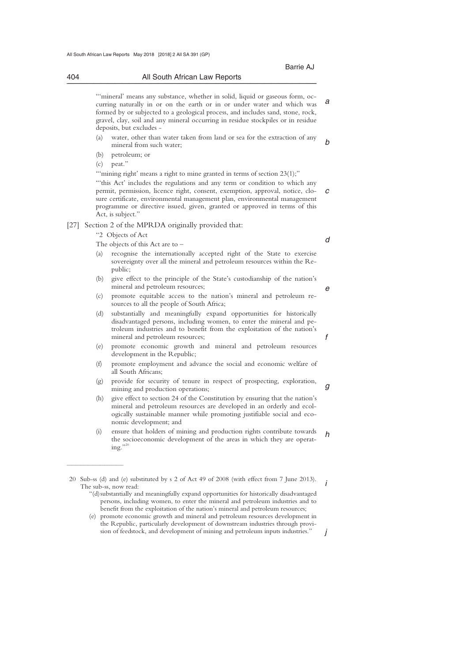| 404<br>All South African Law Reports |  |
|--------------------------------------|--|
|--------------------------------------|--|

Barrie AJ Annual March 2014 - Barrie AJ Annual March 2014 - Barrie AJ Annual March 2014

"'mineral' means any substance, whether in solid, liquid or gaseous form, occurring naturally in or on the earth or in or under water and which was formed by or subjected to a geological process, and includes sand, stone, rock, gravel, clay, soil and any mineral occurring in residue stockpiles or in residue deposits, but excludes -

- *b*  (a) water, other than water taken from land or sea for the extraction of any mineral from such water;
- (b) petroleum; or
- (c) peat."

*c*  "'mining right' means a right to mine granted in terms of section 23(1);" "this Act' includes the regulations and any term or condition to which any permit, permission, licence right, consent, exemption, approval, notice, closure certificate, environmental management plan, environmental management programme or directive issued, given, granted or approved in terms of this Act, is subject."

# [27] Section 2 of the MPRDA originally provided that:

"2 Objects of Act

 $\overline{\phantom{a}}$  , where  $\overline{\phantom{a}}$ 

The objects of this Act are to –

*d* 

*e* 

*f* 

*g* 

*i* 

*j* 

*a* 

- recognise the internationally accepted right of the State to exercise sovereignty over all the mineral and petroleum resources within the Republic;
- (b) give effect to the principle of the State's custodianship of the nation's mineral and petroleum resources;
- (c) promote equitable access to the nation's mineral and petroleum resources to all the people of South Africa;
- (d) substantially and meaningfully expand opportunities for historically disadvantaged persons, including women, to enter the mineral and petroleum industries and to benefit from the exploitation of the nation's mineral and petroleum resources;
- (e) promote economic growth and mineral and petroleum resources development in the Republic;
- (f) promote employment and advance the social and economic welfare of all South Africans;
- (g) provide for security of tenure in respect of prospecting, exploration, mining and production operations;
- (h) give effect to section 24 of the Constitution by ensuring that the nation's mineral and petroleum resources are developed in an orderly and ecologically sustainable manner while promoting justifiable social and economic development; and
- *h*  (i) ensure that holders of mining and production rights contribute towards the socioeconomic development of the areas in which they are operating."

 <sup>20</sup> Sub-ss (d) and (e) substituted by s 2 of Act 49 of 2008 (with effect from 7 June 2013). The sub-ss, now read:

 <sup>&</sup>quot;(d) substantially and meaningfully expand opportunities for historically disadvantaged persons, including women, to enter the mineral and petroleum industries and to benefit from the exploitation of the nation's mineral and petroleum resources;

 <sup>(</sup>e) promote economic growth and mineral and petroleum resources development in the Republic, particularly development of downstream industries through provision of feedstock, and development of mining and petroleum inputs industries."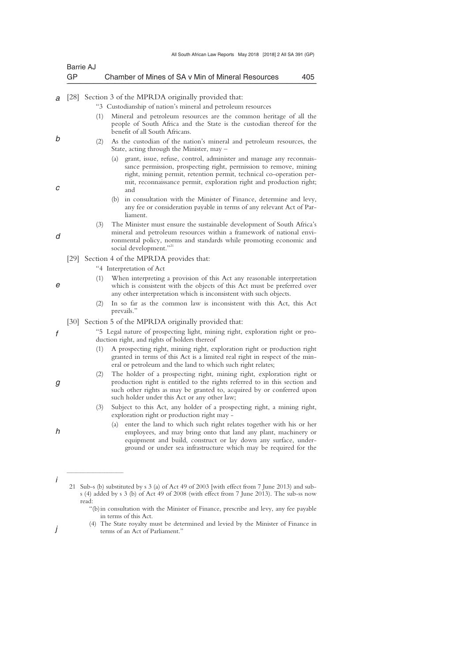| Barrie AJ |                                                   |     |
|-----------|---------------------------------------------------|-----|
| GP        | Chamber of Mines of SA v Min of Mineral Resources | 405 |

*a*  [28] Section 3 of the MPRDA originally provided that:

| "3 Custodianship of nation's mineral and petroleum resources |  |  |
|--------------------------------------------------------------|--|--|
|                                                              |  |  |
|                                                              |  |  |

- (1) Mineral and petroleum resources are the common heritage of all the people of South Africa and the State is the custodian thereof for the benefit of all South Africans.
- (2) As the custodian of the nation's mineral and petroleum resources, the State, acting through the Minister, may –
	- (a) grant, issue, refuse, control, administer and manage any reconnaissance permission, prospecting right, permission to remove, mining right, mining permit, retention permit, technical co-operation permit, reconnaissance permit, exploration right and production right; and
	- (b) in consultation with the Minister of Finance, determine and levy, any fee or consideration payable in terms of any relevant Act of Parliament.
- (3) The Minister must ensure the sustainable development of South Africa's mineral and petroleum resources within a framework of national environmental policy, norms and standards while promoting economic and social development."<sup>2</sup>
- [29] Section 4 of the MPRDA provides that:
	- "4 Interpretation of Act
	- (1) When interpreting a provision of this Act any reasonable interpretation which is consistent with the objects of this Act must be preferred over any other interpretation which is inconsistent with such objects.
	- (2) In so far as the common law is inconsistent with this Act, this Act prevails."
- [30] Section 5 of the MPRDA originally provided that:

"5 Legal nature of prospecting light, mining right, exploration right or production right, and rights of holders thereof

- (1) A prospecting right, mining right, exploration right or production right granted in terms of this Act is a limited real right in respect of the mineral or petroleum and the land to which such right relates;
- (2) The holder of a prospecting right, mining right, exploration right or production right is entitled to the rights referred to in this section and such other rights as may be granted to, acquired by or conferred upon such holder under this Act or any other law;
- (3) Subject to this Act, any holder of a prospecting right, a mining right, exploration right or production right may -
	- (a) enter the land to which such right relates together with his or her employees, and may bring onto that land any plant, machinery or equipment and build, construct or lay down any surface, underground or under sea infrastructure which may be required for the

 (4) The State royalty must be determined and levied by the Minister of Finance in terms of an Act of Parliament."

*d* 

*e* 

*b* 

*c* 

*f* 

- *g*
- *h*
- *i*

 $\overline{\phantom{a}}$  , where  $\overline{\phantom{a}}$ 

*j* 

 <sup>21</sup> Sub-s (b) substituted by s 3 (a) of Act 49 of 2003 [with effect from 7 June 2013) and subs (4) added by s 3 (b) of Act 49 of 2008 (with effect from 7 June 2013). The sub-ss now read:

 <sup>&</sup>quot;(b) in consultation with the Minister of Finance, prescribe and levy, any fee payable in terms of this Act.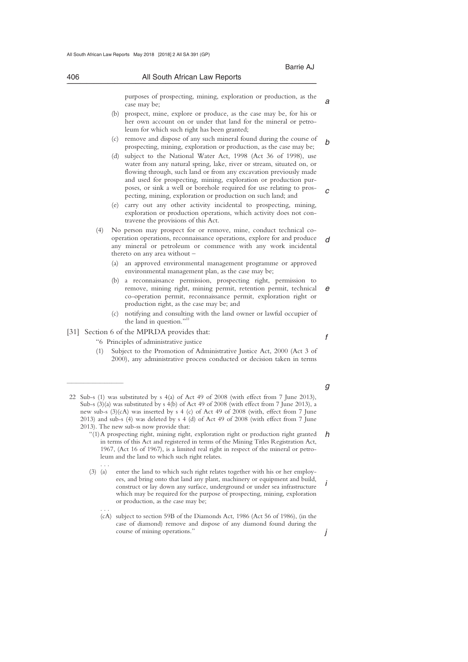|     |                |     | Barrie AJ                                                                                                                                                                                                                                                                                                                                                                                                               |   |
|-----|----------------|-----|-------------------------------------------------------------------------------------------------------------------------------------------------------------------------------------------------------------------------------------------------------------------------------------------------------------------------------------------------------------------------------------------------------------------------|---|
| 406 |                |     | All South African Law Reports                                                                                                                                                                                                                                                                                                                                                                                           |   |
|     |                |     | purposes of prospecting, mining, exploration or production, as the<br>case may be;                                                                                                                                                                                                                                                                                                                                      | а |
|     |                |     | (b) prospect, mine, explore or produce, as the case may be, for his or<br>her own account on or under that land for the mineral or petro-<br>leum for which such right has been granted;                                                                                                                                                                                                                                |   |
|     |                | (c) | remove and dispose of any such mineral found during the course of<br>prospecting, mining, exploration or production, as the case may be;                                                                                                                                                                                                                                                                                | b |
|     |                | (d) | subject to the National Water Act, 1998 (Act 36 of 1998), use<br>water from any natural spring, lake, river or stream, situated on, or<br>flowing through, such land or from any excavation previously made<br>and used for prospecting, mining, exploration or production pur-<br>poses, or sink a well or borehole required for use relating to pros-<br>pecting, mining, exploration or production on such land; and | с |
|     |                |     | (e) carry out any other activity incidental to prospecting, mining,<br>exploration or production operations, which activity does not con-<br>travene the provisions of this Act.                                                                                                                                                                                                                                        |   |
|     | (4)            |     | No person may prospect for or remove, mine, conduct technical co-<br>operation operations, reconnaissance operations, explore for and produce<br>any mineral or petroleum or commence with any work incidental<br>thereto on any area without $-$                                                                                                                                                                       | d |
|     |                | (a) | an approved environmental management programme or approved<br>environmental management plan, as the case may be;                                                                                                                                                                                                                                                                                                        |   |
|     |                |     | (b) a reconnaissance permission, prospecting right, permission to<br>remove, mining right, mining permit, retention permit, technical<br>co-operation permit, reconnaissance permit, exploration right or<br>production right, as the case may be; and                                                                                                                                                                  | е |
|     |                | (c) | notifying and consulting with the land owner or lawful occupier of<br>the land in question."22                                                                                                                                                                                                                                                                                                                          |   |
|     |                |     | [31] Section 6 of the MPRDA provides that:                                                                                                                                                                                                                                                                                                                                                                              | f |
|     |                |     | "6 Principles of administrative justice                                                                                                                                                                                                                                                                                                                                                                                 |   |
|     | (1)            |     | Subject to the Promotion of Administrative Justice Act, 2000 (Act 3 of<br>2000), any administrative process conducted or decision taken in terms                                                                                                                                                                                                                                                                        |   |
|     |                |     |                                                                                                                                                                                                                                                                                                                                                                                                                         | g |
|     |                |     | 22 Sub-s (1) was substituted by s 4(a) of Act 49 of 2008 (with effect from 7 June 2013),<br>Sub-s $(3)(a)$ was substituted by s $4(b)$ of Act 49 of 2008 (with effect from 7 June 2013), a<br>new sub-s $(3)(cA)$ was inserted by s 4 (c) of Act 49 of 2008 (with, effect from 7 June<br>2013) and sub-s (4) was deleted by s 4 (d) of Act 49 of 2008 (with effect from 7 June                                          |   |
|     |                |     | 2013). The new sub-ss now provide that:<br>"(1) A prospecting right, mining right, exploration right or production right granted<br>in terms of this Act and registered in terms of the Mining Titles Registration Act,<br>1967, (Act 16 of 1967), is a limited real right in respect of the mineral or petro-<br>leum and the land to which such right relates.                                                        | h |
|     | .<br>$(3)$ (a) |     | enter the land to which such right relates together with his or her employ-<br>ees, and bring onto that land any plant, machinery or equipment and build,<br>construct or lay down any surface, underground or under sea infrastructure<br>which may be required for the purpose of prospecting, mining, exploration                                                                                                    | İ |

 . . . (cA) subject to section 59B of the Diamonds Act, 1986 (Act 56 of 1986), (in the case of diamond) remove and dispose of any diamond found during the course of mining operations."

or production, as the case may be;

*j*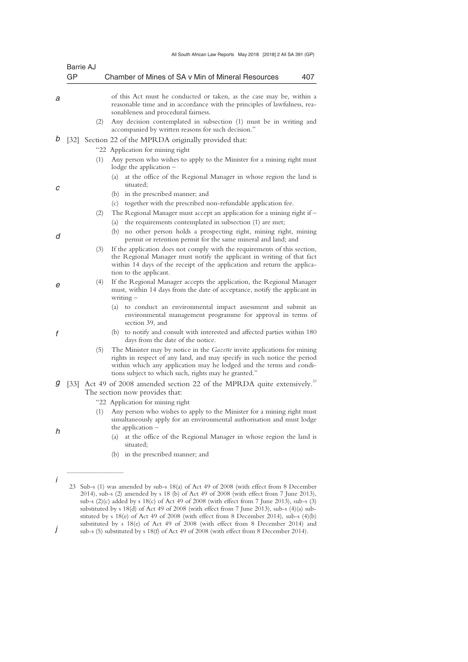| All South African Law Reports May 2018 [2018] 2 All SA 391 (GP) |  |
|-----------------------------------------------------------------|--|
|                                                                 |  |

|   | Barrie AJ<br>GP   | Chamber of Mines of SA v Min of Mineral Resources<br>407                                                                                                                                                                                                                            |
|---|-------------------|-------------------------------------------------------------------------------------------------------------------------------------------------------------------------------------------------------------------------------------------------------------------------------------|
|   |                   |                                                                                                                                                                                                                                                                                     |
|   |                   | of this Act must he conducted or taken, as the case may be, within a<br>reasonable time and in accordance with the principles of lawfulness, rea-<br>sonableness and procedural fairness.                                                                                           |
|   | (2)               | Any decision contemplated in subsection (1) must be in writing and<br>accompanied by written reasons for such decision."                                                                                                                                                            |
|   | $\left[32\right]$ | Section 22 of the MPRDA originally provided that:                                                                                                                                                                                                                                   |
|   |                   | "22 Application for mining right"                                                                                                                                                                                                                                                   |
|   | (1)               | Any person who wishes to apply to the Minister for a mining right must<br>lodge the application $-$                                                                                                                                                                                 |
|   |                   | at the office of the Regional Manager in whose region the land is<br>(a)<br>situated;                                                                                                                                                                                               |
|   |                   | (b) in the prescribed manner; and                                                                                                                                                                                                                                                   |
|   |                   | together with the prescribed non-refundable application fee.<br>(c)                                                                                                                                                                                                                 |
|   | (2)               | The Regional Manager must accept an application for a mining right if $-$<br>the requirements contemplated in subsection (1) are met;<br>(a)                                                                                                                                        |
| d |                   | (b) no other person holds a prospecting right, mining right, mining<br>permit or retention permit for the same mineral and land; and                                                                                                                                                |
|   | (3)               | If the application does not comply with the requirements of this section,<br>the Regional Manager must notify the applicant in writing of that fact<br>within 14 days of the receipt of the application and return the applica-<br>tion to the applicant.                           |
|   | (4)               | If the Regional Manager accepts the application, the Regional Manager<br>must, within 14 days from the date of acceptance, notify the applicant in<br>$writing -$                                                                                                                   |
|   |                   | (a) to conduct an environmental impact assessment and submit an<br>environmental management programme for approval in terms of<br>section 39, and                                                                                                                                   |
|   |                   | (b) to notify and consult with interested and affected parties within 180<br>days from the date of the notice.                                                                                                                                                                      |
|   | (5)               | The Minister may by notice in the Gazette invite applications for mining<br>rights in respect of any land, and may specify in such notice the period<br>within which any application may he lodged and the terms and condi-<br>tions subject to which such, rights may he granted." |
| g |                   | [33] Act 49 of 2008 amended section 22 of the MPRDA quite extensively. <sup>23</sup>                                                                                                                                                                                                |
|   |                   | The section now provides that:                                                                                                                                                                                                                                                      |
|   |                   | "22 Application for mining right                                                                                                                                                                                                                                                    |
|   | (1)               | Any person who wishes to apply to the Minister for a mining right must<br>simultaneously apply for an environmental authorisation and must lodge<br>the application $-$                                                                                                             |
| h |                   | at the office of the Regional Manager in whose region the land is<br>(a)<br>situated;                                                                                                                                                                                               |
|   |                   | (b) in the prescribed manner; and                                                                                                                                                                                                                                                   |

 <sup>23</sup> Sub-s (1) was amended by sub-s 18(a) of Act 49 of 2008 (with effect from 8 December 2014), sub-s (2) amended by s 18 (b) of Act 49 of 2008 (with effect from 7 June 2013), sub-s (2)(c) added by s 18(c) of Act 49 of 2008 (with effect from 7 June 2013), sub-s (3) substituted by s 18(d) of Act 49 of 2008 (with effect from 7 June 2013), sub-s (4)(a) substituted by s 18(e) of Act 49 of 2008 (with effect from 8 December 2014), sub-s (4)(b) substituted by s 18(e) of Act 49 of 2008 (with effect from 8 December 2014) and

*j*  sub-s (5) substituted by s 18(f) of Act 49 of 2008 (with effect from 8 December 2014).

*i*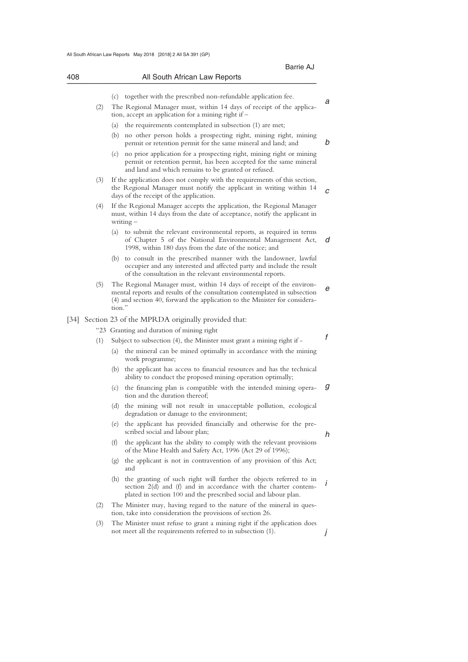|        |     |        | Barrie AJ                                                                                                                                                                                                                       |
|--------|-----|--------|---------------------------------------------------------------------------------------------------------------------------------------------------------------------------------------------------------------------------------|
| 408    |     |        | All South African Law Reports                                                                                                                                                                                                   |
|        |     | (c)    | together with the prescribed non-refundable application fee.                                                                                                                                                                    |
|        | (2) |        | The Regional Manager must, within 14 days of receipt of the applica-<br>tion, accept an application for a mining right if $-$                                                                                                   |
|        |     | (a)    | the requirements contemplated in subsection (1) are met;                                                                                                                                                                        |
|        |     |        | (b) no other person holds a prospecting right, mining right, mining<br>permit or retention permit for the same mineral and land; and                                                                                            |
|        |     | (c)    | no prior application for a prospecting right, mining right or mining<br>permit or retention permit, has been accepted for the same mineral<br>and land and which remains to be granted or refused.                              |
|        | (3) |        | If the application does not comply with the requirements of this section,<br>the Regional Manager must notify the applicant in writing within 14<br>days of the receipt of the application.                                     |
|        | (4) |        | If the Regional Manager accepts the application, the Regional Manager<br>must, within 14 days from the date of acceptance, notify the applicant in<br>$writing -$                                                               |
|        |     | (a)    | to submit the relevant environmental reports, as required in terms<br>of Chapter 5 of the National Environmental Management Act,<br>1998, within 180 days from the date of the notice; and                                      |
|        |     |        | (b) to consult in the prescribed manner with the landowner, lawful<br>occupier and any interested and affected party and include the result<br>of the consultation in the relevant environmental reports.                       |
|        | (5) | tion." | The Regional Manager must, within 14 days of receipt of the environ-<br>mental reports and results of the consultation contemplated in subsection<br>(4) and section 40, forward the application to the Minister for considera- |
| $[34]$ |     |        | Section 23 of the MPRDA originally provided that:                                                                                                                                                                               |
|        |     |        | "23 Granting and duration of mining right                                                                                                                                                                                       |
|        | (1) |        | Subject to subsection (4), the Minister must grant a mining right if –                                                                                                                                                          |
|        |     | (a)    | the mineral can be mined optimally in accordance with the mining<br>work programme;                                                                                                                                             |
|        |     | (b)    | the applicant has access to financial resources and has the technical<br>ability to conduct the proposed mining operation optimally;                                                                                            |
|        |     | (c)    | the financing plan is compatible with the intended mining opera-<br>tion and the duration thereof;                                                                                                                              |
|        |     |        | (d) the mining will not result in unacceptable pollution, ecological<br>degradation or damage to the environment;                                                                                                               |
|        |     | (e)    | the applicant has provided financially and otherwise for the pre-<br>scribed social and labour plan;                                                                                                                            |
|        |     | (f)    | the applicant has the ability to comply with the relevant provisions<br>of the Mine Health and Safety Act, 1996 (Act 29 of 1996);                                                                                               |
|        |     | (g)    | the applicant is not in contravention of any provision of this Act;<br>and                                                                                                                                                      |
|        |     | (h)    | the granting of such right will further the objects referred to in<br>section $2(d)$ and $(f)$ and in accordance with the charter contem-<br>plated in section 100 and the prescribed social and labour plan.                   |
|        | (2) |        | The Minister may, having regard to the nature of the mineral in ques-                                                                                                                                                           |

- tion, take into consideration the provisions of section 26.
- *j*  (3) The Minister must refuse to grant a mining right if the application does not meet all the requirements referred to in subsection (1).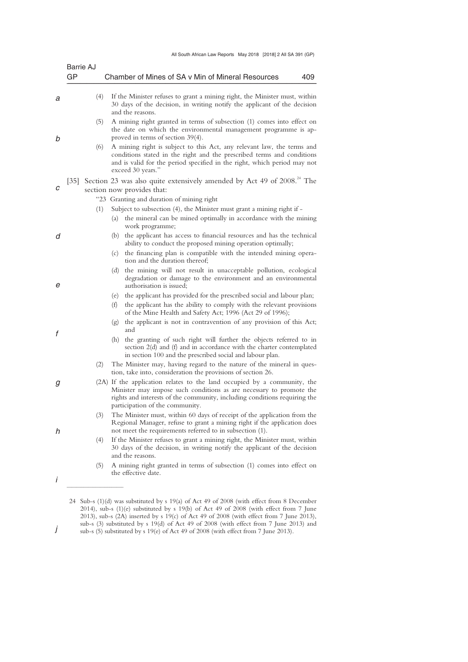| Barrie AJ<br>GP |     | Chamber of Mines of SA v Min of Mineral Resources<br>409                                                                                                                                                                                                        |
|-----------------|-----|-----------------------------------------------------------------------------------------------------------------------------------------------------------------------------------------------------------------------------------------------------------------|
|                 |     |                                                                                                                                                                                                                                                                 |
|                 | (4) | If the Minister refuses to grant a mining right, the Minister must, within<br>30 days of the decision, in writing notify the applicant of the decision<br>and the reasons.                                                                                      |
|                 | (5) | A mining right granted in terms of subsection (1) comes into effect on<br>the date on which the environmental management programme is ap-<br>proved in terms of section $39(4)$ .                                                                               |
|                 | (6) | A mining right is subject to this Act, any relevant law, the terms and<br>conditions stated in the right and the prescribed terms and conditions<br>and is valid for the period specified in the right, which period may not<br>exceed 30 years."               |
|                 |     | [35] Section 23 was also quite extensively amended by Act 49 of 2008. <sup>24</sup> The<br>section now provides that:                                                                                                                                           |
|                 |     | "23 Granting and duration of mining right                                                                                                                                                                                                                       |
|                 | (1) | Subject to subsection (4), the Minister must grant a mining right if -<br>(a) the mineral can be mined optimally in accordance with the mining<br>work programme;                                                                                               |
|                 |     | (b) the applicant has access to financial resources and has the technical<br>ability to conduct the proposed mining operation optimally;<br>(c) the financing plan is compatible with the intended mining opera-                                                |
|                 |     | tion and the duration thereof;<br>(d) the mining will not result in unacceptable pollution, ecological<br>degradation or damage to the environment and an environmental<br>authorisation is issued;                                                             |
|                 |     | (e) the applicant has provided for the prescribed social and labour plan;<br>(f)<br>the applicant has the ability to comply with the relevant provisions<br>of the Mine Health and Safety Act; 1996 (Act 29 of 1996);                                           |
|                 |     | the applicant is not in contravention of any provision of this Act;<br>(g)<br>and                                                                                                                                                                               |
|                 |     | the granting of such right will further the objects referred to in<br>(h)<br>section 2(d) and (f) and in accordance with the charter contemplated<br>in section 100 and the prescribed social and labour plan.                                                  |
|                 | (2) | The Minister may, having regard to the nature of the mineral in ques-<br>tion, take into, consideration the provisions of section 26.                                                                                                                           |
|                 |     | (2A) If the application relates to the land occupied by a community, the<br>Minister may impose such conditions as are necessary to promote the<br>rights and interests of the community, including conditions requiring the<br>participation of the community. |
|                 | (3) | The Minister must, within 60 days of receipt of the application from the<br>Regional Manager, refuse to grant a mining right if the application does<br>not meet the requirements referred to in subsection (1).                                                |
|                 | (4) | If the Minister refuses to grant a mining right, the Minister must, within<br>30 days of the decision, in writing notify the applicant of the decision<br>and the reasons.                                                                                      |
|                 | (5) | A mining right granted in terms of subsection (1) comes into effect on<br>the effective date.                                                                                                                                                                   |

 <sup>24</sup> Sub-s (1)(d) was substituted by s 19(a) of Act 49 of 2008 (with effect from 8 December 2014), sub-s (1)(e) substituted by s 19(b) of Act 49 of 2008 (with effect from 7 June 2013), sub-s (2A) inserted by s 19(c) of Act 49 of 2008 (with effect from 7 June 2013), sub-s (3) substituted by s 19(d) of Act 49 of 2008 (with effect from 7 June 2013) and

*j*  sub-s (5) substituted by s 19(e) of Act 49 of 2008 (with effect from 7 June 2013).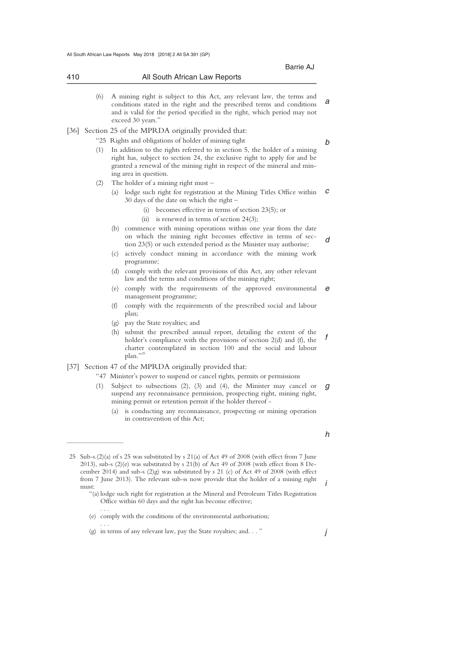|                   |     | Barrie AJ                                                                                                                                                                                                                                                    |
|-------------------|-----|--------------------------------------------------------------------------------------------------------------------------------------------------------------------------------------------------------------------------------------------------------------|
| 410               |     | All South African Law Reports                                                                                                                                                                                                                                |
|                   |     |                                                                                                                                                                                                                                                              |
|                   | (6) | A mining right is subject to this Act, any relevant law, the terms and<br>conditions stated in the right and the prescribed terms and conditions<br>and is valid for the period specified in the right, which period may not<br>exceed 30 years."            |
| $\left[36\right]$ |     | Section 25 of the MPRDA originally provided that:                                                                                                                                                                                                            |
|                   |     | "25 Rights and obligations of holder of mining tight                                                                                                                                                                                                         |
|                   | (1) | In addition to the rights referred to in section 5, the holder of a mining<br>right has, subject to section 24, the exclusive right to apply for and be<br>granted a renewal of the mining right in respect of the mineral and min-<br>ing area in question. |
|                   | (2) | The holder of a mining right must $-$                                                                                                                                                                                                                        |
|                   |     | lodge such right for registration at the Mining Titles Office within<br>(a)<br>30 days of the date on which the right -                                                                                                                                      |
|                   |     | (i) becomes effective in terms of section $23(5)$ ; or                                                                                                                                                                                                       |
|                   |     | (ii) is renewed in terms of section $24(3)$ ;                                                                                                                                                                                                                |
|                   |     | (b) commence with mining operations within one year from the date<br>on which the mining right becomes effective in terms of sec-<br>tion 23(5) or such extended period as the Minister may authorise;                                                       |
|                   |     | actively conduct mining in accordance with the mining work<br>(c)<br>programme;                                                                                                                                                                              |
|                   |     | comply with the relevant provisions of this Act, any other relevant<br>(d)<br>law and the terms and conditions of the mining right;                                                                                                                          |
|                   |     | (e) comply with the requirements of the approved environmental<br>management programme;                                                                                                                                                                      |
|                   |     | (f)<br>comply with the requirements of the prescribed social and labour<br>plan;                                                                                                                                                                             |
|                   |     | pay the State royalties; and<br>(g)                                                                                                                                                                                                                          |
|                   |     | (h)<br>submit the prescribed annual report, detailing the extent of the<br>holder's compliance with the provisions of section $2(d)$ and $(f)$ , the<br>charter contemplated in section 100 and the social and labour<br>plan."25                            |
| $[37]$            |     | Section 47 of the MPRDA originally provided that:                                                                                                                                                                                                            |
|                   |     | "47 Minister's power to suspend or cancel rights, permits or permissions                                                                                                                                                                                     |
|                   | (1) | Subject to subsections $(2)$ , $(3)$ and $(4)$ , the Minister may cancel or<br>suspend any reconnaissance permission, prospecting right, mining right,<br>mining permit or retention permit if the holder thereof -                                          |
|                   |     | is conducting any reconnaissance, prospecting or mining operation<br>(a)<br>in contravention of this Act;                                                                                                                                                    |

*h* 

*i* 

*j* 

 25 Sub-s.(2)(a) of s 25 was substituted by s 21(a) of Act 49 of 2008 (with effect from 7 June 2013), sub-s (2)(e) was substituted by s 21(b) of Act 49 of 2008 (with effect from 8 December 2014) and sub-s (2)g) was substituted by s 21 (c) of Act 49 of 2008 (with effect from 7 June 2013). The relevant sub-ss now provide that the holder of a mining right must:

 <sup>&</sup>quot;(a) lodge such right for registration at the Mineral and Petroleum Titles Registration Office within 60 days and the right has become effective; . . .

 <sup>(</sup>e) comply with the conditions of the environmental authorisation; . . .

 <sup>(</sup>g) in terms of any relevant law, pay the State royalties; and. . . "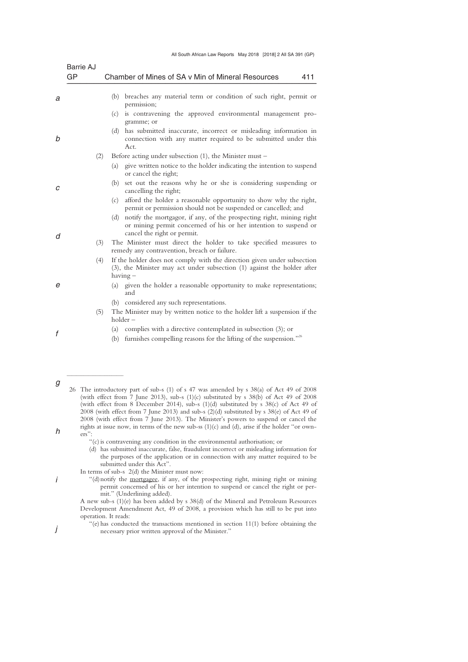| All South African Law Reports May 2018 [2018] 2 All SA 391 (GP) |  |  |  |
|-----------------------------------------------------------------|--|--|--|
|-----------------------------------------------------------------|--|--|--|

|   | Barrie AJ |                                                                                                                                                                                |
|---|-----------|--------------------------------------------------------------------------------------------------------------------------------------------------------------------------------|
|   | GP        | Chamber of Mines of SA v Min of Mineral Resources<br>411                                                                                                                       |
| a |           | (b) breaches any material term or condition of such right, permit or<br>permission;                                                                                            |
|   |           | (c) is contravening the approved environmental management pro-<br>gramme; or                                                                                                   |
| b |           | has submitted inaccurate, incorrect or misleading information in<br>(d)<br>connection with any matter required to be submitted under this<br>Act.                              |
|   | (2)       | Before acting under subsection $(1)$ , the Minister must –                                                                                                                     |
|   |           | (a)<br>give written notice to the holder indicating the intention to suspend<br>or cancel the right;                                                                           |
| C |           | set out the reasons why he or she is considering suspending or<br>(b)<br>cancelling the right;                                                                                 |
|   |           | afford the holder a reasonable opportunity to show why the right,<br>(c)<br>permit or permission should not be suspended or cancelled; and                                     |
| d |           | notify the mortgagor, if any, of the prospecting right, mining right<br>(d)<br>or mining permit concerned of his or her intention to suspend or<br>cancel the right or permit. |
|   | (3)       | The Minister must direct the holder to take specified measures to<br>remedy any contravention, breach or failure.                                                              |
|   | (4)       | If the holder does not comply with the direction given under subsection<br>$(3)$ , the Minister may act under subsection $(1)$ against the holder after<br>having –            |
| е |           | (a) given the holder a reasonable opportunity to make representations;<br>and                                                                                                  |
|   |           | (b) considered any such representations.                                                                                                                                       |
|   | (5)       | The Minister may by written notice to the holder lift a suspension if the<br>$holder -$                                                                                        |
| f |           | (a) complies with a directive contemplated in subsection $(3)$ ; or                                                                                                            |
|   |           | furnishes compelling reasons for the lifting of the suspension."26<br>(b)                                                                                                      |
|   |           |                                                                                                                                                                                |

*g h*  26 The introductory part of sub-s (1) of s 47 was amended by s 38(a) of Act 49 of 2008 (with effect from 7 June 2013), sub-s  $(1)(c)$  substituted by s 38(b) of Act 49 of 2008 (with effect from 8 December 2014), sub-s (1)(d) substituted by s 38(c) of Act 49 of 2008 (with effect from 7 June 2013) and sub-s (2)(d) substituted by s 38(e) of Act 49 of 2008 (with effect from 7 June 2013). The Minister's powers to suspend or cancel the rights at issue now, in terms of the new sub-ss  $(1)(c)$  and  $(d)$ , arise if the holder "or owners":

 (d) has submitted inaccurate, false, fraudulent incorrect or misleading information for the purposes of the application or in connection with any matter required to be submitted under this Act".

*i* 

 $\frac{1}{2}$  , and the set of the set of the set of the set of the set of the set of the set of the set of the set of the set of the set of the set of the set of the set of the set of the set of the set of the set of the set

*j* 

 "(d) notify the mortgagee, if any, of the prospecting right, mining right or mining permit concerned of his or her intention to suspend or cancel the right or permit." (Underlining added).

 <sup>&</sup>quot;(c) is contravening any condition in the environmental authorisation; or

In terms of sub-s 2(d) the Minister must now:

A new sub-s (1)(e) has been added by s 38(d) of the Mineral and Petroleum Resources Development Amendment Act, 49 of 2008, a provision which has still to be put into operation. It reads:

 <sup>&</sup>quot;(e) has conducted the transactions mentioned in section 11(1) before obtaining the necessary prior written approval of the Minister."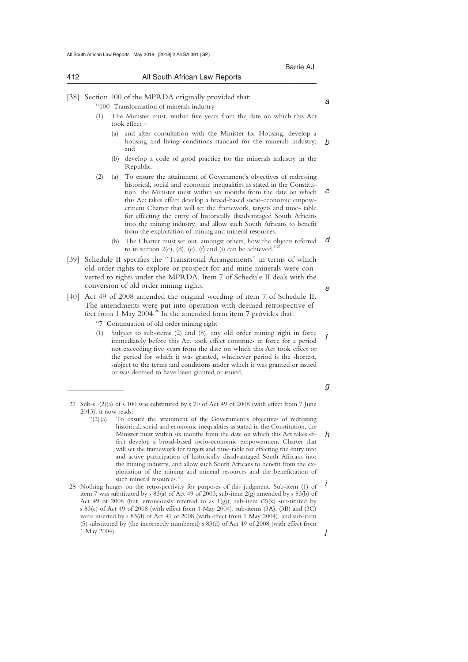| 412  |     |     | All South African Law Reports                                                                                                                                                                                                                                                                                                                                                                                                                                                                                                                                           |   |
|------|-----|-----|-------------------------------------------------------------------------------------------------------------------------------------------------------------------------------------------------------------------------------------------------------------------------------------------------------------------------------------------------------------------------------------------------------------------------------------------------------------------------------------------------------------------------------------------------------------------------|---|
| 38   |     |     | Section 100 of the MPRDA originally provided that:<br>"100 Transformation of minerals industry                                                                                                                                                                                                                                                                                                                                                                                                                                                                          | a |
|      | (1) |     | The Minister must, within five years from the date on which this Act<br>took effect $-$                                                                                                                                                                                                                                                                                                                                                                                                                                                                                 |   |
|      |     | (a) | and after consultation with the Minister for Housing, develop a<br>housing and living conditions standard for the minerals industry;<br>and                                                                                                                                                                                                                                                                                                                                                                                                                             | h |
|      |     | (b) | develop a code of good practice for the minerals industry in the<br>Republic.                                                                                                                                                                                                                                                                                                                                                                                                                                                                                           |   |
|      | (2) |     | (a) To ensure the attainment of Government's objectives of redressing<br>historical, social and economic inequalities as stated in the Constitu-<br>tion, the Minister must within six months from the date on which<br>this Act takes effect develop a broad-based socio-economic empow-<br>erment Charter that will set the framework, targets and time-table<br>for effecting the entry of historically disadvantaged South Africans<br>into the mining industry, and allow such South Africans to benefit<br>from the exploitation of mining and mineral resources. | С |
|      |     |     | (b) The Charter must set out, amongst others, how the objects referred<br>to in section $2(c)$ , (d), (e), (f) and (i) can be achieved." <sup>27</sup>                                                                                                                                                                                                                                                                                                                                                                                                                  | d |
| [39] |     |     | Schedule II specifies the "Transitional Arrangements" in terms of which<br>old order rights to explore or prospect for and mine minerals were con-<br>verted to rights under the MPRDA. Item 7 of Schedule II deals with the<br>conversion of old order mining rights.                                                                                                                                                                                                                                                                                                  | е |
|      |     |     |                                                                                                                                                                                                                                                                                                                                                                                                                                                                                                                                                                         |   |

[40] Act 49 of 2008 amended the original wording of item 7 of Schedule II. The amendments were put into operation with deemed retrospective effect from 1 May 2004. $^{28}$  In the amended form item 7 provides that:

"7 Continuation of old order mining right

 $\frac{1}{2}$  , and the set of the set of the set of the set of the set of the set of the set of the set of the set of the set of the set of the set of the set of the set of the set of the set of the set of the set of the set

*f*  (1) Subject to sub-items (2) and (8), any old order mining right in force immediately before this Act took effect continues in force for a period not exceeding five years from the date on which this Act took effect or the period for which it was granted, whichever period is the shortest, subject to the terms and conditions under which it was granted or issued or was deemed to have been granted or issued,

*g* 

 <sup>27</sup> Sub-s (2)(a) of s 100 was substituted by s 70 of Act 49 of 2008 (with effect from 7 June 2013). it now reads:<br>"(2)(a) To en

*h*  To ensure the attainment of the Government's objectives of redressing historical, social and economic inequalities as stated in the Constitution, the Minister must within six months from the date on which this Act takes effect develop a broad-based socio-economic empowerment Charter that will set the framework for targets and time-table for effecting the entry into and active participation of historically disadvantaged South Africans into the mining industry, and allow such South Africans to benefit from the exploitation of the mining and mineral resources and the beneficiation of such mineral resources.

*i j*  28 Nothing hinges on the retrospectivity for purposes of this judgment. Sub-item (1) of item 7 was substituted by s  $83(a)$  of Act 49 of 2003, sub-item  $2(g)$  amended by s  $83(b)$  of Act 49 of 2008 (but, erroneously referred to as 1(g)), sub-item (2)(k) substituted by s 83(c) of Act 49 of 2008 (with effect from 1 May 2004), sub-items (3A), (3B) and (3C) were inserted by s 83(d) of Act 49 of 2008 (with effect from 1 May 2004), and sub-item (5) substituted by (the incorrectly numbered) s 83(d) of Act 49 of 2008 (with effect from 1 May 2004).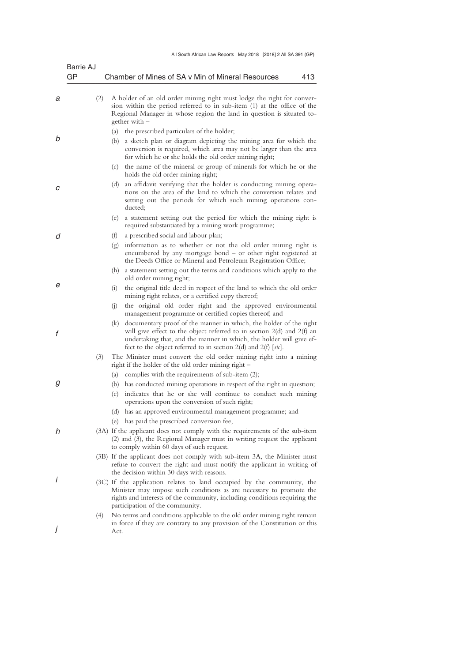| Barrie AJ<br>GP |     | Chamber of Mines of SA v Min of Mineral Resources<br>413                                                                                                                                                                                                                                      |
|-----------------|-----|-----------------------------------------------------------------------------------------------------------------------------------------------------------------------------------------------------------------------------------------------------------------------------------------------|
| а               | (2) | A holder of an old order mining right must lodge the right for conver-<br>sion within the period referred to in sub-item (1) at the office of the<br>Regional Manager in whose region the land in question is situated to-<br>gether with $-$                                                 |
|                 |     | (a)<br>the prescribed particulars of the holder;                                                                                                                                                                                                                                              |
|                 |     | a sketch plan or diagram depicting the mining area for which the<br>(b)<br>conversion is required, which area may not be larger than the area<br>for which he or she holds the old order mining right;                                                                                        |
|                 |     | (c) the name of the mineral or group of minerals for which he or she<br>holds the old order mining right;                                                                                                                                                                                     |
|                 |     | an affidavit verifying that the holder is conducting mining opera-<br>(d)<br>tions on the area of the land to which the conversion relates and<br>setting out the periods for which such mining operations con-<br>ducted;                                                                    |
|                 |     | a statement setting out the period for which the mining right is<br>(e)<br>required substantiated by a mining work programme;                                                                                                                                                                 |
|                 |     | (f)<br>a prescribed social and labour plan;                                                                                                                                                                                                                                                   |
|                 |     | information as to whether or not the old order mining right is<br>(g)<br>encumbered by any mortgage bond - or other right registered at<br>the Deeds Office or Mineral and Petroleum Registration Office;                                                                                     |
|                 |     | a statement setting out the terms and conditions which apply to the<br>(h)<br>old order mining right;                                                                                                                                                                                         |
|                 |     | (i)<br>the original title deed in respect of the land to which the old order<br>mining right relates, or a certified copy thereof;                                                                                                                                                            |
|                 |     | the original old order right and the approved environmental<br>(i)<br>management programme or certified copies thereof; and                                                                                                                                                                   |
|                 |     | (k) documentary proof of the manner in which, the holder of the right<br>will give effect to the object referred to in section $2(d)$ and $2(f)$ and<br>undertaking that, and the manner in which, the holder will give ef-<br>fect to the object referred to in section 2(d) and 2(f) [sic]. |
|                 | (3) | The Minister must convert the old order mining right into a mining<br>right if the holder of the old order mining right $-$                                                                                                                                                                   |
|                 |     | (a) complies with the requirements of sub-item $(2)$ ;                                                                                                                                                                                                                                        |
|                 |     | (b) has conducted mining operations in respect of the right in question;                                                                                                                                                                                                                      |
|                 |     | (c)<br>indicates that he or she will continue to conduct such mining<br>operations upon the conversion of such right;                                                                                                                                                                         |
|                 |     | (d) has an approved environmental management programme; and                                                                                                                                                                                                                                   |
|                 |     | (e) has paid the prescribed conversion fee,                                                                                                                                                                                                                                                   |
|                 |     | (3A) If the applicant does not comply with the requirements of the sub-item<br>(2) and (3), the Regional Manager must in writing request the applicant<br>to comply within 60 days of such request.                                                                                           |
|                 |     | (3B) If the applicant does not comply with sub-item 3A, the Minister must<br>refuse to convert the right and must notify the applicant in writing of<br>the decision within 30 days with reasons.                                                                                             |
|                 |     | (3C) If the application relates to land occupied by the community, the<br>Minister may impose such conditions as are necessary to promote the<br>rights and interests of the community, including conditions requiring the<br>participation of the community.                                 |
|                 | (4) | No terms and conditions applicable to the old order mining right remain                                                                                                                                                                                                                       |
|                 |     | in force if they are contrary to any provision of the Constitution or this<br>Act.                                                                                                                                                                                                            |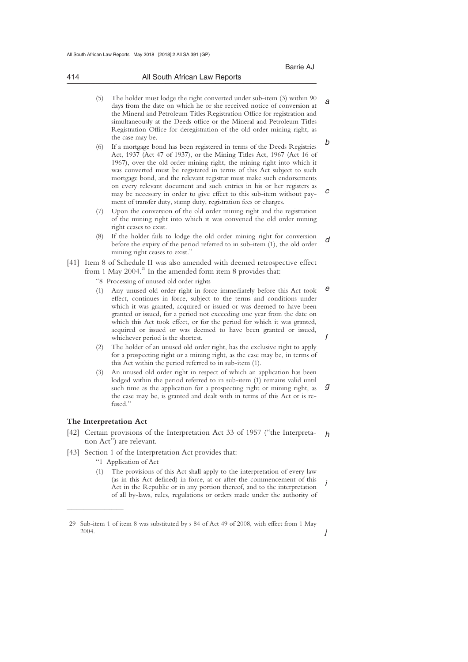|     |               |                  |  |  |  |  |  | Barrie AJ                     |  |  |     |  |
|-----|---------------|------------------|--|--|--|--|--|-------------------------------|--|--|-----|--|
| 414 |               |                  |  |  |  |  |  | All South African Law Reports |  |  |     |  |
|     | $\rightarrow$ | $-1$ $1$ $1$ $1$ |  |  |  |  |  |                               |  |  | (2) |  |

- *a b*  (5) The holder must lodge the right converted under sub-item (3) within 90 days from the date on which he or she received notice of conversion at the Mineral and Petroleum Titles Registration Office for registration and simultaneously at the Deeds office or the Mineral and Petroleum Titles Registration Office for deregistration of the old order mining right, as the case may be.
- *c*  (6) If a mortgage bond has been registered in terms of the Deeds Registries Act, 1937 (Act 47 of 1937), or the Mining Titles Act, 1967 (Act 16 of 1967), over the old order mining right, the mining right into which it was converted must be registered in terms of this Act subject to such mortgage bond, and the relevant registrar must make such endorsements on every relevant document and such entries in his or her registers as may be necessary in order to give effect to this sub-item without payment of transfer duty, stamp duty, registration fees or charges.
- Upon the conversion of the old order mining right and the registration of the mining right into which it was convened the old order mining right ceases to exist.
- *d*  (8) If the holder fails to lodge the old order mining right for conversion before the expiry of the period referred to in sub-item (1), the old order mining right ceases to exist."
- [41] Item 8 of Schedule II was also amended with deemed retrospective effect from 1 May 2004.<sup>29</sup> In the amended form item 8 provides that:
	- "8 Processing of unused old order rights
	- *e f*  (1) Any unused old order right in force immediately before this Act took effect, continues in force, subject to the terms and conditions under which it was granted, acquired or issued or was deemed to have been granted or issued, for a period not exceeding one year from the date on which this Act took effect, or for the period for which it was granted, acquired or issued or was deemed to have been granted or issued, whichever period is the shortest.
	- (2) The holder of an unused old order right, has the exclusive right to apply for a prospecting right or a mining right, as the case may be, in terms of this Act within the period referred to in sub-item (1).
	- *g*  (3) An unused old order right in respect of which an application has been lodged within the period referred to in sub-item (1) remains valid until such time as the application for a prospecting right or mining right, as the case may be, is granted and dealt with in terms of this Act or is refused."

# **The Interpretation Act**

 $\overline{\phantom{a}}$  , where  $\overline{\phantom{a}}$ 

- *h*  [42] Certain provisions of the Interpretation Act 33 of 1957 ("the Interpretation Act") are relevant.
- [43] Section 1 of the Interpretation Act provides that:
	- "1 Application of Act
	- *i*  The provisions of this Act shall apply to the interpretation of every law (as in this Act defined) in force, at or after the commencement of this Act in the Republic or in any portion thereof, and to the interpretation of all by-laws, rules, regulations or orders made under the authority of

*j* 

 <sup>29</sup> Sub-item 1 of item 8 was substituted by s 84 of Act 49 of 2008, with effect from 1 May 2004.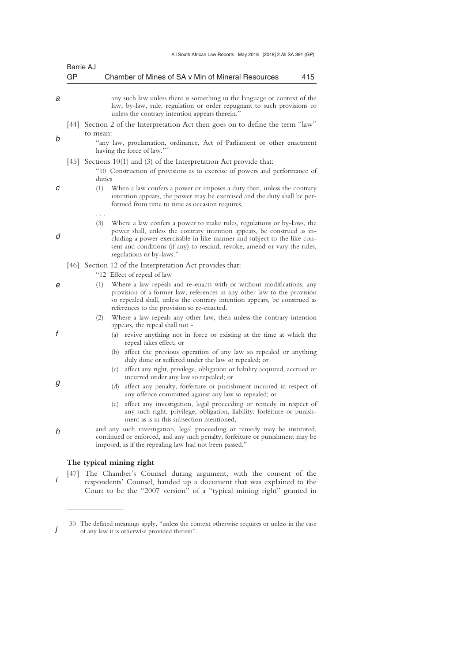|    | Barrie AJ                                                                                                                                                                                                                                                                                                                                                                                          |
|----|----------------------------------------------------------------------------------------------------------------------------------------------------------------------------------------------------------------------------------------------------------------------------------------------------------------------------------------------------------------------------------------------------|
| GP | Chamber of Mines of SA v Min of Mineral Resources<br>415                                                                                                                                                                                                                                                                                                                                           |
|    | any such law unless there is something in the language or context of the<br>law, by-law, rule, regulation or order repugnant to such provisions or<br>unless the contrary intention appears therein."                                                                                                                                                                                              |
|    | [44] Section 2 of the Interpretation Act then goes on to define the term "law"<br>to mean:<br>"any law, proclamation, ordinance, Act of Parliament or other enactment<br>having the force of law."30                                                                                                                                                                                               |
|    | [45] Sections 10(1) and (3) of the Interpretation Act provide that:<br>"10 Construction of provisions as to exercise of powers and performance of<br>duties<br>(1)<br>When a law confers a power or imposes a duty then, unless the contrary<br>intention appears, the power may be exercised and the duty shall be per-<br>formed from time to time as occasion requires,                         |
|    | .<br>(3)<br>Where a law confers a power to make rules, regulations or by-laws, the<br>power shall, unless the contrary intention appears, be construed as in-<br>cluding a power exercisable in like manner and subject to the like con-<br>sent and conditions (if any) to rescind, revoke, amend or vary the rules,<br>regulations or by-laws."                                                  |
|    | [46] Section 12 of the Interpretation Act provides that:<br>"12 Effect of repeal of law<br>Where a law repeals and re-enacts with or without modifications, any<br>(1)<br>provision of a former law, references in any other law to the provision<br>so repealed shall, unless the contrary intention appears, be construed as<br>references to the provision so re-enacted.                       |
|    | Where a law repeals any other law, then unless the contrary intention<br>(2)<br>appears, the repeal shall not –<br>revive anything not in force or existing at the time at which the<br>(a)<br>repeal takes effect; or<br>(b) affect the previous operation of any law so repealed or anything                                                                                                     |
|    | duly done or suffered under the law so repealed; or<br>(c) affect any right, privilege, obligation or liability acquired, accrued or<br>incurred under any law so repealed; or<br>affect any penalty, forfeiture or punishment incurred in respect of<br>(d)<br>any offence committed against any law so repealed; or<br>affect any investigation, legal proceeding or remedy in respect of<br>(e) |
|    | any such right, privilege, obligation, liability, forfeiture or punish-<br>ment as is in this subsection mentioned,<br>and any such investigation, legal proceeding or remedy may be instituted,<br>continued or enforced, and any such penalty, forfeiture or punishment may be<br>imposed, as if the repealing law had not been passed."                                                         |

# **The typical mining right**

 $\overline{\phantom{a}}$  , where  $\overline{\phantom{a}}$ 

*i*  [47] The Chamber's Counsel during argument, with the consent of the respondents' Counsel, handed up a document that was explained to the Court to be the "2007 version" of a "typical mining right" granted in

*j*  30 The defined meanings apply, "unless the context otherwise requires or unless in the case of any law it is otherwise provided therein".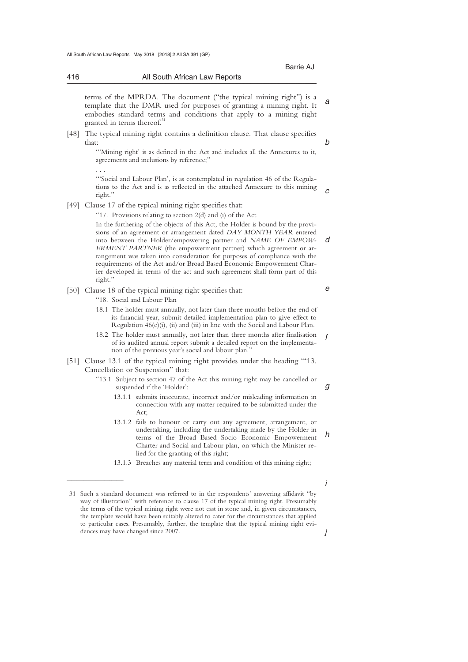416 All South African Law Reports

*b* 

*d* 

*e* 

*g* 

| terms of the MPRDA. The document ("the typical mining right") is a     |  |
|------------------------------------------------------------------------|--|
| template that the DMR used for purposes of granting a mining right. It |  |
| embodies standard terms and conditions that apply to a mining right    |  |
| granted in terms thereof. <sup>31</sup>                                |  |

[48] The typical mining right contains a definition clause. That clause specifies that:

\_\_\_\_\_\_\_\_\_\_\_\_\_\_\_\_\_\_\_\_\_\_\_\_\_\_\_\_\_\_\_\_\_\_\_\_\_\_\_\_\_\_\_\_\_\_\_\_\_\_\_\_\_\_\_\_\_\_\_\_\_\_\_\_\_\_\_\_\_\_\_\_\_\_\_\_\_\_\_\_\_\_\_\_\_\_\_\_\_\_\_\_\_\_\_\_\_\_\_\_\_\_\_\_\_\_\_\_\_\_\_\_\_\_\_\_\_\_\_\_\_\_\_\_\_\_\_\_\_\_\_\_\_\_\_\_\_\_\_\_\_\_\_

"'Mining right' is as defined in the Act and includes all the Annexures to it, agreements and inclusions by reference;"

. . .

right."

 $\frac{1}{2}$  , and the set of the set of the set of the set of the set of the set of the set of the set of the set of the set of the set of the set of the set of the set of the set of the set of the set of the set of the set

*c*  '"Social and Labour Plan', is as contemplated in regulation 46 of the Regulations to the Act and is as reflected in the attached Annexure to this mining right."

[49] Clause 17 of the typical mining right specifies that:

"17. Provisions relating to section 2(d) and (i) of the Act In the furthering of the objects of this Act, the Holder is bound by the provisions of an agreement or arrangement dated *DAY MONTH YEAR* entered into between the Holder/empowering partner and *NAME OF EMPOW-ERMENT PARTNER* (the empowerment partner) which agreement or arrangement was taken into consideration for purposes of compliance with the requirements of the Act and/or Broad Based Economic Empowerment Charier developed in terms of the act and such agreement shall form part of this

- [50] Clause 18 of the typical mining right specifies that:
	- "18. Social and Labour Plan
	- 18.1 The holder must annually, not later than three months before the end of its financial year, submit detailed implementation plan to give effect to Regulation 46(e)(i), (ii) and (iii) in line with the Social and Labour Plan.
	- *f*  18.2 The holder must annually, not later than three months after finalisation of its audited annual report submit a detailed report on the implementation of the previous year's social and labour plan."
- [51] Clause 13.1 of the typical mining right provides under the heading '"13. Cancellation or Suspension" that:
	- "13.1 Subject to section 47 of the Act this mining right may be cancelled or suspended if the 'Holder':
		- 13.1.1 submits inaccurate, incorrect and/or misleading information in connection with any matter required to be submitted under the Act;
		- *h*  13.1.2 fails to honour or carry out any agreement, arrangement, or undertaking, including the undertaking made by the Holder in terms of the Broad Based Socio Economic Empowerment Charter and Social and Labour plan, on which the Minister relied for the granting of this right;
		- 13.1.3 Breaches any material term and condition of this mining right;

*j* 

*i* 

 <sup>31</sup> Such a standard document was referred to in the respondents' answering affidavit "by way of illustration" with reference to clause 17 of the typical mining right. Presumably the terms of the typical mining right were not cast in stone and, in given circumstances, the template would have been suitably altered to cater for the circumstances that applied to particular cases. Presumably, further, the template that the typical mining right evidences may have changed since 2007.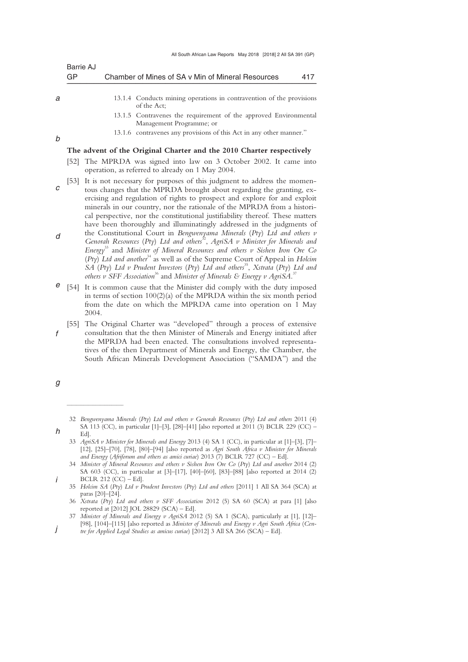|   | Barrie AJ |                                                                                                                                                                                                                                                                                                                                                                                           |  |
|---|-----------|-------------------------------------------------------------------------------------------------------------------------------------------------------------------------------------------------------------------------------------------------------------------------------------------------------------------------------------------------------------------------------------------|--|
|   | GP        | Chamber of Mines of SA v Min of Mineral Resources<br>417                                                                                                                                                                                                                                                                                                                                  |  |
|   |           |                                                                                                                                                                                                                                                                                                                                                                                           |  |
| а |           | 13.1.4 Conducts mining operations in contravention of the provisions<br>of the Act:                                                                                                                                                                                                                                                                                                       |  |
|   |           | 13.1.5 Contravenes the requirement of the approved Environmental<br>Management Programme; or                                                                                                                                                                                                                                                                                              |  |
| b |           | 13.1.6 contravenes any provisions of this Act in any other manner."                                                                                                                                                                                                                                                                                                                       |  |
|   |           | The advent of the Original Charter and the 2010 Charter respectively                                                                                                                                                                                                                                                                                                                      |  |
|   | 1521      | The MPRDA was signed into law on 3 October 2002. It came into<br>operation, as referred to already on 1 May 2004.                                                                                                                                                                                                                                                                         |  |
| С | [53]      | It is not necessary for purposes of this judgment to address the momen-<br>tous changes that the MPRDA brought about regarding the granting, ex-<br>ercising and regulation of rights to prospect and explore for and exploit<br>minerals in our country, nor the rationale of the MPRDA from a histori-<br>cal perspective, nor the constitutional justifiability thereof. These matters |  |
| d |           | have been thoroughly and illuminatingly addressed in the judgments of<br>the Constitutional Court in Bengwenyama Minerals (Pty) Ltd and others $v$<br>$1.7 \t\t (D_1 \t C_2 1 + 1 + 1 + 3^2 + 1 + 0 + 1 + 1 + 1 + 1)$                                                                                                                                                                     |  |

- Genorah Resources (Pty) Ltd and others<sup>32</sup>, AgriSA v Minister for Minerals and *Energy*<sup>33</sup> and *Minister of Mineral Resources and others v Sishen Iron Ore Co*  (*Pty*) *Ltd and another*34 as well as of the Supreme Court of Appeal in *Holcim SA* (*Pty*) *Ltd v Prudent Investors* (*Pty*) *Ltd and others*<sup>35</sup> , *Xstrata* (*Pty*) *Ltd and*  others  $v$  SFF Association<sup>36</sup> and Minister of Minerals & Energy  $v$  AgriSA.<sup>37</sup>
- *e*  [54] It is common cause that the Minister did comply with the duty imposed in terms of section 100(2)(a) of the MPRDA within the six month period from the date on which the MPRDA came into operation on 1 May 2004.

*f*  [55] The Original Charter was "developed" through a process of extensive consultation that the then Minister of Minerals and Energy initiated after the MPRDA had been enacted. The consultations involved representatives of the then Department of Minerals and Energy, the Chamber, the South African Minerals Development Association ("SAMDA") and the

*h* 

 $\overline{\phantom{a}}$  , where  $\overline{\phantom{a}}$ 

*i* 

*j* 

- 33 *AgriSA v Minister for Minerals and Energy* 2013 (4) SA 1 (CC), in particular at [1]–[3], [7]– [12], [25]–[70], [78], [80]–[94] [also reported as *Agri South Africa v Minister for Minerals and Energy* (*Afriforum and others as amici curiae*) 2013 (7) BCLR 727 (CC) – Ed].
- 34 *Minister of Mineral Resources and others v Sishen Iron Ore Co* (*Pty*) *Ltd and another* 2014 (2) SA 603 (CC), in particular at [3]–[17], [40]–[60], [83]–[88] [also reported at 2014 (2) BCLR 212 (CC) – Ed].

*g* 

 <sup>32</sup> *Bengwenyama Minerals* (*Pty*) *Ltd and others v Genorah Resources* (*Pty*) *Ltd and others* 2011 (4) SA 113 (CC), in particular [1]–[3], [28]–[41] [also reported at 2011 (3) BCLR 229 (CC) – Ed].

 <sup>35</sup> *Holcim SA* (*Pty*) *Ltd v Prudent Investors* (*Pty*) *Ltd and others* [2011] 1 All SA 364 (SCA) at paras [20]–[24].

 <sup>36</sup> *Xstrata* (*Pty*) *Ltd and others v SFF Association* 2012 (5) SA 60 (SCA) at para [1] [also reported at [2012] JOL 28829 (SCA) – Ed].

 <sup>37</sup> *Minister of Minerals and Energy v AgriSA* 2012 (5) SA 1 (SCA), particularly at [1], [12]– [98], [104]–[115] [also reported as *Minister of Minerals and Energy v Agri South Africa* (*Centre for Applied Legal Studies as amicus curiae*) [2012] 3 All SA 266 (SCA) – Ed].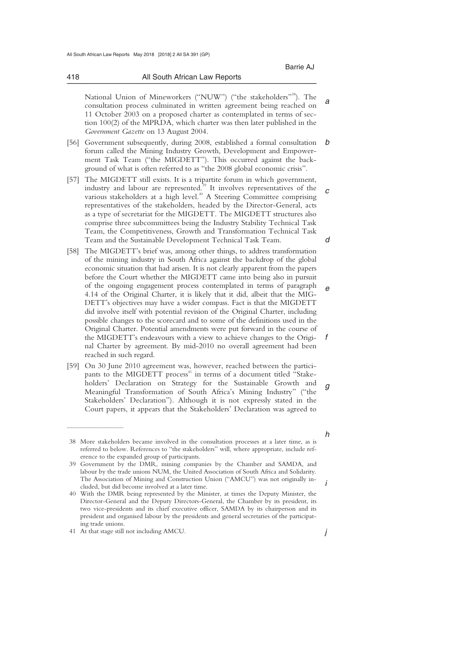418 All South African Law Reports

*a*  National Union of Mineworkers ("NUW") ("the stakeholders"<sup>38</sup>). The consultation process culminated in written agreement being reached on 11 October 2003 on a proposed charter as contemplated in terms of section 100(2) of the MPRDA, which charter was then later published in the *Government Gazette* on 13 August 2004.

\_\_\_\_\_\_\_\_\_\_\_\_\_\_\_\_\_\_\_\_\_\_\_\_\_\_\_\_\_\_\_\_\_\_\_\_\_\_\_\_\_\_\_\_\_\_\_\_\_\_\_\_\_\_\_\_\_\_\_\_\_\_\_\_\_\_\_\_\_\_\_\_\_\_\_\_\_\_\_\_\_\_\_\_\_\_\_\_\_\_\_\_\_\_\_\_\_\_\_\_\_\_\_\_\_\_\_\_\_\_\_\_\_\_\_\_\_\_\_\_\_\_\_\_\_\_\_\_\_\_\_\_\_\_\_\_\_\_\_\_\_\_\_

- *b*  [56] Government subsequently, during 2008, established a formal consultation forum called the Mining Industry Growth, Development and Empowerment Task Team ("the MIGDETT"). This occurred against the background of what is often referred to as "the 2008 global economic crisis".
- *c d*  [57] The MIGDETT still exists. It is a tripartite forum in which government, industry and labour are represented.<sup>39</sup> It involves representatives of the various stakeholders at a high level.<sup>40</sup> A Steering Committee comprising representatives of the stakeholders, headed by the Director-General, acts as a type of secretariat for the MIGDETT. The MIGDETT structures also comprise three subcommittees being the Industry Stability Technical Task Team, the Competitiveness, Growth and Transformation Technical Task Team and the Sustainable Development Technical Task Team.
- *e f*  [58] The MIGDETT's brief was, among other things, to address transformation of the mining industry in South Africa against the backdrop of the global economic situation that had arisen. It is not clearly apparent from the papers before the Court whether the MIGDETT came into being also in pursuit of the ongoing engagement process contemplated in terms of paragraph 4.14 of the Original Charter, it is likely that it did, albeit that the MIG-DETT's objectives may have a wider compass. Fact is that the MIGDETT did involve itself with potential revision of the Original Charter, including possible changes to the scorecard and to some of the definitions used in the Original Charter. Potential amendments were put forward in the course of the MIGDETT's endeavours with a view to achieve changes to the Original Charter by agreement. By mid-2010 no overall agreement had been reached in such regard.
- *g*  [59] On 30 June 2010 agreement was, however, reached between the participants to the MIGDETT process<sup>41</sup> in terms of a document titled "Stakeholders' Declaration on Strategy for the Sustainable Growth and Meaningful Transformation of South Africa's Mining Industry" ("the Stakeholders' Declaration"). Although it is not expressly stated in the Court papers, it appears that the Stakeholders' Declaration was agreed to

 $\overline{\phantom{a}}$  , where  $\overline{\phantom{a}}$ 

*i* 

*h* 

 <sup>38</sup> More stakeholders became involved in the consultation processes at a later time, as is referred to below. References to "the stakeholders" will, where appropriate, include reference to the expanded group of participants.

 <sup>39</sup> Government by the DMR, mining companies by the Chamber and SAMDA, and labour by the trade unions NUM, the United Association of South Africa and Solidarity. The Association of Mining and Construction Union ("AMCU") was not originally included, but did become involved at a later time.

 <sup>40</sup> With the DMR being represented by the Minister, at times the Deputy Minister, the Director-General and the Deputy Directors-General, the Chamber by its president, its two vice-presidents and its chief executive officer, SAMDA by its chairperson and its president and organised labour by the presidents and general secretaries of the participating trade unions.

 <sup>41</sup> At that stage still not including AMCU.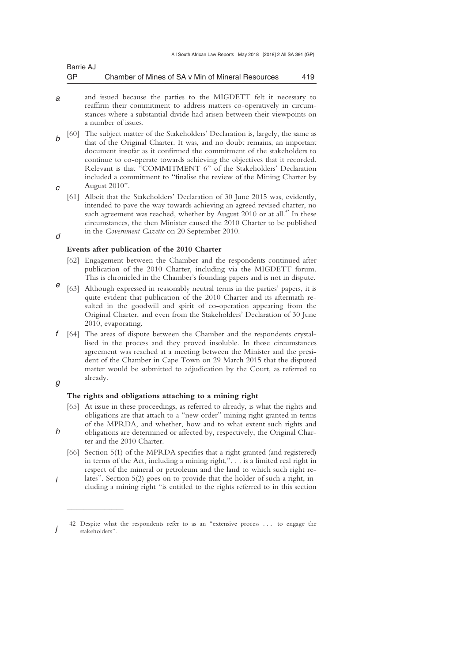| Barrie AJ |                                                   |     |
|-----------|---------------------------------------------------|-----|
| GP        | Chamber of Mines of SA v Min of Mineral Resources | 419 |

- *a*  and issued because the parties to the MIGDETT felt it necessary to reaffirm their commitment to address matters co-operatively in circumstances where a substantial divide had arisen between their viewpoints on a number of issues.
- *b c*  [60] The subject matter of the Stakeholders' Declaration is, largely, the same as that of the Original Charter. It was, and no doubt remains, an important document insofar as it confirmed the commitment of the stakeholders to continue to co-operate towards achieving the objectives that it recorded. Relevant is that "COMMITMENT 6" of the Stakeholders' Declaration included a commitment to "finalise the review of the Mining Charter by August 2010".
	- [61] Albeit that the Stakeholders' Declaration of 30 June 2015 was, evidently, intended to pave the way towards achieving an agreed revised charter, no such agreement was reached, whether by August  $2010$  or at all.<sup>42</sup> In these circumstances, the then Minister caused the 2010 Charter to be published in the *Government Gazette* on 20 September 2010.

#### **Events after publication of the 2010 Charter**

- [62] Engagement between the Chamber and the respondents continued after publication of the 2010 Charter, including via the MIGDETT forum. This is chronicled in the Chamber's founding papers and is not in dispute.
- *e*  [63] Although expressed in reasonably neutral terms in the parties' papers, it is quite evident that publication of the 2010 Charter and its aftermath resulted in the goodwill and spirit of co-operation appearing from the Original Charter, and even from the Stakeholders' Declaration of 30 June 2010, evaporating.
- *f*  [64] The areas of dispute between the Chamber and the respondents crystallised in the process and they proved insoluble. In those circumstances agreement was reached at a meeting between the Minister and the president of the Chamber in Cape Town on 29 March 2015 that the disputed matter would be submitted to adjudication by the Court, as referred to already.

## *g*

*h* 

 $\overline{\phantom{a}}$  , where  $\overline{\phantom{a}}$ 

*d* 

### **The rights and obligations attaching to a mining right**

- [65] At issue in these proceedings, as referred to already, is what the rights and obligations are that attach to a "new order" mining right granted in terms of the MPRDA, and whether, how and to what extent such rights and obligations are determined or affected by, respectively, the Original Char-
- ter and the 2010 Charter. [66] Section 5(1) of the MPRDA specifies that a right granted (and registered) in terms of the Act, including a mining right,". . . is a limited real right in respect of the mineral or petroleum and the land to which such right re-
- *i*  lates". Section 5(2) goes on to provide that the holder of such a right, including a mining right "is entitled to the rights referred to in this section

*j*  42 Despite what the respondents refer to as an "extensive process . . . to engage the stakeholders".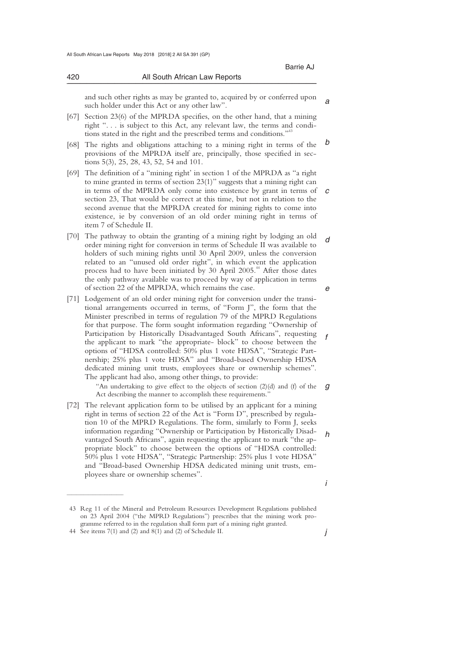420 All South African Law Reports

*a* 

| and such other rights as may be granted to, acquired by or conferred upon |
|---------------------------------------------------------------------------|
| such holder under this Act or any other law".                             |

- [67] Section 23(6) of the MPRDA specifies, on the other hand, that a mining right ". . . is subject to this Act, any relevant law, the terms and conditions stated in the right and the prescribed terms and conditions."<sup>4</sup>
- *b*  [68] The rights and obligations attaching to a mining right in terms of the provisions of the MPRDA itself are, principally, those specified in sections 5(3), 25, 28, 43, 52, 54 and 101.
- *c*  [69] The definition of a "mining right' in section 1 of the MPRDA as "a right to mine granted in terms of section 23(1)" suggests that a mining right can in terms of the MPRDA only come into existence by grant in terms of section 23, That would be correct at this time, but not in relation to the second avenue that the MPRDA created for mining rights to come into existence, ie by conversion of an old order mining right in terms of item 7 of Schedule II.
- *d e*  [70] The pathway to obtain the granting of a mining right by lodging an old order mining right for conversion in terms of Schedule II was available to holders of such mining rights until 30 April 2009, unless the conversion related to an "unused old order right", in which event the application process had to have been initiated by  $30$  April  $2005<sup>44</sup>$  After those dates the only pathway available was to proceed by way of application in terms of section 22 of the MPRDA, which remains the case.
- *f*  [71] Lodgement of an old order mining right for conversion under the transitional arrangements occurred in terms, of "Form J", the form that the Minister prescribed in terms of regulation 79 of the MPRD Regulations for that purpose. The form sought information regarding "Ownership of Participation by Historically Disadvantaged South Africans", requesting the applicant to mark "the appropriate- block" to choose between the options of "HDSA controlled: 50% plus 1 vote HDSA", "Strategic Partnership; 25% plus 1 vote HDSA" and "Broad-based Ownership HDSA dedicated mining unit trusts, employees share or ownership schemes". The applicant had also, among other things, to provide:

*g*  "An undertaking to give effect to the objects of section (2)(d) and (f) of the Act describing the manner to accomplish these requirements.'

- *h*  [72] The relevant application form to be utilised by an applicant for a mining right in terms of section 22 of the Act is "Form D", prescribed by regulation 10 of the MPRD Regulations. The form, similarly to Form J, seeks information regarding "Ownership or Participation by Historically Disadvantaged South Africans", again requesting the applicant to mark "the appropriate block" to choose between the options of "HDSA controlled: 50% plus 1 vote HDSA", "Strategic Partnership: 25% plus 1 vote HDSA" and "Broad-based Ownership HDSA dedicated mining unit trusts, employees share or ownership schemes".
	- *i*

*j* 

 <sup>43</sup> Reg 11 of the Mineral and Petroleum Resources Development Regulations published on 23 April 2004 ("the MPRD Regulations") prescribes that the mining work programme referred to in the regulation shall form part of a mining right granted.

 <sup>44</sup> See items 7(1) and (2) and 8(1) and (2) of Schedule II.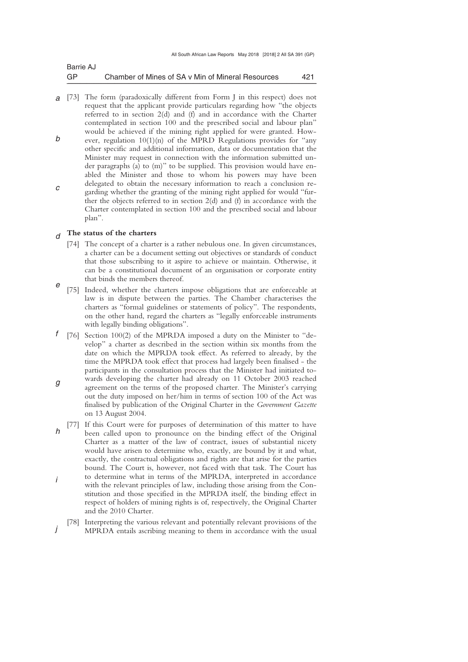| Barrie AJ |                                                   |     |
|-----------|---------------------------------------------------|-----|
| GP        | Chamber of Mines of SA v Min of Mineral Resources | 421 |

*a*  [73] The form (paradoxically different from Form J in this respect) does not *b c*  request that the applicant provide particulars regarding how "the objects referred to in section 2(d) and (f) and in accordance with the Charter contemplated in section 100 and the prescribed social and labour plan" would be achieved if the mining right applied for were granted. However, regulation 10(1)(n) of the MPRD Regulations provides for "any other specific and additional information, data or documentation that the Minister may request in connection with the information submitted under paragraphs (a) to (m)" to be supplied. This provision would have enabled the Minister and those to whom his powers may have been delegated to obtain the necessary information to reach a conclusion regarding whether the granting of the mining right applied for would "further the objects referred to in section  $2(d)$  and  $(f)$  in accordance with the Charter contemplated in section 100 and the prescribed social and labour plan".

#### *d*  **The status of the charters**

- [74] The concept of a charter is a rather nebulous one. In given circumstances, a charter can be a document setting out objectives or standards of conduct that those subscribing to it aspire to achieve or maintain. Otherwise, it can be a constitutional document of an organisation or corporate entity that binds the members thereof.
- *e*  [75] Indeed, whether the charters impose obligations that are enforceable at law is in dispute between the parties. The Chamber characterises the charters as "formal guidelines or statements of policy". The respondents, on the other hand, regard the charters as "legally enforceable instruments with legally binding obligations".
- *f g*  [76] Section 100(2) of the MPRDA imposed a duty on the Minister to "develop" a charter as described in the section within six months from the date on which the MPRDA took effect. As referred to already, by the time the MPRDA took effect that process had largely been finalised - the participants in the consultation process that the Minister had initiated towards developing the charter had already on 11 October 2003 reached agreement on the terms of the proposed charter. The Minister's carrying out the duty imposed on her/him in terms of section 100 of the Act was finalised by publication of the Original Charter in the *Government Gazette* on 13 August 2004.
- *h i*  [77] If this Court were for purposes of determination of this matter to have been called upon to pronounce on the binding effect of the Original Charter as a matter of the law of contract, issues of substantial nicety would have arisen to determine who, exactly, are bound by it and what, exactly, the contractual obligations and rights are that arise for the parties bound. The Court is, however, not faced with that task. The Court has to determine what in terms of the MPRDA, interpreted in accordance with the relevant principles of law, including those arising from the Constitution and those specified in the MPRDA itself, the binding effect in respect of holders of mining rights is of, respectively, the Original Charter and the 2010 Charter.
- *j*  [78] Interpreting the various relevant and potentially relevant provisions of the MPRDA entails ascribing meaning to them in accordance with the usual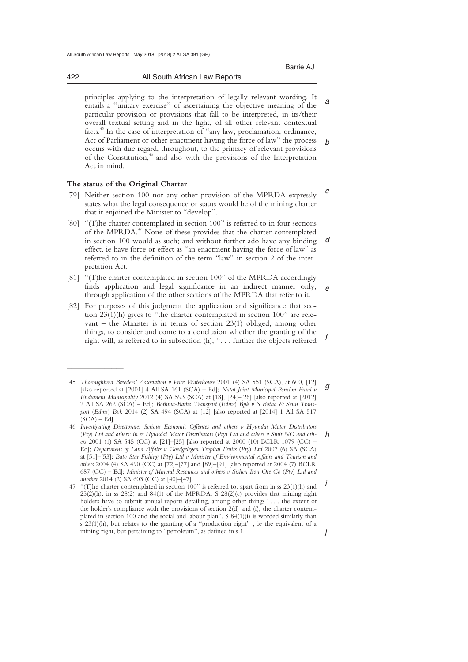*a b*  principles applying to the interpretation of legally relevant wording. It entails a "unitary exercise" of ascertaining the objective meaning of the particular provision or provisions that fall to be interpreted, in its/their overall textual setting and in the light, of all other relevant contextual facts.45 In the case of interpretation of "any law, proclamation, ordinance, Act of Parliament or other enactment having the force of law" the process occurs with due regard, throughout, to the primacy of relevant provisions of the Constitution, $46$  and also with the provisions of the Interpretation Act in mind.

# **The status of the Original Charter**

 $\frac{1}{2}$  , and the set of the set of the set of the set of the set of the set of the set of the set of the set of the set of the set of the set of the set of the set of the set of the set of the set of the set of the set

- *c*  [79] Neither section 100 nor any other provision of the MPRDA expressly states what the legal consequence or status would be of the mining charter that it enjoined the Minister to "develop".
- *d*  [80] "(T)he charter contemplated in section 100" is referred to in four sections of the MPRDA.<sup>47</sup> None of these provides that the charter contemplated in section 100 would as such; and without further ado have any binding effect, ie have force or effect as "an enactment having the force of law" as referred to in the definition of the term "law" in section 2 of the interpretation Act.
- *e*  [81] "(T)he charter contemplated in section 100" of the MPRDA accordingly finds application and legal significance in an indirect manner only, through application of the other sections of the MPRDA that refer to it.
- *f*  [82] For purposes of this judgment the application and significance that section 23(1)(h) gives to "the charter contemplated in section 100" are relevant – the Minister is in terms of section 23(1) obliged, among other things, to consider and come to a conclusion whether the granting of the right will, as referred to in subsection (h), ". . . further the objects referred

*g*  45 *Thoroughbred Breeders' Association v Price Waterhouse* 2001 (4) SA 551 (SCA), at 600, [12] [also reported at [2001] 4 All SA 161 (SCA) – Ed]; *Natal Joint Municipal Pension Fund v Endumeni Municipality* 2012 (4) SA 593 (SCA) at [18], [24]–[26] [also reported at [2012] 2 All SA 262 (SCA) – Ed]; *Bothma-Batho Transport* (*Edms*) *Bpk v S Botha & Seun Transport* (*Edms*) *Bpk* 2014 (2) SA 494 (SCA) at [12] [also reported at [2014] 1 All SA 517  $(SCA) - Ed$ ].

*h*  46 *Investigating Directorate*: *Serious Economic Offences and others v Hyundai Motor Distributors* (*Pty*) *Ltd and others*: *in re Hyundai Motor Distributors* (*Pty*) *Ltd and others v Smit NO and others* 2001 (1) SA 545 (CC) at [21]–[25] [also reported at 2000 (10) BCLR 1079 (CC) – Ed]; *Department of Land Affairs v Goedgelegen Tropical Fruits* (*Pty*) *Ltd* 2007 (6) SA (SCA) at [51]–[53]; *Bato Star Fishing* (*Pty*) *Ltd v Minister of Environmental Affairs and Tourism and others* 2004 (4) SA 490 (CC) at [72]–[77] and [89]–[91] [also reported at 2004 (7) BCLR 687 (CC) – Ed]; *Minister of Mineral Resources and others v Sishen Iron Ore Co* (*Pty*) *Ltd and another* 2014 (2) SA 603 (CC) at [40]–[47].

*i j*  47 "(T)he charter contemplated in section 100" is referred to, apart from in ss 23(1)(h) and  $25(2)(h)$ , in ss 28(2) and 84(1) of the MPRDA. S 28(2)(c) provides that mining right holders have to submit annual reports detailing, among other things ". . . the extent of the holder's compliance with the provisions of section  $2(d)$  and  $(f)$ , the charter contemplated in section 100 and the social and labour plan". S 84(1)(i) is worded similarly than s 23(1)(h), but relates to the granting of a "production right" , ie the equivalent of a mining right, but pertaining to "petroleum", as defined in s 1.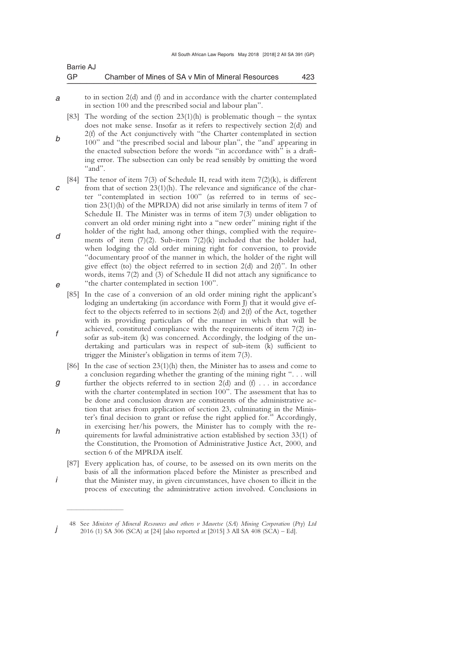| Barrie AJ |                                                   |     |
|-----------|---------------------------------------------------|-----|
| GP        | Chamber of Mines of SA v Min of Mineral Resources | 423 |

- *a*  to in section 2(d) and (f) and in accordance with the charter contemplated in section 100 and the prescribed social and labour plan".
- *b*  [83] The wording of the section  $23(1)(h)$  is problematic though – the syntax does not make sense. Insofar as it refers to respectively section 2(d) and 2(f) of the Act conjunctively with "the Charter contemplated in section 100" and "the prescribed social and labour plan", the "and' appearing in the enacted subsection before the words "in accordance with" is a draft-
- ing error. The subsection can only be read sensibly by omitting the word "and".
- *c d e*  [84] The tenor of item 7(3) of Schedule II, read with item 7(2)(k), is different from that of section 23(1)(h). The relevance and significance of the charter "contemplated in section 100" (as referred to in terms of section 23(1)(h) of the MPRDA) did not arise similarly in terms of item 7 of Schedule II. The Minister was in terms of item 7(3) under obligation to convert an old order mining right into a "new order" mining right if the holder of the right had, among other things, complied with the requirements of item  $(7)(2)$ . Sub-item  $7(2)(k)$  included that the holder had, when lodging the old order mining right for conversion, to provide "documentary proof of the manner in which, the holder of the right will give effect (to) the object referred to in section 2(d) and 2(f)". In other words, items 7(2) and (3) of Schedule II did not attach any significance to "the charter contemplated in section 100"*.*
- *f*  [85] In the case of a conversion of an old order mining right the applicant's lodging an undertaking (in accordance with Form J) that it would give effect to the objects referred to in sections 2(d) and 2(f) of the Act, together with its providing particulars of the manner in which that will be achieved, constituted compliance with the requirements of item 7(2) insofar as sub-item (k) was concerned. Accordingly, the lodging of the undertaking and particulars was in respect of sub-item (k) sufficient to trigger the Minister's obligation in terms of item 7(3).
- *g h*  [86] In the case of section 23(1)(h) then, the Minister has to assess and come to a conclusion regarding whether the granting of the mining right ". . . will further the objects referred to in section  $2(d)$  and  $(f)$ ... in accordance with the charter contemplated in section 100". The assessment that has to be done and conclusion drawn are constituents of the administrative action that arises from application of section 23, culminating in the Minister's final decision to grant or refuse the right applied for.<sup>48</sup> Accordingly, in exercising her/his powers, the Minister has to comply with the requirements for lawful administrative action established by section 33(1) of the Constitution, the Promotion of Administrative Justice Act, 2000, and section 6 of the MPRDA itself.
	- [87] Every application has, of course, to be assessed on its own merits on the basis of all the information placed before the Minister as prescribed and that the Minister may, in given circumstances, have chosen to illicit in the process of executing the administrative action involved. Conclusions in

*i* 

*j*  48 See *Minister of Mineral Resources and others v Mawetse* (*SA*) *Mining Corporation* (*Pty*) *Ltd* 2016 (1) SA 306 (SCA) at [24] [also reported at [2015] 3 All SA 408 (SCA) – Ed].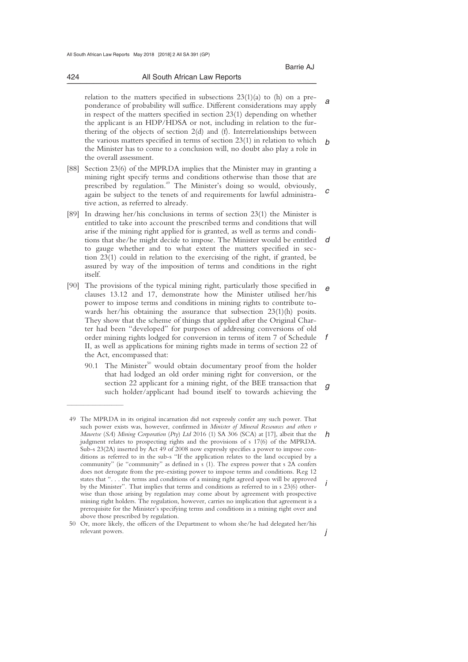*g* 

*j* 

*a b*  relation to the matters specified in subsections 23(1)(a) to (h) on a preponderance of probability will suffice. Different considerations may apply in respect of the matters specified in section 23(1) depending on whether the applicant is an HDP/HDSA or not, including in relation to the furthering of the objects of section 2(d) and (f). Interrelationships between the various matters specified in terms of section 23(1) in relation to which the Minister has to come to a conclusion will, no doubt also play a role in the overall assessment.

- *c*  [88] Section 23(6) of the MPRDA implies that the Minister may in granting a mining right specify terms and conditions otherwise than those that are prescribed by regulation.<sup>49</sup> The Minister's doing so would, obviously, again be subject to the tenets of and requirements for lawful administrative action, as referred to already.
- *d*  [89] In drawing her/his conclusions in terms of section 23(1) the Minister is entitled to take into account the prescribed terms and conditions that will arise if the mining right applied for is granted, as well as terms and conditions that she/he might decide to impose. The Minister would be entitled to gauge whether and to what extent the matters specified in section 23(1) could in relation to the exercising of the right, if granted, be assured by way of the imposition of terms and conditions in the right itself.
- *e f*  [90] The provisions of the typical mining right, particularly those specified in clauses 13.12 and 17, demonstrate how the Minister utilised her/his power to impose terms and conditions in mining rights to contribute towards her/his obtaining the assurance that subsection 23(1)(h) posits. They show that the scheme of things that applied after the Original Charter had been "developed" for purposes of addressing conversions of old order mining rights lodged for conversion in terms of item 7 of Schedule II, as well as applications for mining rights made in terms of section 22 of the Act, encompassed that:
	- 90.1 The Minister<sup>50</sup> would obtain documentary proof from the holder that had lodged an old order mining right for conversion, or the section 22 applicant for a mining right, of the BEE transaction that such holder/applicant had bound itself to towards achieving the

424 All South African Law Reports \_\_\_\_\_\_\_\_\_\_\_\_\_\_\_\_\_\_\_\_\_\_\_\_\_\_\_\_\_\_\_\_\_\_\_\_\_\_\_\_\_\_\_\_\_\_\_\_\_\_\_\_\_\_\_\_\_\_\_\_\_\_\_\_\_\_\_\_\_\_\_\_\_\_\_\_\_\_\_\_\_\_\_\_\_\_\_\_\_\_\_\_\_\_\_\_\_\_\_\_\_\_\_\_\_\_\_\_\_\_\_\_\_\_\_\_\_\_\_\_\_\_\_\_\_\_\_\_\_\_\_\_\_\_\_\_\_\_\_\_\_\_\_

*h i*  49 The MPRDA in its original incarnation did not expressly confer any such power. That such power exists was, however, confirmed in *Minister of Mineral Resources and others v Mawetse* (*SA*) *Mining Corporation* (*Pty*) *Ltd* 2016 (1) SA 306 (SCA) at [17], albeit that the judgment relates to prospecting rights and the provisions of s 17(6) of the MPRDA. Sub-s 23(2A) inserted by Act 49 of 2008 now expressly specifies a power to impose conditions as referred to in the sub-s "If the application relates to the land occupied by a community" (ie "community" as defined in s (1). The express power that s 2A confers does not derogate from the pre-existing power to impose terms and conditions. Reg 12 states that ". . . the terms and conditions of a mining right agreed upon will be approved by the Minister"*.* That implies that terms and conditions as referred to in s 23(6) otherwise than those arising by regulation may come about by agreement with prospective mining right holders. The regulation, however, carries no implication that agreement is a prerequisite for the Minister's specifying terms and conditions in a mining right over and above those prescribed by regulation.

 <sup>50</sup> Or, more likely, the officers of the Department to whom she/he had delegated her/his relevant powers.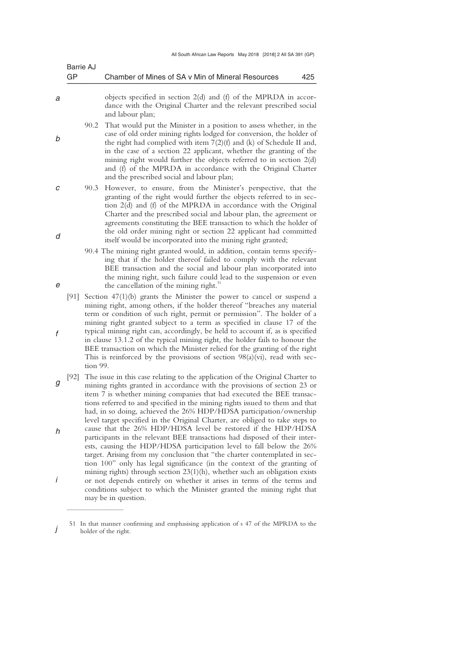|        | Barrie AJ<br>GP |          | Chamber of Mines of SA v Min of Mineral Resources                                                                                                                                                                                                                                                                                                                                                                                                                                                                                                                                                                                        | 425 |
|--------|-----------------|----------|------------------------------------------------------------------------------------------------------------------------------------------------------------------------------------------------------------------------------------------------------------------------------------------------------------------------------------------------------------------------------------------------------------------------------------------------------------------------------------------------------------------------------------------------------------------------------------------------------------------------------------------|-----|
| а      |                 |          | objects specified in section 2(d) and (f) of the MPRDA in accor-<br>dance with the Original Charter and the relevant prescribed social<br>and labour plan;                                                                                                                                                                                                                                                                                                                                                                                                                                                                               |     |
| b      |                 | 90.2     | That would put the Minister in a position to assess whether, in the<br>case of old order mining rights lodged for conversion, the holder of<br>the right had complied with item $7(2)(f)$ and (k) of Schedule II and,<br>in the case of a section 22 applicant, whether the granting of the<br>mining right would further the objects referred to in section 2(d)<br>and (f) of the MPRDA in accordance with the Original Charter<br>and the prescribed social and labour plan;                                                                                                                                                          |     |
| С<br>d |                 | 90.3     | However, to ensure, from the Minister's perspective, that the<br>granting of the right would further the objects referred to in sec-<br>tion 2(d) and (f) of the MPRDA in accordance with the Original<br>Charter and the prescribed social and labour plan, the agreement or<br>agreements constituting the BEE transaction to which the holder of<br>the old order mining right or section 22 applicant had committed<br>itself would be incorporated into the mining right granted;                                                                                                                                                   |     |
| е      |                 |          | 90.4 The mining right granted would, in addition, contain terms specify-<br>ing that if the holder thereof failed to comply with the relevant<br>BEE transaction and the social and labour plan incorporated into<br>the mining right, such failure could lead to the suspension or even<br>the cancellation of the mining right. <sup>51</sup>                                                                                                                                                                                                                                                                                          |     |
| f      | [91]            | tion 99. | Section $47(1)(b)$ grants the Minister the power to cancel or suspend a<br>mining right, among others, if the holder thereof "breaches any material<br>term or condition of such right, permit or permission". The holder of a<br>mining right granted subject to a term as specified in clause 17 of the<br>typical mining right can, accordingly, be held to account if, as is specified<br>in clause 13.1.2 of the typical mining right, the holder fails to honour the<br>BEE transaction on which the Minister relied for the granting of the right<br>This is reinforced by the provisions of section $98(a)(vi)$ , read with sec- |     |
| g      | [92]            |          | The issue in this case relating to the application of the Original Charter to<br>mining rights granted in accordance with the provisions of section 23 or<br>item 7 is whether mining companies that had executed the BEE transac-<br>tions referred to and specified in the mining rights issued to them and that<br>had, in so doing, achieved the 26% HDP/HDSA participation/ownership                                                                                                                                                                                                                                                |     |
| h      |                 |          | level target specified in the Original Charter, are obliged to take steps to<br>cause that the 26% HDP/HDSA level be restored if the HDP/HDSA<br>participants in the relevant BEE transactions had disposed of their inter-<br>ests, causing the HDP/HDSA participation level to fall below the 26%<br>target. Arising from my conclusion that "the charter contemplated in sec-<br>tion 100" only has legal significance (in the context of the granting of                                                                                                                                                                             |     |
| İ      |                 |          | mining rights) through section 23(1)(h), whether such an obligation exists<br>or not depends entirely on whether it arises in terms of the terms and<br>conditions subject to which the Minister granted the mining right that<br>may be in question.                                                                                                                                                                                                                                                                                                                                                                                    |     |

*j*  51 In that manner confirming and emphasising application of s 47 of the MPRDA to the holder of the right.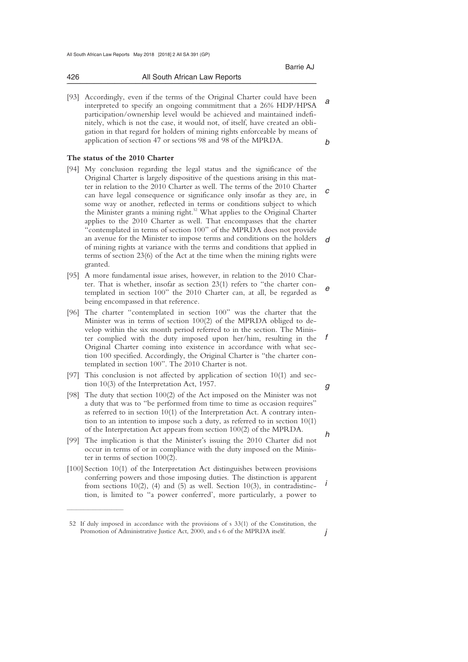| 426 | All South African Law Reports |
|-----|-------------------------------|
|     |                               |

*a b*  [93] Accordingly, even if the terms of the Original Charter could have been interpreted to specify an ongoing commitment that a 26% HDP/HPSA participation/ownership level would be achieved and maintained indefinitely, which is not the case, it would not, of itself, have created an obligation in that regard for holders of mining rights enforceable by means of application of section 47 or sections 98 and 98 of the MPRDA.

# **The status of the 2010 Charter**

 $\overline{\phantom{a}}$  , where  $\overline{\phantom{a}}$ 

- *c d*  [94] My conclusion regarding the legal status and the significance of the Original Charter is largely dispositive of the questions arising in this matter in relation to the 2010 Charter as well. The terms of the 2010 Charter can have legal consequence or significance only insofar as they are, in some way or another, reflected in terms or conditions subject to which the Minister grants a mining right.<sup>52</sup> What applies to the Original Charter applies to the 2010 Charter as well. That encompasses that the charter "contemplated in terms of section 100" of the MPRDA does not provide an avenue for the Minister to impose terms and conditions on the holders of mining rights at variance with the terms and conditions that applied in terms of section 23(6) of the Act at the time when the mining rights were granted.
- *e*  [95] A more fundamental issue arises, however, in relation to the 2010 Charter. That is whether, insofar as section 23(1) refers to "the charter contemplated in section 100" the 2010 Charter can, at all, be regarded as being encompassed in that reference.
- *f*  [96] The charter "contemplated in section 100" was the charter that the Minister was in terms of section 100(2) of the MPRDA obliged to develop within the six month period referred to in the section. The Minister complied with the duty imposed upon her/him, resulting in the Original Charter coming into existence in accordance with what section 100 specified. Accordingly, the Original Charter is "the charter contemplated in section 100". The 2010 Charter is not.
- [97] This conclusion is not affected by application of section 10(1) and section 10(3) of the Interpretation Act, 1957.
- [98] The duty that section 100(2) of the Act imposed on the Minister was not a duty that was to "be performed from time to time as occasion requires" as referred to in section 10(1) of the Interpretation Act. A contrary intention to an intention to impose such a duty, as referred to in section 10(1) of the Interpretation Act appears from section 100(2) of the MPRDA.
- [99] The implication is that the Minister's issuing the 2010 Charter did not occur in terms of or in compliance with the duty imposed on the Minister in terms of section 100(2).
- *i*  [100] Section 10(1) of the Interpretation Act distinguishes between provisions conferring powers and those imposing duties. The distinction is apparent from sections  $10(2)$ , (4) and (5) as well. Section  $10(3)$ , in contradistinction, is limited to "a power conferred', more particularly, a power to

Barrie AJ Annual March 2014 - Barrie AJ Annual March 2014 - Barrie AJ Annual March 2014

*g* 

*h* 

*j*  52 If duly imposed in accordance with the provisions of s 33(1) of the Constitution, the Promotion of Administrative Justice Act, 2000, and s 6 of the MPRDA itself.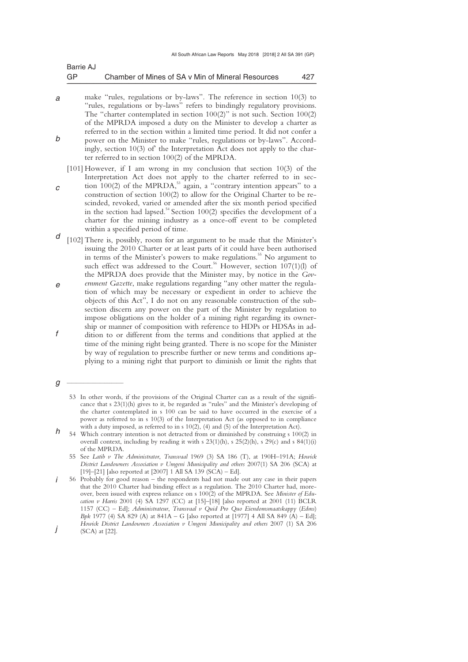| Barrie AJ |                                                   |     |
|-----------|---------------------------------------------------|-----|
| GP        | Chamber of Mines of SA v Min of Mineral Resources | 427 |

- *a b*  make "rules, regulations or by-laws". The reference in section 10(3) to "rules, regulations or by-laws" refers to bindingly regulatory provisions. The "charter contemplated in section 100(2)" is not such. Section 100(2) of the MPRDA imposed a duty on the Minister to develop a charter as referred to in the section within a limited time period. It did not confer a power on the Minister to make "rules, regulations or by-laws". Accordingly, section 10(3) of' the Interpretation Act does not apply to the charter referred to in section 100(2) of the MPRDA.
- *c*  [101] However, if I am wrong in my conclusion that section 10(3) of the Interpretation Act does not apply to the charter referred to in section  $100(2)$  of the MPRDA, $^{53}$  again, a "contrary intention appears" to a construction of section 100(2) to allow for the Original Charter to be rescinded, revoked, varied or amended after the six month period specified in the section had lapsed.<sup>54</sup> Section 100(2) specifies the development of a charter for the mining industry as a once-off event to be completed within a specified period of time.
- *d*  [102] There is, possibly, room for an argument to be made that the Minister's issuing the 2010 Charter or at least parts of it could have been authorised in terms of the Minister's powers to make regulations.<sup>55</sup> No argument to such effect was addressed to the Court.<sup>56</sup> However, section  $107(1)(l)$  of the MPRDA does provide that the Minister may, by notice in the *Gov-*
- *e f ernment Gazette*, make regulations regarding "any other matter the regulation of which may be necessary or expedient in order to achieve the objects of this Act", I do not on any reasonable construction of the subsection discern any power on the part of the Minister by regulation to impose obligations on the holder of a mining right regarding its ownership or manner of composition with reference to HDPs or HDSAs in addition to or different from the terms and conditions that applied at the time of the mining right being granted. There is no scope for the Minister by way of regulation to prescribe further or new terms and conditions applying to a mining right that purport to diminish or limit the rights that

*g* 

 $\overline{\phantom{a}}$  , where  $\overline{\phantom{a}}$ 

- *h*  54 Which contrary intention is not detracted from or diminished by construing s 100(2) in overall context, including by reading it with s 23(1)(h), s 25(2)(h), s 29(c) and s 84(1)(i) of the MPRDA.
	- 55 See *Latib v The Administrator*, *Transvaal* 1969 (3) SA 186 (T), at 190H–191A; *Howick District Landowners Association v Umgeni Municipality and others* 2007(1) SA 206 (SCA) at [19]–[21] [also reported at [2007] 1 All SA 139 (SCA) – Ed].
- *i j*  56 Probably for good reason – the respondents had not made out any case in their papers that the 2010 Charter had binding effect as a regulation. The 2010 Charter had, moreover, been issued with express reliance on s 100(2) of the MPRDA. See *Minister of Education v Harris* 2001 (4) SA 1297 (CC) at [15]–[18] [also reported at 2001 (11) BCLR 1157 (CC) – Ed]; *Administrateur*, *Transvaal v Quid Pro Quo Eiendomsmaatskappy* (*Edms*) *Bpk* 1977 (4) SA 829 (A) at 841A – G [also reported at [1977] 4 All SA 849 (A) – Ed]; *Howick District Landowners Association v Umgeni Municipality and others* 2007 (1) SA 206 (SCA) at [22].

 <sup>53</sup> In other words, if the provisions of the Original Charter can as a result of the significance that s 23(1)(h) gives to it, be regarded as "rules" and the Minister's developing of the charter contemplated in s 100 can be said to have occurred in the exercise of a power as referred to in s 10(3) of the Interpretation Act (as opposed to in compliance with a duty imposed, as referred to in s  $10(2)$ , (4) and (5) of the Interpretation Act).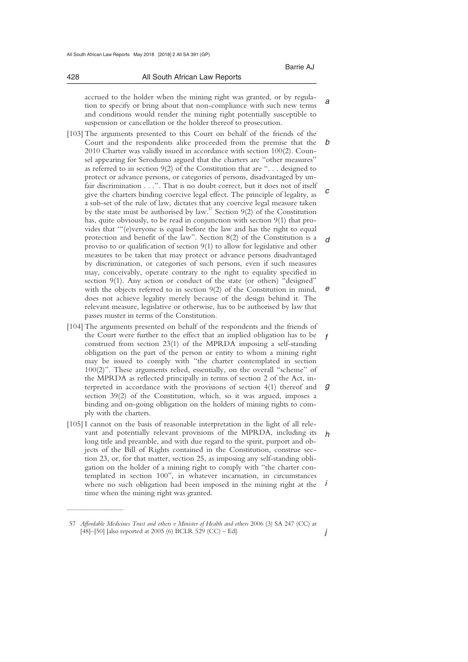*a* 

*j* 

 accrued to the holder when the mining right was granted, or by regulation to specify or bring about that non-compliance with such new terms and conditions would render the mining right potentially susceptible to suspension or cancellation or the holder thereof to prosecution.

\_\_\_\_\_\_\_\_\_\_\_\_\_\_\_\_\_\_\_\_\_\_\_\_\_\_\_\_\_\_\_\_\_\_\_\_\_\_\_\_\_\_\_\_\_\_\_\_\_\_\_\_\_\_\_\_\_\_\_\_\_\_\_\_\_\_\_\_\_\_\_\_\_\_\_\_\_\_\_\_\_\_\_\_\_\_\_\_\_\_\_\_\_\_\_\_\_\_\_\_\_\_\_\_\_\_\_\_\_\_\_\_\_\_\_\_\_\_\_\_\_\_\_\_\_\_\_\_\_\_\_\_\_\_\_\_\_\_\_\_\_\_\_

- *b c d e*  [103] The arguments presented to this Court on behalf of the friends of the Court and the respondents alike proceeded from the premise that the 2010 Charter was validly issued in accordance with section 100(2). Counsel appearing for Serodumo argued that the charters are "other measures" as referred to in section 9(2) of the Constitution that are ". . . designed to protect or advance persons, or categories of persons, disadvantaged by unfair discrimination . . .". That is no doubt correct, but it does not of itself give the charters binding coercive legal effect. The principle of legality, as a sub-set of the rule of law, dictates that any coercive legal measure taken by the state must be authorised by law.<sup>57</sup> Section 9(2) of the Constitution has, quite obviously, to be read in conjunction with section 9(1) that provides that '"(e)veryone is equal before the law and has the right to equal protection and benefit of the law". Section 8(2) of the Constitution is a proviso to or qualification of section 9(1) to allow for legislative and other measures to be taken that may protect or advance persons disadvantaged by discrimination, or categories of such persons, even if such measures may, conceivably, operate contrary to the right to equality specified in section 9(1). Any action or conduct of the state (or others) "designed" with the objects referred to in section 9(2) of the Constitution in mind, does not achieve legality merely because of the design behind it. The relevant measure, legislative or otherwise, has to be authorised by law that passes muster in terms of the Constitution.
- *f g*  [104] The arguments presented on behalf of the respondents and the friends of the Court were further to the effect that an implied obligation has to be construed from section 23(1) of the MPRDA imposing a self-standing obligation on the part of the person or entity to whom a mining right may be issued to comply with "the charter contemplated in section 100(2)". These arguments relied, essentially, on the overall "scheme" of the MPRDA as reflected principally in terms of section 2 of the Act, interpreted in accordance with the provisions of section 4(1) thereof and section 39(2) of the Constitution, which, so it was argued, imposes a binding and on-going obligation on the holders of mining rights to comply with the charters.
- *h i*  [105] I cannot on the basis of reasonable interpretation in the light of all relevant and potentially relevant provisions of the MPRDA, including its long title and preamble, and with due regard to the spirit, purport and objects of the Bill of Rights contained in the Constitution, construe section 23, or, for that matter, section 25, as imposing any self-standing obligation on the holder of a mining right to comply with "the charter contemplated in section 100", in whatever incarnation, in circumstances where no such obligation had been imposed in the mining right at the time when the mining right was granted.

 $\overline{\phantom{a}}$  , where  $\overline{\phantom{a}}$ 

 <sup>57</sup> *Affordable Medicines Trust and others v Minister of Health and others* 2006 (3) SA 247 (CC) at [48]–[50] [also reported at 2005 (6) BCLR 529 (CC) – Ed].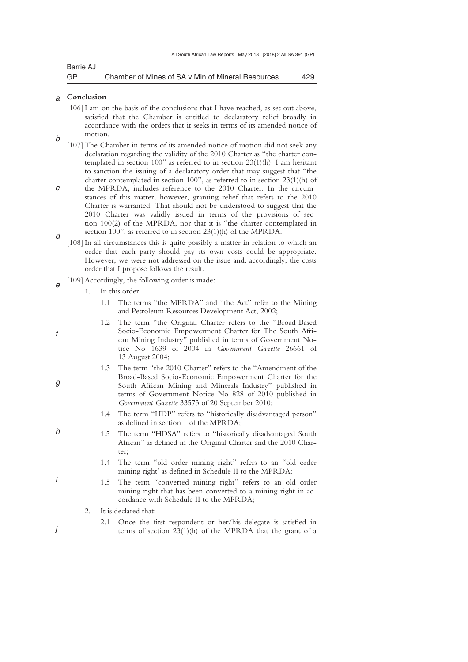| Barrie AJ |                                                   |     |
|-----------|---------------------------------------------------|-----|
| GP        | Chamber of Mines of SA v Min of Mineral Resources | 429 |

#### *a*  **Conclusion**

*b* 

- [106] I am on the basis of the conclusions that I have reached, as set out above, satisfied that the Chamber is entitled to declaratory relief broadly in accordance with the orders that it seeks in terms of its amended notice of motion.
- [107] The Chamber in terms of its amended notice of motion did not seek any declaration regarding the validity of the 2010 Charter as ''the charter contemplated in section 100" as referred to in section 23(1)(h). I am hesitant to sanction the issuing of a declaratory order that may suggest that "the charter contemplated in section 100", as referred to in section 23(1)(h) of
- *c d*  the MPRDA, includes reference to the 2010 Charter. In the circumstances of this matter, however, granting relief that refers to the 2010 Charter is warranted. That should not be understood to suggest that the 2010 Charter was validly issued in terms of the provisions of section 100(2) of the MPRDA, nor that it is "the charter contemplated in section 100", as referred to in section 23(1)(h) of the MPRDA.
- [108] In all circumstances this is quite possibly a matter in relation to which an order that each party should pay its own costs could be appropriate. However, we were not addressed on the issue and, accordingly, the costs order that I propose follows the result.
- *e*  [109] Accordingly, the following order is made:
	- 1. In this order:
		- 1.1 The terms "the MPRDA" and "the Act" refer to the Mining and Petroleum Resources Development Act, 2002;
		- 1.2 The term "the Original Charter refers to the "Broad-Based Socio-Economic Empowerment Charter for The South African Mining Industry" published in terms of Government Notice No 1639 of 2004 in *Government Gazette* 26661 of 13 August 2004;
			- The term "the 2010 Charter" refers to the "Amendment of the Broad-Based Socio-Economic Empowerment Charter for the South African Mining and Minerals Industry" published in terms of Government Notice No 828 of 2010 published in *Government Gazette* 33573 of 20 September 2010;
			- 1.4 The term "HDP" refers to "historically disadvantaged person" as defined in section 1 of the MPRDA;
		- 1.5 The term "HDSA" refers to "historically disadvantaged South African" as defined in the Original Charter and the 2010 Charter;
			- 1.4 The term "old order mining right" refers to an "old order mining right' as defined in Schedule II to the MPRDA;
	- 1.5 The term "converted mining right" refers to an old order mining right that has been converted to a mining right in accordance with Schedule II to the MPRDA;
	- 2. It is declared that:
	- 2.1 Once the first respondent or her/his delegate is satisfied in terms of section 23(1)(h) of the MPRDA that the grant of a
- *f*
- 
- *g*

*h* 

*i*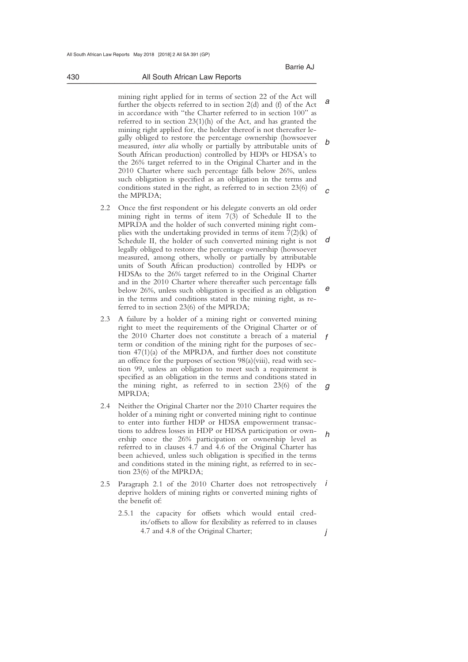#### 430 All South African Law Reports \_\_\_\_\_\_\_\_\_\_\_\_\_\_\_\_\_\_\_\_\_\_\_\_\_\_\_\_\_\_\_\_\_\_\_\_\_\_\_\_\_\_\_\_\_\_\_\_\_\_\_\_\_\_\_\_\_\_\_\_\_\_\_\_\_\_\_\_\_\_\_\_\_\_\_\_\_\_\_\_\_\_\_\_\_\_\_\_\_\_\_\_\_\_\_\_\_\_\_\_\_\_\_\_\_\_\_\_\_\_\_\_\_\_\_\_\_\_\_\_\_\_\_\_\_\_\_\_\_\_\_\_\_\_\_\_\_\_\_\_\_\_\_

*a b*   $\overline{a}$  mining right applied for in terms of section 22 of the Act will further the objects referred to in section 2(d) and (f) of the Act in accordance with "the Charter referred to in section 100" as referred to in section 23(1)(h) of the Act, and has granted the mining right applied for, the holder thereof is not thereafter legally obliged to restore the percentage ownership (howsoever measured, *inter alia* wholly or partially by attributable units of South African production) controlled by HDPs or HDSA's to the 26% target referred to in the Original Charter and in the 2010 Charter where such percentage falls below 26%, unless such obligation is specified as an obligation in the terms and conditions stated in the right, as referred to in section 23(6) of the MPRDA;

- *d e*  2.2 Once the first respondent or his delegate converts an old order mining right in terms of item 7(3) of Schedule II to the MPRDA and the holder of such converted mining right complies with the undertaking provided in terms of item 7(2)(k) of Schedule II, the holder of such converted mining right is not legally obliged to restore the percentage ownership (howsoever measured, among others, wholly or partially by attributable units of South African production) controlled by HDPs or HDSAs to the 26% target referred to in the Original Charter and in the 2010 Charter where thereafter such percentage falls below 26%, unless such obligation is specified as an obligation in the terms and conditions stated in the mining right, as referred to in section 23(6) of the MPRDA;
- *f g*  2.3 A failure by a holder of a mining right or converted mining right to meet the requirements of the Original Charter or of the 2010 Charter does not constitute a breach of a material term or condition of the mining right for the purposes of section 47(1)(a) of the MPRDA, and further does not constitute an offence for the purposes of section 98(a)(viii), read with section 99, unless an obligation to meet such a requirement is specified as an obligation in the terms and conditions stated in the mining right, as referred to in section 23(6) of the MPRDA;
- *h*  2.4 Neither the Original Charter nor the 2010 Charter requires the holder of a mining right or converted mining right to continue to enter into further HDP or HDSA empowerment transactions to address losses in HDP or HDSA participation or ownership once the 26% participation or ownership level as referred to in clauses 4.7 and 4.6 of the Original Charter has been achieved, unless such obligation is specified in the terms and conditions stated in the mining right, as referred to in section 23(6) of the MPRDA;
- *i*  2.5 Paragraph 2.1 of the 2010 Charter does not retrospectively deprive holders of mining rights or converted mining rights of the benefit of:
	- 2.5.1 the capacity for offsets which would entail credits/offsets to allow for flexibility as referred to in clauses 4.7 and 4.8 of the Original Charter;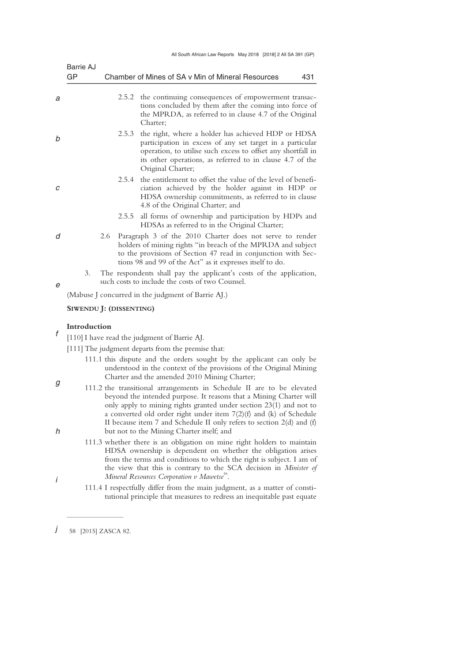| All South African Law Reports May 2018 [2018] 2 All SA 391 (GP) |  |
|-----------------------------------------------------------------|--|
|-----------------------------------------------------------------|--|

|        | Barrie AJ               |     |       |                                                                                                                                                                                                                                                                                                                                                                                                                   |
|--------|-------------------------|-----|-------|-------------------------------------------------------------------------------------------------------------------------------------------------------------------------------------------------------------------------------------------------------------------------------------------------------------------------------------------------------------------------------------------------------------------|
|        | GP                      |     |       | Chamber of Mines of SA v Min of Mineral Resources<br>431                                                                                                                                                                                                                                                                                                                                                          |
| а      |                         |     |       | 2.5.2 the continuing consequences of empowerment transac-<br>tions concluded by them after the coming into force of<br>the MPRDA, as referred to in clause 4.7 of the Original<br>Charter;                                                                                                                                                                                                                        |
| b      |                         |     | 2.5.3 | the right, where a holder has achieved HDP or HDSA<br>participation in excess of any set target in a particular<br>operation, to utilise such excess to offset any shortfall in<br>its other operations, as referred to in clause 4.7 of the<br>Original Charter;                                                                                                                                                 |
| C      |                         |     | 2.5.4 | the entitlement to offset the value of the level of benefi-<br>ciation achieved by the holder against its HDP or<br>HDSA ownership commitments, as referred to in clause<br>4.8 of the Original Charter; and                                                                                                                                                                                                      |
|        |                         |     | 2.5.5 | all forms of ownership and participation by HDPs and<br>HDSAs as referred to in the Original Charter;                                                                                                                                                                                                                                                                                                             |
| d      |                         | 2.6 |       | Paragraph 3 of the 2010 Charter does not serve to render<br>holders of mining rights "in breach of the MPRDA and subject<br>to the provisions of Section 47 read in conjunction with Sec-<br>tions 98 and 99 of the Act" as it expresses itself to do.                                                                                                                                                            |
| е      | 3.                      |     |       | The respondents shall pay the applicant's costs of the application,<br>such costs to include the costs of two Counsel.                                                                                                                                                                                                                                                                                            |
|        |                         |     |       | (Mabuse J concurred in the judgment of Barrie AJ.)                                                                                                                                                                                                                                                                                                                                                                |
|        | SIWENDU J: (DISSENTING) |     |       |                                                                                                                                                                                                                                                                                                                                                                                                                   |
|        | Introduction            |     |       |                                                                                                                                                                                                                                                                                                                                                                                                                   |
| f      |                         |     |       | [110] I have read the judgment of Barrie AJ.                                                                                                                                                                                                                                                                                                                                                                      |
|        |                         |     |       | [111] The judgment departs from the premise that:                                                                                                                                                                                                                                                                                                                                                                 |
|        |                         |     |       | 111.1 this dispute and the orders sought by the applicant can only be<br>understood in the context of the provisions of the Original Mining<br>Charter and the amended 2010 Mining Charter;                                                                                                                                                                                                                       |
| g<br>h |                         |     |       | 111.2 the transitional arrangements in Schedule II are to be elevated<br>beyond the intended purpose. It reasons that a Mining Charter will<br>only apply to mining rights granted under section 23(1) and not to<br>a converted old order right under item 7(2)(f) and (k) of Schedule<br>II because item 7 and Schedule II only refers to section $2(d)$ and $(f)$<br>but not to the Mining Charter itself; and |
|        |                         |     |       | 111.3 whether there is an obligation on mine right holders to maintain<br>HDSA ownership is dependent on whether the obligation arises                                                                                                                                                                                                                                                                            |

from the terms and conditions to which the right is subject. I am of the view that this is contrary to the SCA decision in *Minister of*  Mineral Resources Corporation v Mawetse<sup>58</sup>.

 111.4 I respectfully differ from the main judgment, as a matter of constitutional principle that measures to redress an inequitable past equate

 $\overline{\phantom{a}}$  , where  $\overline{\phantom{a}}$ 

*j*  58 [2015] ZASCA 82.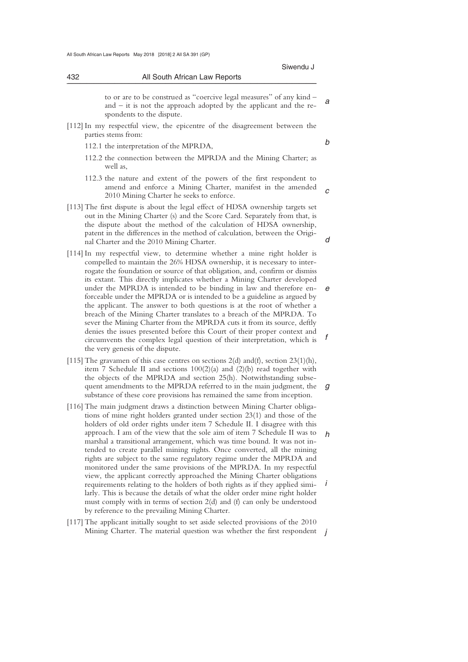# \_\_\_\_\_\_\_\_\_\_\_\_\_\_\_\_\_\_\_\_\_\_\_\_\_\_\_\_\_\_\_\_\_\_\_\_\_\_\_\_\_\_\_\_\_\_\_\_\_\_\_\_\_\_\_\_\_\_\_\_\_\_\_\_\_\_\_\_\_\_\_\_\_\_\_\_\_\_\_\_\_\_\_\_\_\_\_\_\_\_\_\_\_\_\_\_\_\_\_\_\_\_\_\_\_\_\_\_\_\_\_\_\_\_\_\_\_\_\_\_\_\_\_\_\_\_\_\_\_\_\_\_\_\_\_\_\_\_\_\_\_\_\_ to or are to be construed as "coercive legal measures" of any kind –

*a*  and – it is not the approach adopted by the applicant and the respondents to the dispute.

- [112] In my respectful view, the epicentre of the disagreement between the parties stems from:
	- 112.1 the interpretation of the MPRDA,

432 All South African Law Reports

*b* 

*c* 

- 112.2 the connection between the MPRDA and the Mining Charter; as well as,
- 112.3 the nature and extent of the powers of the first respondent to amend and enforce a Mining Charter, manifest in the amended 2010 Mining Charter he seeks to enforce.
- [113] The first dispute is about the legal effect of HDSA ownership targets set out in the Mining Charter (s) and the Score Card. Separately from that, is the dispute about the method of the calculation of HDSA ownership, patent in the differences in the method of calculation, between the Original Charter and the 2010 Mining Charter.
- *e f*  [114] In my respectful view, to determine whether a mine right holder is compelled to maintain the 26% HDSA ownership, it is necessary to interrogate the foundation or source of that obligation, and, confirm or dismiss its extant. This directly implicates whether a Mining Charter developed under the MPRDA is intended to be binding in law and therefore enforceable under the MPRDA or is intended to be a guideline as argued by the applicant. The answer to both questions is at the root of whether a breach of the Mining Charter translates to a breach of the MPRDA. To sever the Mining Charter from the MPRDA cuts it from its source, deftly denies the issues presented before this Court of their proper context and circumvents the complex legal question of their interpretation, which is the very genesis of the dispute.
- *g*  [115] The gravamen of this case centres on sections 2(d) and(f), section 23(1)(h), item 7 Schedule II and sections 100(2)(a) and (2)(b) read together with the objects of the MPRDA and section 25(h). Notwithstanding subsequent amendments to the MPRDA referred to in the main judgment, the substance of these core provisions has remained the same from inception.
- *h i*  [116] The main judgment draws a distinction between Mining Charter obligations of mine right holders granted under section 23(1) and those of the holders of old order rights under item 7 Schedule II. I disagree with this approach. I am of the view that the sole aim of item 7 Schedule II was to marshal a transitional arrangement, which was time bound. It was not intended to create parallel mining rights. Once converted, all the mining rights are subject to the same regulatory regime under the MPRDA and monitored under the same provisions of the MPRDA. In my respectful view, the applicant correctly approached the Mining Charter obligations requirements relating to the holders of both rights as if they applied similarly. This is because the details of what the older order mine right holder must comply with in terms of section 2(d) and (f) can only be understood by reference to the prevailing Mining Charter.
- Mining Charter. The material question was whether the first respondent *j* [117] The applicant initially sought to set aside selected provisions of the 2010

*d*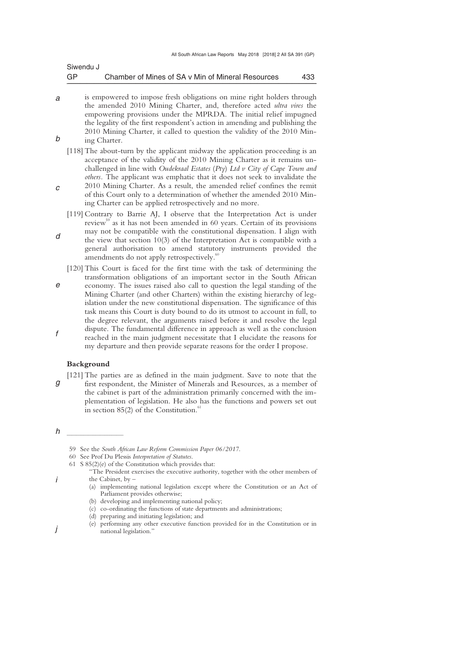| Siwendu J |                                                   |     |
|-----------|---------------------------------------------------|-----|
| GP        | Chamber of Mines of SA v Min of Mineral Resources | 433 |

- *a b*  is empowered to impose fresh obligations on mine right holders through the amended 2010 Mining Charter, and, therefore acted *ultra vires* the empowering provisions under the MPRDA. The initial relief impugned the legality of the first respondent's action in amending and publishing the 2010 Mining Charter, it called to question the validity of the 2010 Mining Charter.
	- [118] The about-turn by the applicant midway the application proceeding is an acceptance of the validity of the 2010 Mining Charter as it remains unchallenged in line with *Oudekraal Estates* (*Pty*) *Ltd v City of Cape Town and others.* The applicant was emphatic that it does not seek to invalidate the 2010 Mining Charter. As a result, the amended relief confines the remit
- *c*  of this Court only to a determination of whether the amended 2010 Mining Charter can be applied retrospectively and no more.
- *d*  [119] Contrary to Barrie AJ, I observe that the Interpretation Act is under review<sup>59</sup> as it has not been amended in 60 years. Certain of its provisions may not be compatible with the constitutional dispensation. I align with the view that section 10(3) of the Interpretation Act is compatible with a
- general authorisation to amend statutory instruments provided the amendments do not apply retrospectively.<sup>6</sup>
- *e f*  [120] This Court is faced for the first time with the task of determining the transformation obligations of an important sector in the South African economy. The issues raised also call to question the legal standing of the Mining Charter (and other Charters) within the existing hierarchy of legislation under the new constitutional dispensation. The significance of this task means this Court is duty bound to do its utmost to account in full, to the degree relevant, the arguments raised before it and resolve the legal dispute. The fundamental difference in approach as well as the conclusion reached in the main judgment necessitate that I elucidate the reasons for my departure and then provide separate reasons for the order I propose.

### **Background**

 $\frac{1}{2}$  , and the set of the set of the set of the set of the set of the set of the set of the set of the set of the set of the set of the set of the set of the set of the set of the set of the set of the set of the set

- *g*  [121] The parties are as defined in the main judgment. Save to note that the first respondent, the Minister of Minerals and Resources, as a member of the cabinet is part of the administration primarily concerned with the implementation of legislation. He also has the functions and powers set out in section  $85(2)$  of the Constitution.<sup>61</sup>
- *h*

*i* 

 <sup>59</sup> See the *South African Law Reform Commission Paper 06/2017*.

 <sup>60</sup> See Prof Du Plessis *Interpretation of Statutes*.

 <sup>61</sup> S 85(2)(e) of the Constitution which provides that:

<sup>&</sup>quot;The President exercises the executive authority, together with the other members of the Cabinet, by –

 <sup>(</sup>a) implementing national legislation except where the Constitution or an Act of Parliament provides otherwise;

 <sup>(</sup>b) developing and implementing national policy;

 <sup>(</sup>c) co-ordinating the functions of state departments and administrations;

 <sup>(</sup>d) preparing and initiating legislation; and

 <sup>(</sup>e) performing any other executive function provided for in the Constitution or in national legislation."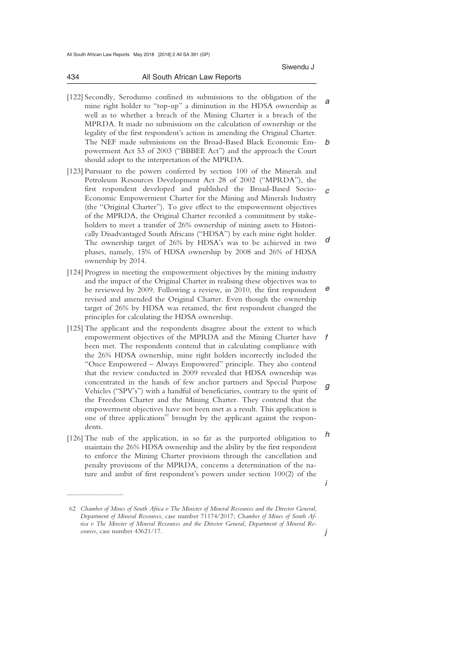434 All South African Law Reports

*a b*  [122] Secondly, Serodumo confined its submissions to the obligation of the mine right holder to "top-up" a diminution in the HDSA ownership as well as to whether a breach of the Mining Charter is a breach of the MPRDA. It made no submissions on the calculation of ownership or the legality of the first respondent's action in amending the Original Charter. The NEF made submissions on the Broad-Based Black Economic Empowerment Act 53 of 2003 ("BBBEE Act") and the approach the Court should adopt to the interpretation of the MPRDA.

\_\_\_\_\_\_\_\_\_\_\_\_\_\_\_\_\_\_\_\_\_\_\_\_\_\_\_\_\_\_\_\_\_\_\_\_\_\_\_\_\_\_\_\_\_\_\_\_\_\_\_\_\_\_\_\_\_\_\_\_\_\_\_\_\_\_\_\_\_\_\_\_\_\_\_\_\_\_\_\_\_\_\_\_\_\_\_\_\_\_\_\_\_\_\_\_\_\_\_\_\_\_\_\_\_\_\_\_\_\_\_\_\_\_\_\_\_\_\_\_\_\_\_\_\_\_\_\_\_\_\_\_\_\_\_\_\_\_\_\_\_\_\_

- *c d*  [123] Pursuant to the powers conferred by section 100 of the Minerals and Petroleum Resources Development Act 28 of 2002 ("MPRDA"), the first respondent developed and published the Broad-Based Socio-Economic Empowerment Charter for the Mining and Minerals Industry (the "Original Charter"). To give effect to the empowerment objectives of the MPRDA, the Original Charter recorded a commitment by stakeholders to meet a transfer of 26% ownership of mining assets to Historically Disadvantaged South Africans ("HDSA") by each mine right holder. The ownership target of 26% by HDSA's was to be achieved in two phases, namely, 15% of HDSA ownership by 2008 and 26% of HDSA ownership by 2014.
- *e*  [124] Progress in meeting the empowerment objectives by the mining industry and the impact of the Original Charter in realising these objectives was to be reviewed by 2009. Following a review, in 2010, the first respondent revised and amended the Original Charter. Even though the ownership target of 26% by HDSA was retained, the first respondent changed the principles for calculating the HDSA ownership.
- *f g*  [125] The applicant and the respondents disagree about the extent to which empowerment objectives of the MPRDA and the Mining Charter have been met. The respondents contend that in calculating compliance with the 26% HDSA ownership, mine right holders incorrectly included the "Once Empowered – Always Empowered" principle. They also contend that the review conducted in 2009 revealed that HDSA ownership was concentrated in the hands of few anchor partners and Special Purpose Vehicles ("SPV's") with a handful of beneficiaries, contrary to the spirit of the Freedom Charter and the Mining Charter. They contend that the empowerment objectives have not been met as a result. This application is one of three applications<sup>62</sup> brought by the applicant against the respondents.
- *h*  [126] The nub of the application, in so far as the purported obligation to maintain the 26% HDSA ownership and the ability by the first respondent to enforce the Mining Charter provisions through the cancellation and penalty provisions of the MPRDA, concerns a determination of the nature and ambit of first respondent's powers under section 100(2) of the

 $\overline{\phantom{a}}$  , where  $\overline{\phantom{a}}$ 

 <sup>62</sup> *Chamber of Mines of South Africa v The Minister of Mineral Resources and the Director General*, *Department of Mineral Resources*, case number 71174/2017; *Chamber of Mines of South Africa v The Minster of Mineral Resources and the Director General*, *Department of Mineral Resources*, case number 43621/17.

*j*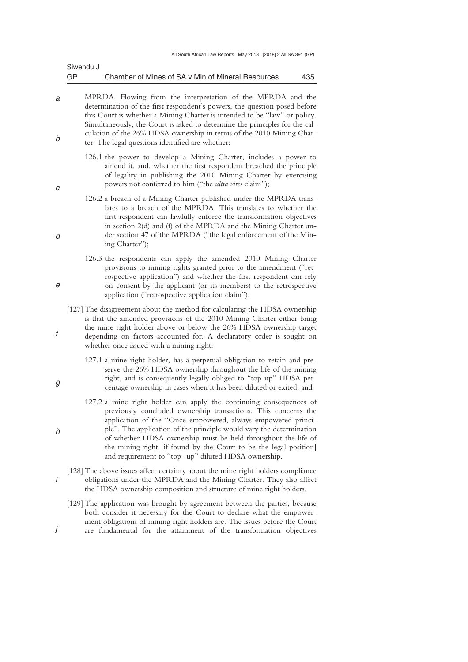| Siwendu J |                                                   |     |
|-----------|---------------------------------------------------|-----|
| GP        | Chamber of Mines of SA v Min of Mineral Resources | 435 |

- *a b*  MPRDA. Flowing from the interpretation of the MPRDA and the determination of the first respondent's powers, the question posed before this Court is whether a Mining Charter is intended to be "law" or policy. Simultaneously, the Court is asked to determine the principles for the calculation of the 26% HDSA ownership in terms of the 2010 Mining Charter. The legal questions identified are whether:
	- 126.1 the power to develop a Mining Charter, includes a power to amend it, and, whether the first respondent breached the principle of legality in publishing the 2010 Mining Charter by exercising powers not conferred to him ("the *ultra vires* claim");
	- 126.2 a breach of a Mining Charter published under the MPRDA translates to a breach of the MPRDA. This translates to whether the first respondent can lawfully enforce the transformation objectives in section 2(d) and (f) of the MPRDA and the Mining Charter under section 47 of the MPRDA ("the legal enforcement of the Mining Charter");
	- 126.3 the respondents can apply the amended 2010 Mining Charter provisions to mining rights granted prior to the amendment ("retrospective application") and whether the first respondent can rely on consent by the applicant (or its members) to the retrospective application ("retrospective application claim").
	- [127] The disagreement about the method for calculating the HDSA ownership is that the amended provisions of the 2010 Mining Charter either bring the mine right holder above or below the 26% HDSA ownership target depending on factors accounted for. A declaratory order is sought on whether once issued with a mining right:
		- 127.1 a mine right holder, has a perpetual obligation to retain and preserve the 26% HDSA ownership throughout the life of the mining right, and is consequently legally obliged to "top-up" HDSA percentage ownership in cases when it has been diluted or exited; and
		- 127.2 a mine right holder can apply the continuing consequences of previously concluded ownership transactions. This concerns the application of the "Once empowered, always empowered principle". The application of the principle would vary the determination of whether HDSA ownership must be held throughout the life of the mining right [if found by the Court to be the legal position] and requirement to "top- up" diluted HDSA ownership.
	- [128] The above issues affect certainty about the mine right holders compliance obligations under the MPRDA and the Mining Charter. They also affect the HDSA ownership composition and structure of mine right holders.
	- [129] The application was brought by agreement between the parties, because both consider it necessary for the Court to declare what the empowerment obligations of mining right holders are. The issues before the Court are fundamental for the attainment of the transformation objectives

*g* 

*h* 

*i* 

*j* 

*c* 

*d* 

*e* 

*f*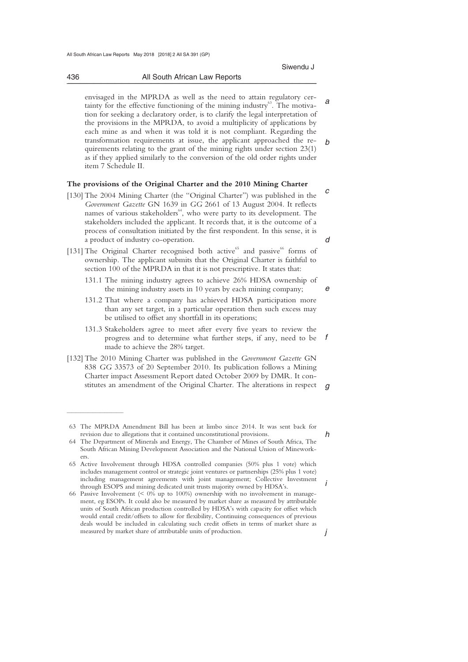436 All South African Law Reports

*a b*  envisaged in the MPRDA as well as the need to attain regulatory certainty for the effective functioning of the mining industry $\mathfrak{S}^3$ . The motivation for seeking a declaratory order, is to clarify the legal interpretation of the provisions in the MPRDA, to avoid a multiplicity of applications by each mine as and when it was told it is not compliant. Regarding the transformation requirements at issue, the applicant approached the requirements relating to the grant of the mining rights under section 23(1) as if they applied similarly to the conversion of the old order rights under item 7 Schedule II.

### **The provisions of the Original Charter and the 2010 Mining Charter**

- *c*  [130] The 2004 Mining Charter (the "Original Charter") was published in the *Government Gazette* GN 1639 in *GG* 2661 of 13 August 2004. It reflects names of various stakeholders<sup> $64$ </sup>, who were party to its development. The stakeholders included the applicant. It records that, it is the outcome of a process of consultation initiated by the first respondent. In this sense, it is a product of industry co-operation.
- [131] The Original Charter recognised both active<sup>65</sup> and passive<sup>66</sup> forms of ownership. The applicant submits that the Original Charter is faithful to section 100 of the MPRDA in that it is not prescriptive. It states that:
	- 131.1 The mining industry agrees to achieve 26% HDSA ownership of the mining industry assets in 10 years by each mining company;
	- 131.2 That where a company has achieved HDSA participation more than any set target, in a particular operation then such excess may be utilised to offset any shortfall in its operations;
	- *f*  131.3 Stakeholders agree to meet after every five years to review the progress and to determine what further steps, if any, need to be made to achieve the 28% target.
- $\alpha$ [132] The 2010 Mining Charter was published in the *Government Gazette* GN 838 *GG* 33573 of 20 September 2010. Its publication follows a Mining Charter impact Assessment Report dated October 2009 by DMR. It constitutes an amendment of the Original Charter. The alterations in respect

*d* 

*e* 

*h* 

*i* 

*j* 

\_\_\_\_\_\_\_\_\_\_\_\_\_\_\_\_\_\_\_\_\_\_\_\_\_\_\_\_\_\_\_\_\_\_\_\_\_\_\_\_\_\_\_\_\_\_\_\_\_\_\_\_\_\_\_\_\_\_\_\_\_\_\_\_\_\_\_\_\_\_\_\_\_\_\_\_\_\_\_\_\_\_\_\_\_\_\_\_\_\_\_\_\_\_\_\_\_\_\_\_\_\_\_\_\_\_\_\_\_\_\_\_\_\_\_\_\_\_\_\_\_\_\_\_\_\_\_\_\_\_\_\_\_\_\_\_\_\_\_\_\_\_\_

 $\frac{1}{2}$  , and the set of the set of the set of the set of the set of the set of the set of the set of the set of the set of the set of the set of the set of the set of the set of the set of the set of the set of the set

 <sup>63</sup> The MPRDA Amendment Bill has been at limbo since 2014. It was sent back for revision due to allegations that it contained unconstitutional provisions.

 <sup>64</sup> The Department of Minerals and Energy, The Chamber of Mines of South Africa, The South African Mining Development Association and the National Union of Mineworkers.

 <sup>65</sup> Active Involvement through HDSA controlled companies (50% plus 1 vote) which includes management control or strategic joint ventures or partnerships (25% plus 1 vote) including management agreements with joint management; Collective Investment through ESOPS and mining dedicated unit trusts majority owned by HDSA's.

 <sup>66</sup> Passive Involvement (< 0% up to 100%) ownership with no involvement in management, eg ESOPs. It could also be measured by market share as measured by attributable units of South African production controlled by HDSA's with capacity for offset which would entail credit/offsets to allow for flexibility, Continuing consequences of previous deals would be included in calculating such credit offsets in terms of market share as measured by market share of attributable units of production.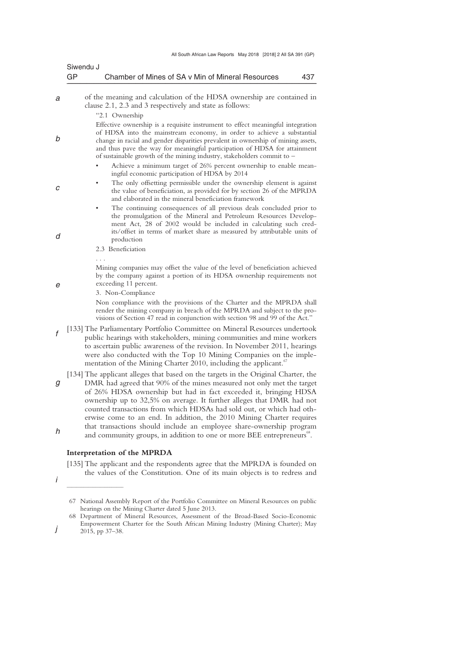|   | Siwendu J                                                                                                                                                                                                                                                                                                                                                                                           |
|---|-----------------------------------------------------------------------------------------------------------------------------------------------------------------------------------------------------------------------------------------------------------------------------------------------------------------------------------------------------------------------------------------------------|
|   | GP<br>Chamber of Mines of SA v Min of Mineral Resources<br>437                                                                                                                                                                                                                                                                                                                                      |
| а | of the meaning and calculation of the HDSA ownership are contained in<br>clause 2.1, 2.3 and 3 respectively and state as follows:<br>"2.1 Ownership                                                                                                                                                                                                                                                 |
| b | Effective ownership is a requisite instrument to effect meaningful integration<br>of HDSA into the mainstream economy, in order to achieve a substantial<br>change in racial and gender disparities prevalent in ownership of mining assets,<br>and thus pave the way for meaningful participation of HDSA for attainment<br>of sustainable growth of the mining industry, stakeholders commit to - |
|   | Achieve a minimum target of 26% percent ownership to enable mean-<br>ingful economic participation of HDSA by 2014                                                                                                                                                                                                                                                                                  |
| С | The only offsetting permissible under the ownership element is against<br>the value of beneficiation, as provided for by section 26 of the MPRDA<br>and elaborated in the mineral beneficiation framework                                                                                                                                                                                           |
| d | The continuing consequences of all previous deals concluded prior to<br>the promulgation of the Mineral and Petroleum Resources Develop-<br>ment Act, 28 of 2002 would be included in calculating such cred-<br>its/offset in terms of market share as measured by attributable units of<br>production<br>2.3 Beneficiation                                                                         |
|   |                                                                                                                                                                                                                                                                                                                                                                                                     |
| e | Mining companies may offset the value of the level of beneficiation achieved<br>by the company against a portion of its HDSA ownership requirements not<br>exceeding 11 percent.<br>3. Non-Compliance                                                                                                                                                                                               |
|   | Non compliance with the provisions of the Charter and the MPRDA shall<br>render the mining company in breach of the MPRDA and subject to the pro-<br>visions of Section 47 read in conjunction with section 98 and 99 of the Act."                                                                                                                                                                  |
| f | [133] The Parliamentary Portfolio Committee on Mineral Resources undertook<br>public hearings with stakeholders, mining communities and mine workers<br>to ascertain public awareness of the revision. In November 2011, hearings<br>were also conducted with the Top 10 Mining Companies on the imple-<br>mentation of the Mining Charter 2010, including the applicant. <sup>67</sup>             |
| g | [134] The applicant alleges that based on the targets in the Original Charter, the<br>DMR had agreed that 90% of the mines measured not only met the target<br>of 26% HDSA ownership but had in fact exceeded it, bringing HDSA                                                                                                                                                                     |
| h | ownership up to 32,5% on average. It further alleges that DMR had not<br>counted transactions from which HDSAs had sold out, or which had oth-<br>erwise come to an end. In addition, the 2010 Mining Charter requires<br>that transactions should include an employee share-ownership program<br>and community groups, in addition to one or more BEE entrepreneurs <sup>68</sup> .                |

## **Interpretation of the MPRDA**

 $\overline{\phantom{a}}$  , where  $\overline{\phantom{a}}$ 

[135] The applicant and the respondents agree that the MPRDA is founded on the values of the Constitution. One of its main objects is to redress and

*i* 

 <sup>67</sup> National Assembly Report of the Portfolio Committee on Mineral Resources on public hearings on the Mining Charter dated 5 June 2013.

 <sup>68</sup> Department of Mineral Resources, Assessment of the Broad-Based Socio-Economic Empowerment Charter for the South African Mining Industry (Mining Charter); May 2015, pp 37–38.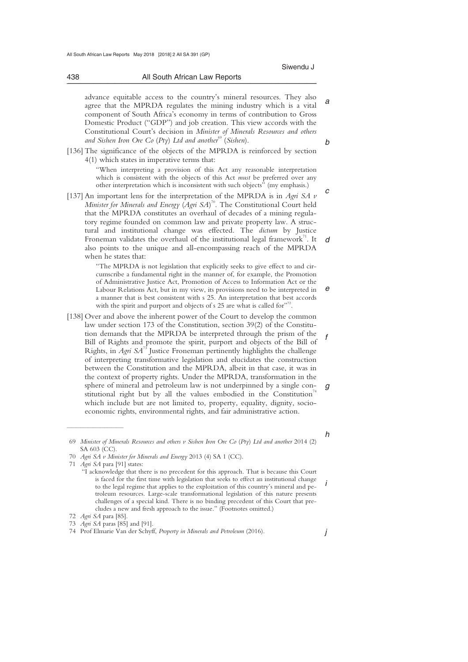*f* 

*g* 

*h* 

*i* 

*j* 

| 438 | All South African Law Reports |  |
|-----|-------------------------------|--|
|     |                               |  |

*a b*  advance equitable access to the country's mineral resources. They also agree that the MPRDA regulates the mining industry which is a vital component of South Africa's economy in terms of contribution to Gross Domestic Product ("GDP") and job creation. This view accords with the Constitutional Court's decision in *Minister of Minerals Resources and others and Sishen Iron Ore Co (Pty)* Ltd and another<sup>69</sup> (*Sishen*).

[136] The significance of the objects of the MPRDA is reinforced by section 4(1) which states in imperative terms that:

"When interpreting a provision of this Act any reasonable interpretation which is consistent with the objects of this Act *must* be preferred over any other interpretation which is inconsistent with such objects" (my emphasis.)

*c d*  [137] An important lens for the interpretation of the MPRDA is in *Agri SA v Minister for Minerals and Energy* (*Agri SA*) 70. The Constitutional Court held that the MPRDA constitutes an overhaul of decades of a mining regulatory regime founded on common law and private property law. A structural and institutional change was effected. The *dictum* by Justice Froneman validates the overhaul of the institutional legal framework<sup>71</sup>. It also points to the unique and all-encompassing reach of the MPRDA when he states that:

> *e*  "The MPRDA is not legislation that explicitly seeks to give effect to and circumscribe a fundamental right in the manner of, for example, the Promotion of Administrative Justice Act, Promotion of Access to Information Act or the Labour Relations Act, but in my view, its provisions need to be interpreted in a manner that is best consistent with s 25. An interpretation that best accords with the spirit and purport and objects of s 25 are what is called for" .

[138] Over and above the inherent power of the Court to develop the common law under section 173 of the Constitution, section 39(2) of the Constitution demands that the MPRDA be interpreted through the prism of the Bill of Rights and promote the spirit, purport and objects of the Bill of Rights, in *Agri SA*<sup>73</sup> Justice Froneman pertinently highlights the challenge of interpreting transformative legislation and elucidates the construction between the Constitution and the MPRDA, albeit in that case, it was in the context of property rights. Under the MPRDA, transformation in the sphere of mineral and petroleum law is not underpinned by a single constitutional right but by all the values embodied in the Constitution<sup>74</sup> which include but are not limited to, property, equality, dignity, socioeconomic rights, environmental rights, and fair administrative action.

 $\overline{\phantom{a}}$  , where  $\overline{\phantom{a}}$ 

 <sup>69</sup> *Minister of Minerals Resources and others v Sishen Iron Ore Co* (*Pty*) *Ltd and another* 2014 (2) SA 603 (CC).

 <sup>70</sup> *Agri SA v Minister for Minerals and Energy* 2013 (4) SA 1 (CC).

 <sup>71</sup> *Agri SA* para [91] states:

<sup>&</sup>quot;I acknowledge that there is no precedent for this approach. That is because this Court is faced for the first time with legislation that seeks to effect an institutional change to the legal regime that applies to the exploitation of this country's mineral and petroleum resources. Large-scale transformational legislation of this nature presents challenges of a special kind. There is no binding precedent of this Court that precludes a new and fresh approach to the issue." (Footnotes omitted.)

 <sup>72</sup> *Agri SA* para [85].

 <sup>73</sup> *Agri SA* paras [85] and [91].

 <sup>74</sup> Prof Elmarie Van der Schyff, *Property in Minerals and Petroleum* (2016).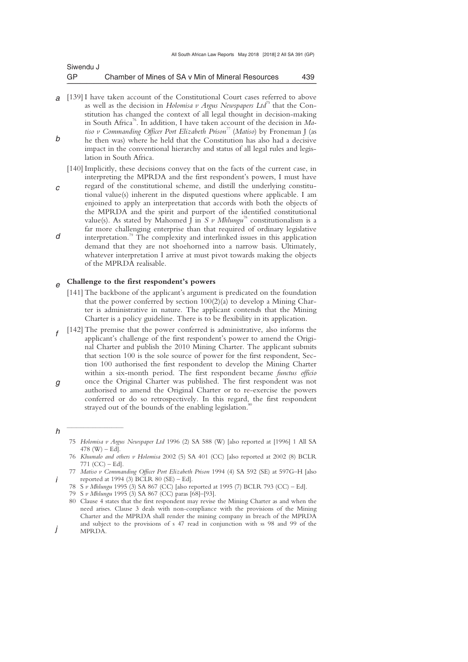| Siwendu J |                                                   |     |
|-----------|---------------------------------------------------|-----|
| GP        | Chamber of Mines of SA v Min of Mineral Resources | 439 |

- *a* [139] I have taken account of the Constitutional Court cases referred to above *b*  as well as the decision in *Holomisa v Argus Newspapers Ltd*<sup>75</sup> that the Constitution has changed the context of all legal thought in decision-making in South Africa76. In addition, I have taken account of the decision in *Matiso v Commanding Officer Port Elizabeth Prison<sup>77</sup>* (*Matiso*) by Froneman J (as he then was) where he held that the Constitution has also had a decisive impact in the conventional hierarchy and status of all legal rules and legislation in South Africa.
	- [140] Implicitly, these decisions convey that on the facts of the current case, in interpreting the MPRDA and the first respondent's powers, I must have
- *c d*  regard of the constitutional scheme, and distill the underlying constitutional value(s) inherent in the disputed questions where applicable. I am enjoined to apply an interpretation that accords with both the objects of the MPRDA and the spirit and purport of the identified constitutional value(s). As stated by Mahomed J in *S v Mhlungu*<sup>78</sup> constitutionalism is a far more challenging enterprise than that required of ordinary legislative interpretation.79 The complexity and interlinked issues in this application demand that they are not shoehorned into a narrow basis. Ultimately, whatever interpretation I arrive at must pivot towards making the objects of the MPRDA realisable.

#### *e*  **Challenge to the first respondent's powers**

- [141] The backbone of the applicant's argument is predicated on the foundation that the power conferred by section  $100(2)(a)$  to develop a Mining Charter is administrative in nature. The applicant contends that the Mining Charter is a policy guideline. There is to be flexibility in its application.
- *f g*  [142] The premise that the power conferred is administrative, also informs the applicant's challenge of the first respondent's power to amend the Original Charter and publish the 2010 Mining Charter. The applicant submits that section 100 is the sole source of power for the first respondent, Section 100 authorised the first respondent to develop the Mining Charter within a six-month period. The first respondent became *functus officio*  once the Original Charter was published. The first respondent was not
- authorised to amend the Original Charter or to re-exercise the powers conferred or do so retrospectively. In this regard, the first respondent strayed out of the bounds of the enabling legislation.<sup>81</sup>

*h* 

 $\overline{\phantom{a}}$  , where  $\overline{\phantom{a}}$ 

 <sup>75</sup> *Holomisa v Argus Newspaper Ltd* 1996 (2) SA 588 (W) [also reported at [1996] 1 All SA 478 (W)  $-$  Ed].

 <sup>76</sup> *Khumalo and others v Holomisa* 2002 (5) SA 401 (CC) [also reported at 2002 (8) BCLR 771 (CC) – Ed].

 <sup>77</sup> *Matiso v Commanding Officer Port Elizabeth Prison* 1994 (4) SA 592 (SE) at 597G–H [also reported at 1994 (3)  $\overline{BCLR}$  80 (SE) – Ed].

 <sup>78</sup> S *v Mhlungu* 1995 (3) SA 867 (CC) [also reported at 1995 (7) BCLR 793 (CC) – Ed].

 <sup>79</sup> S *v Mhlungu* 1995 (3) SA 867 (CC) paras [68]–[93].

 <sup>80</sup> Clause 4 states that the first respondent may revise the Mining Charter as and when the need arises. Clause 3 deals with non-compliance with the provisions of the Mining Charter and the MPRDA shall render the mining company in breach of the MPRDA and subject to the provisions of s 47 read in conjunction with ss 98 and 99 of the MPRDA.

*j*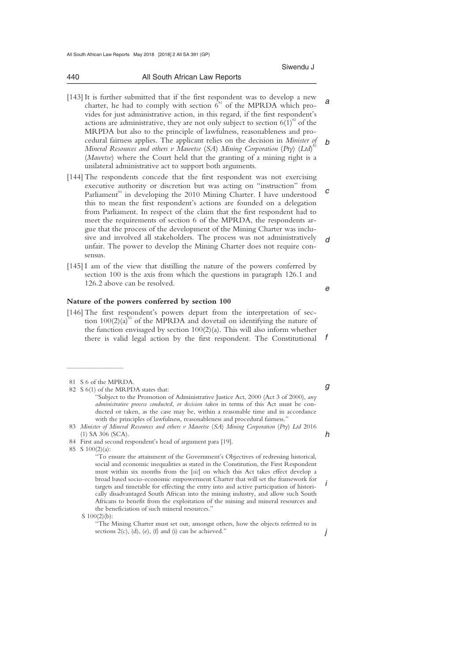440 All South African Law Reports

Siwendu J

- *a b*  [143] It is further submitted that if the first respondent was to develop a new charter, he had to comply with section  $6^{81}$  of the MPRDA which provides for just administrative action, in this regard, if the first respondent's actions are administrative, they are not only subject to section  $6(1)^{82}$  of the MRPDA but also to the principle of lawfulness, reasonableness and procedural fairness applies. The applicant relies on the decision in *Minister of Mineral Resources and others v Mawetse* (*SA*) *Mining Corporation* (*Pty*) (*Ltd*) 83 (*Mawetse*) where the Court held that the granting of a mining right is a unilateral administrative act to support both arguments.
- *c d*  [144] The respondents concede that the first respondent was not exercising executive authority or discretion but was acting on "instruction" from Parliament<sup>84</sup> in developing the 2010 Mining Charter. I have understood this to mean the first respondent's actions are founded on a delegation from Parliament. In respect of the claim that the first respondent had to meet the requirements of section 6 of the MPRDA, the respondents argue that the process of the development of the Mining Charter was inclusive and involved all stakeholders. The process was not administratively unfair. The power to develop the Mining Charter does not require consensus.
- [145] I am of the view that distilling the nature of the powers conferred by section 100 is the axis from which the questions in paragraph 126.1 and 126.2 above can be resolved.

### **Nature of the powers conferred by section 100**

*f*  [146] The first respondent's powers depart from the interpretation of section  $100(2)(a)^{85}$  of the MPRDA and dovetail on identifying the nature of the function envisaged by section 100(2)(a). This will also inform whether there is valid legal action by the first respondent. The Constitutional

 $\frac{1}{2}$  , and the set of the set of the set of the set of the set of the set of the set of the set of the set of the set of the set of the set of the set of the set of the set of the set of the set of the set of the set

- 82 S 6(1) of the MRPDA states that: "Subject to the Promotion of Administrative Justice Act, 2000 (Act 3 of 2000), *any administrative process conducted*, *or decision taken* in terms of this Act must be conducted or taken, as the case may be, within a reasonable time and in accordance with the principles of lawfulness, reasonableness and procedural fairness."
- 83 *Minister of Mineral Resources and others v Mawetse* (*SA*) *Mining Corporation* (*Pty*) *Ltd* 2016 (1) SA 306 (SCA).
- 84 First and second respondent's head of argument para [19].

85 S 100(2)(a):

 "To ensure the attainment of the Government's Objectives of redressing historical, social and economic inequalities as stated in the Constitution, the First Respondent must within six months from the [*sic*] on which this Act takes effect develop a broad based socio-economic empowerment Charter that will set the framework for targets and timetable for effecting the entry into and active participation of historically disadvantaged South African into the mining industry, and allow such South Africans to benefit from the exploitation of the mining and mineral resources and the beneficiation of such mineral resources."

S 100(2)(b):

 "The Mining Charter must set out, amongst others, how the objects referred to in sections  $2(c)$ , (d), (e), (f) and (i) can be achieved."

*e* 

*g* 

*i* 

*j* 

\_\_\_\_\_\_\_\_\_\_\_\_\_\_\_\_\_\_\_\_\_\_\_\_\_\_\_\_\_\_\_\_\_\_\_\_\_\_\_\_\_\_\_\_\_\_\_\_\_\_\_\_\_\_\_\_\_\_\_\_\_\_\_\_\_\_\_\_\_\_\_\_\_\_\_\_\_\_\_\_\_\_\_\_\_\_\_\_\_\_\_\_\_\_\_\_\_\_\_\_\_\_\_\_\_\_\_\_\_\_\_\_\_\_\_\_\_\_\_\_\_\_\_\_\_\_\_\_\_\_\_\_\_\_\_\_\_\_\_\_\_\_\_

 <sup>81</sup> S 6 of the MPRDA.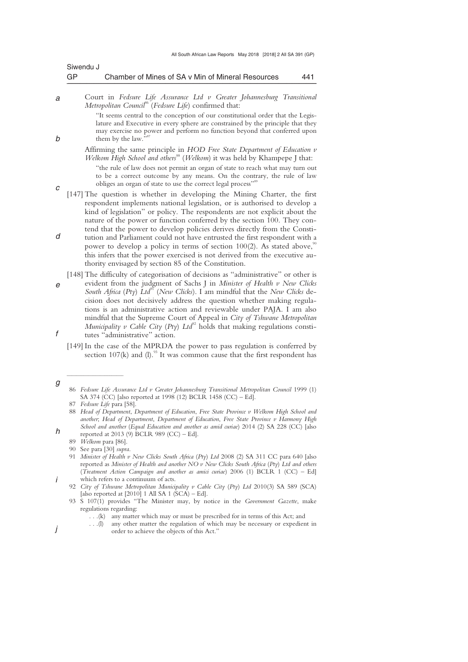| Siwendu J |                                                   |     |
|-----------|---------------------------------------------------|-----|
| GP        | Chamber of Mines of SA v Min of Mineral Resources | 441 |

*a*  Court in *Fedsure Life Assurance Ltd v Greater Johannesburg Transitional Metropolitan Council*<sup>86</sup> (*Fedsure Life*) confirmed that:

> "It seems central to the conception of our constitutional order that the Legislature and Executive in every sphere are constrained by the principle that they may exercise no power and perform no function beyond that conferred upon them by the law.

- Affirming the same principle in *HOD Free State Department of Education v Welkom High School and others<sup>88</sup> (Welkom)* it was held by Khampepe J that: "the rule of law does not permit an organ of state to reach what may turn out to be a correct outcome by any means. On the contrary, the rule of law obliges an organ of state to use the correct legal process"
- [147] The question is whether in developing the Mining Charter, the first respondent implements national legislation, or is authorised to develop a kind of legislation" or policy. The respondents are not explicit about the nature of the power or function conferred by the section 100. They contend that the power to develop policies derives directly from the Consti-
- *d*  tution and Parliament could not have entrusted the first respondent with a power to develop a policy in terms of section 100(2). As stated above,<sup>9</sup> this infers that the power exercised is not derived from the executive authority envisaged by section 85 of the Constitution.
- *e f*  [148] The difficulty of categorisation of decisions as "administrative" or other is evident from the judgment of Sachs J in *Minister of Health v New Clicks South Africa* (*Pty*) *Ltd*<sup>91</sup> (*New Clicks*). I am mindful that the *New Clicks* decision does not decisively address the question whether making regulations is an administrative action and reviewable under PAJA. I am also mindful that the Supreme Court of Appeal in *City of Tshwane Metropolitan Municipality v Cable City (Pty)*  $Ltd^{22}$  holds that making regulations constitutes "administrative" action.

[149] In the case of the MPRDA the power to pass regulation is conferred by section 107(k) and (l).<sup>93</sup> It was common cause that the first respondent has

 $\frac{1}{2}$  , and the set of the set of the set of the set of the set of the set of the set of the set of the set of the set of the set of the set of the set of the set of the set of the set of the set of the set of the set

*b* 

*c* 

*g* 

*h* 

*i* 

<sup>86</sup> Fedsure Life Assurance Ltd v Greater Johannesburg Transitional Metropolitan Council 1999 (1) SA 374 (CC) [also reported at 1998 (12) BCLR 1458 (CC) – Ed].

 <sup>87</sup> *Fedsure Life* para [58].

 <sup>88</sup> *Head of Department*, *Department of Education*, *Free State Province v Welkom High School and another*; *Head of Department*, *Department of Education*, *Free State Province v Harmony High School and another* (*Equal Education and another as amid curiae*) 2014 (2) SA 228 (CC) [also reported at 2013 (9) BCLR 989 (CC) – Ed].

 <sup>89</sup> *Welkom* para [86].

 <sup>90</sup> See para [30] *supra*.

 <sup>91</sup> *Minister of Health v New Clicks South Africa* (*Pty*) *Ltd* 2008 (2) SA 311 CC para 640 [also reported as *Minister of Health and another NO v New Clicks South Africa* (*Pty*) *Ltd and others* (*Treatment Action Campaign and another as amici curiae*) 2006 (1) BCLR 1 (CC) – Ed] which refers to a continuum of acts.

 <sup>92</sup> *City of Tshwane Metropolitan Municipality v Cable City* (*Pty*) *Ltd* 2010(3) SA 589 (SCA) [also reported at  $[2010]$  1 All SA 1 (SCA) – Ed].

 <sup>93</sup> S 107(1) provides "The Minister may, by notice in the *Government Gazette*, make regulations regarding:

 <sup>. . .(</sup>k) any matter which may or must be prescribed for in terms of this Act; and

 <sup>. . .(</sup>l) any other matter the regulation of which may be necessary or expedient in order to achieve the objects of this Act."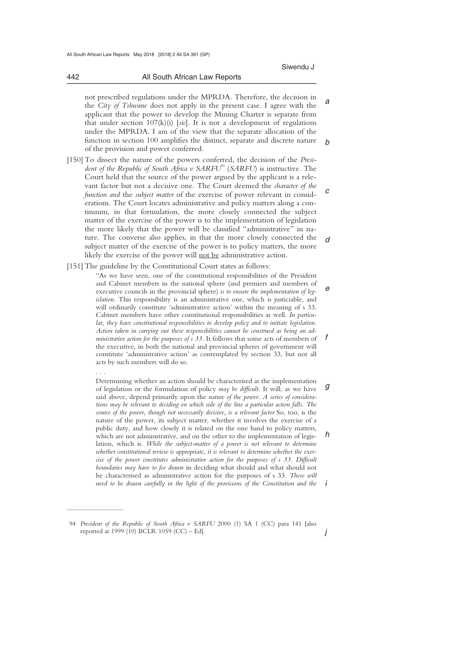442 All South African Law Reports

*a b*  not prescribed regulations under the MPRDA. Therefore, the decision in the *City of Tshwane* does not apply in the present case. I agree with the applicant that the power to develop the Mining Charter is separate from that under section 107(k)(i) [*sic*]. It is not a development of regulations under the MPRDA. I am of the view that the separate allocation of the function in section 100 amplifies the distinct, separate and discrete nature of the provision and power conferred.

\_\_\_\_\_\_\_\_\_\_\_\_\_\_\_\_\_\_\_\_\_\_\_\_\_\_\_\_\_\_\_\_\_\_\_\_\_\_\_\_\_\_\_\_\_\_\_\_\_\_\_\_\_\_\_\_\_\_\_\_\_\_\_\_\_\_\_\_\_\_\_\_\_\_\_\_\_\_\_\_\_\_\_\_\_\_\_\_\_\_\_\_\_\_\_\_\_\_\_\_\_\_\_\_\_\_\_\_\_\_\_\_\_\_\_\_\_\_\_\_\_\_\_\_\_\_\_\_\_\_\_\_\_\_\_\_\_\_\_\_\_\_\_

- *c d*  [150] To dissect the nature of the powers conferred, the decision of the *President of the Republic of South Africa v SARFU<sup>94</sup> (SARFU)* is instructive. The Court held that the source of the power argued by the applicant is a relevant factor but not a decisive one. The Court deemed the *character of the function and* the *subject matter* of the exercise of power relevant in considerations. The Court locates administrative and policy matters along a continuum, in that formulation, the more closely connected the subject matter of the exercise of the power is to the implementation of legislation the more likely that the power will be classified "administrative" in nature. The converse also applies, in that the more closely connected the subject matter of the exercise of the power is to policy matters, the more likely the exercise of the power will not be administrative action.
- [151] The guideline by the Constitutional Court states as follows:

. . .

 $\overline{\phantom{a}}$  , where  $\overline{\phantom{a}}$ 

*e f*  "As we have seen, one of the constitutional responsibilities of the President and Cabinet members in the national sphere (and premiers and members of executive councils in the provincial sphere) *is to ensure the implementation of legislation*. This responsibility is an administrative one, which is justiciable, and will ordinarily constitute 'administrative action' within the meaning of s 33. Cabinet members have other constitutional responsibilities as well. *In particular, they have constitutional responsibilities to develop policy and to initiate legislation. Action taken in carrying out these responsibilities cannot he construed as being an administrative action for the purposes of s 33.* It follows that some acts of members of the executive, in both the national and provincial spheres of government will constitute 'administrative action' as contemplated by section 33, but not all acts by such members will do so.

*g h i*  Determining whether an action should be characterised as the implementation of legislation or the formulation of policy *may be difficult.* It will, as we have said above, depend primarily upon the *nature of the power. A series of considerations may be relevant to deciding on which side of the line a particular action falls. The source of the power, though not necessarily decisive, is a relevant factor* So, too, is the nature of the power, its subject matter, whether it involves the exercise of a public duty, and how closely it is related on the one hand to policy matters, which are not administrative, and on the other to the implementation of legislation, which is. *While the subject-matter of a power is not relevant to determine whether constitutional review is appropriate, it is relevant to determine whether the exercise of the power constitutes administrative action for the purposes of s 33. Difficult boundaries may have to fee drawn* in deciding what should and what should not be characterised as administrative action for the purposes of s 33. *These will need to he drawn carefully in the light of the provisions of the Constitution and the* 

 <sup>94</sup> *President of the Republic of South Africa v SARFU* 2000 (1) SA 1 (CC) para 141 [also reported at 1999 (10) BCLR 1059 (CC) – Ed].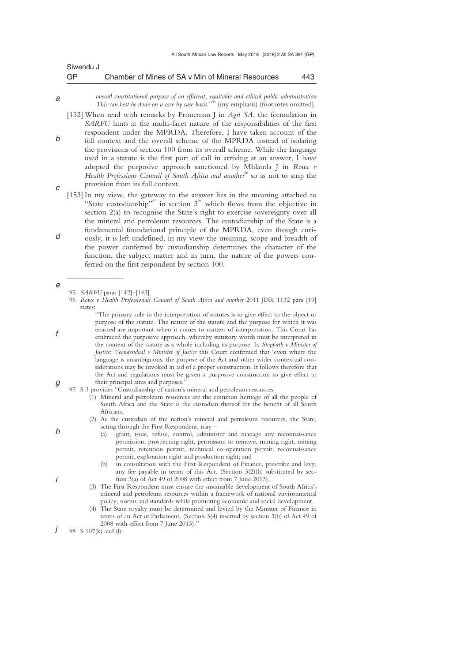| Siwendu J |                                                   |     |
|-----------|---------------------------------------------------|-----|
| GP        | Chamber of Mines of SA v Min of Mineral Resources | 443 |

- *a overall constitutional purpose of an efficient, equitable and ethical public administration This can best be done on a case by case basis*."95 (my emphasis) (footnotes omitted).
- *b c*  [152] When read with remarks by Froneman J in *Agri SA*, the formulation in *SARFU* hints at the multi-facet nature of the responsibilities of the first respondent under the MPRDA. Therefore, I have taken account of the full context and the overall scheme of the MPRDA instead of isolating the provisions of section 100 from its overall scheme. While the language used in a statute is the first port of call in arriving at an answer, I have adopted the purposive approach sanctioned by Mhlantla J in *Roux v Health Professions Council of South Africa and another*<sup>96</sup> so as not to strip the provision from its full context.
- *d*  [153] In my view, the gateway to the answer lies in the meaning attached to "State custodianship"<sup>97</sup> in section  $3^{98}$  which flows from the objective in section 2(a) to recognise the State's right to exercise sovereignty over all the mineral and petroleum resources. The custodianship of the State is a fundamental foundational principle of the MPRDA, even though curiously, it is left undefined, in my view the meaning, scope and breadth of the power conferred by custodianship determines the character of the function, the subject matter and in turn, the nature of the powers conferred on the first respondent by section 100.

 $\overline{\phantom{a}}$  , where  $\overline{\phantom{a}}$ 

- (1) Mineral and petroleum resources are the common heritage of all the people of South Africa and the State is the custodian thereof for the benefit of all South Africans.
- (2) As the custodian of the nation's mineral and petroleum resources, the State, acting through the First Respondent, may –
	- (a) grant, issue, refuse, control, administer and manage any reconnaissance permission, prospecting right, permission to remove, mining right, mining permit, retention permit, technical co-operation permit, reconnaissance permit, exploration right and production right; and
	- (b) in consultation with the First Respondent of Finance, prescribe and levy, any fee payable in terms of this Act. (Section 3(2)(b) substituted by section 3(a) of Act 49 of 2008 with effect from 7 June 2013).
- (3) The First Respondent must ensure the sustainable development of South Africa's mineral and petroleum resources within a framework of national environmental policy, norms and standards while promoting economic and social development.
- (4) The State royalty must be determined and levied by the Minister of Finance in terms of an Act of Parliament. (Section 3(4) inserted by section 3(b) of Act 49 of 2008 with effect from 7 June 2013).
- *j*  98 S 107(k) and (l).

*g* 

*e* 

*f* 

*h* 

 <sup>95</sup> *SARFU* paras [142]–[143].

<sup>96</sup> *Roux v Health Professionals Council of South Africa and another* 2011 JDR 1132 para [19] states:

 <sup>&</sup>quot;The primary rule in the interpretation of statutes is to give effect to the object or purpose of the statute. The nature of the statute and the purpose for which it was enacted are important when it comes to matters of interpretation. This Court has embraced the purposive approach, whereby statutory words must be interpreted in the context of the statute as a whole including its purpose. In *Stopforth v Minister of Justice*; *Veendendaal v Minister of Justice* this Court confirmed that 'even where the language is unambiguous, the purpose of the Act and other wider contextual considerations may be invoked in aid of a proper construction. It follows therefore that the Act and regulations must be given a purposive construction to give effect to their principal aims and purposes."

 <sup>97</sup> S 3 provides "Custodianship of nation's mineral and petroleum resources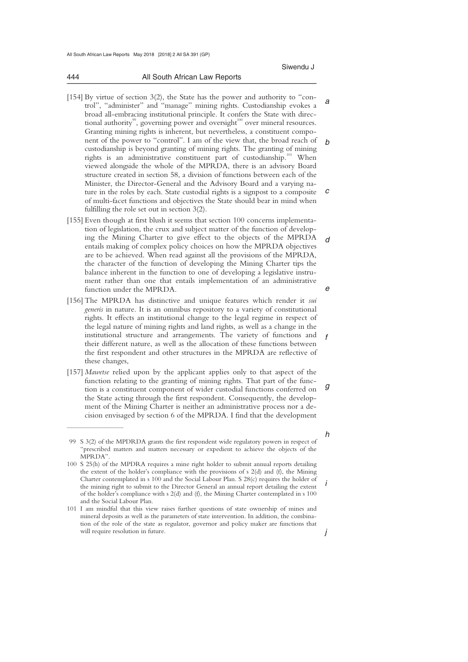444 All South African Law Reports

*a b c*  [154] By virtue of section 3(2), the State has the power and authority to "control", "administer" and "manage" mining rights. Custodianship evokes a broad all-embracing institutional principle. It confers the State with directional authority<sup>99</sup>, governing power and oversight<sup>100</sup> over mineral resources. Granting mining rights is inherent, but nevertheless, a constituent component of the power to "control". I am of the view that, the broad reach of custodianship is beyond granting of mining rights. The granting of mining rights is an administrative constituent part of custodianship.<sup>101</sup> When viewed alongside the whole of the MPRDA, there is an advisory Board structure created in section 58, a division of functions between each of the Minister, the Director-General and the Advisory Board and a varying nature in the roles by each. State custodial rights is a signpost to a composite of multi-facet functions and objectives the State should bear in mind when fulfilling the role set out in section 3(2).

\_\_\_\_\_\_\_\_\_\_\_\_\_\_\_\_\_\_\_\_\_\_\_\_\_\_\_\_\_\_\_\_\_\_\_\_\_\_\_\_\_\_\_\_\_\_\_\_\_\_\_\_\_\_\_\_\_\_\_\_\_\_\_\_\_\_\_\_\_\_\_\_\_\_\_\_\_\_\_\_\_\_\_\_\_\_\_\_\_\_\_\_\_\_\_\_\_\_\_\_\_\_\_\_\_\_\_\_\_\_\_\_\_\_\_\_\_\_\_\_\_\_\_\_\_\_\_\_\_\_\_\_\_\_\_\_\_\_\_\_\_\_\_

- *d e*  [155] Even though at first blush it seems that section 100 concerns implementation of legislation, the crux and subject matter of the function of developing the Mining Charter to give effect to the objects of the MPRDA entails making of complex policy choices on how the MPRDA objectives are to be achieved. When read against all the provisions of the MPRDA, the character of the function of developing the Mining Charter tips the balance inherent in the function to one of developing a legislative instrument rather than one that entails implementation of an administrative function under the MPRDA.
- [156] The MPRDA has distinctive and unique features which render it *sui generis* in nature. It is an omnibus repository to a variety of constitutional rights. It effects an institutional change to the legal regime in respect of the legal nature of mining rights and land rights, as well as a change in the institutional structure and arrangements. The variety of functions and their different nature, as well as the allocation of these functions between the first respondent and other structures in the MPRDA are reflective of these changes,
- *g*  [157] *Mawetse* relied upon by the applicant applies only to that aspect of the function relating to the granting of mining rights. That part of the function is a constituent component of wider custodial functions conferred on the State acting through the first respondent. Consequently, the development of the Mining Charter is neither an administrative process nor a decision envisaged by section 6 of the MPRDA. I find that the development

 $\overline{\phantom{a}}$  , where  $\overline{\phantom{a}}$ 

*i* 

*h* 

*f* 

 <sup>99</sup> S 3(2) of the MPDRDA grants the first respondent wide regulatory powers in respect of "prescribed matters and matters necessary or expedient to achieve the objects of the MPRDA".

<sup>100</sup> S 25(h) of the MPDRA requires a mine right holder to submit annual reports detailing the extent of the holder's compliance with the provisions of s 2(d) and (f), the Mining Charter contemplated in s 100 and the Social Labour Plan. S 28(c) requires the holder of the mining right to submit to the Director General an annual report detailing the extent of the holder's compliance with s 2(d) and (f), the Mining Charter contemplated in s 100 and the Social Labour Plan.

<sup>101</sup> I am mindful that this view raises further questions of state ownership of mines and mineral deposits as well as the parameters of state intervention. In addition, the combination of the role of the state as regulator, governor and policy maker are functions that will require resolution in future.

*j*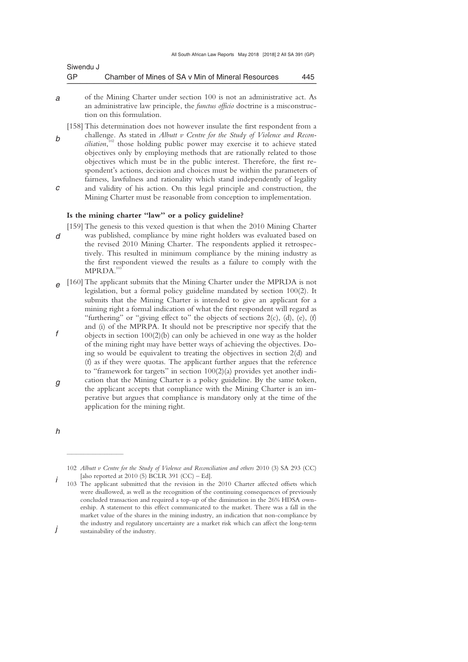| Siwendu J |                                                   |     |
|-----------|---------------------------------------------------|-----|
| GP        | Chamber of Mines of SA v Min of Mineral Resources | 445 |

- *a*  of the Mining Charter under section 100 is not an administrative act. As an administrative law principle, the *functus officio* doctrine is a misconstruction on this formulation.
- *b c*  [158] This determination does not however insulate the first respondent from a challenge. As stated in *Albutt v Centre for the Study of Violence and Reconciliation*, 102 those holding public power may exercise it to achieve stated objectives only by employing methods that are rationally related to those objectives which must be in the public interest. Therefore, the first respondent's actions, decision and choices must be within the parameters of fairness, lawfulness and rationality which stand independently of legality and validity of his action. On this legal principle and construction, the
	- Mining Charter must be reasonable from conception to implementation.

## **Is the mining charter "law" or a policy guideline?**

- *d*  [159] The genesis to this vexed question is that when the 2010 Mining Charter was published, compliance by mine right holders was evaluated based on the revised 2010 Mining Charter. The respondents applied it retrospectively. This resulted in minimum compliance by the mining industry as the first respondent viewed the results as a failure to comply with the MPRDA.<sup>1</sup>
- *e f*  [160] The applicant submits that the Mining Charter under the MPRDA is not legislation, but a formal policy guideline mandated by section 100(2). It submits that the Mining Charter is intended to give an applicant for a mining right a formal indication of what the first respondent will regard as "furthering" or "giving effect to" the objects of sections 2(c), (d), (e), (f) and (i) of the MPRPA. It should not be prescriptive nor specify that the objects in section 100(2)(b) can only be achieved in one way as the holder of the mining right may have better ways of achieving the objectives. Do-
- *g*  ing so would be equivalent to treating the objectives in section 2(d) and (f) as if they were quotas. The applicant further argues that the reference to "framework for targets" in section 100(2)(a) provides yet another indication that the Mining Charter is a policy guideline. By the same token,
- the applicant accepts that compliance with the Mining Charter is an imperative but argues that compliance is mandatory only at the time of the application for the mining right.

*h* 

 $\frac{1}{2}$  , and the set of the set of the set of the set of the set of the set of the set of the set of the set of the set of the set of the set of the set of the set of the set of the set of the set of the set of the set

<sup>102</sup> *Albutt v Centre for the Study of Violence and Reconciliation and others* 2010 (3) SA 293 (CC) [also reported at  $2010$  (5) BCLR 391 (CC) – Ed].

*i*  103 The applicant submitted that the revision in the 2010 Charter affected offsets which were disallowed, as well as the recognition of the continuing consequences of previously concluded transaction and required a top-up of the diminution in the 26% HDSA ownership. A statement to this effect communicated to the market. There was a fall in the market value of the shares in the mining industry, an indication that non-compliance by the industry and regulatory uncertainty are a market risk which can affect the long-term sustainability of the industry.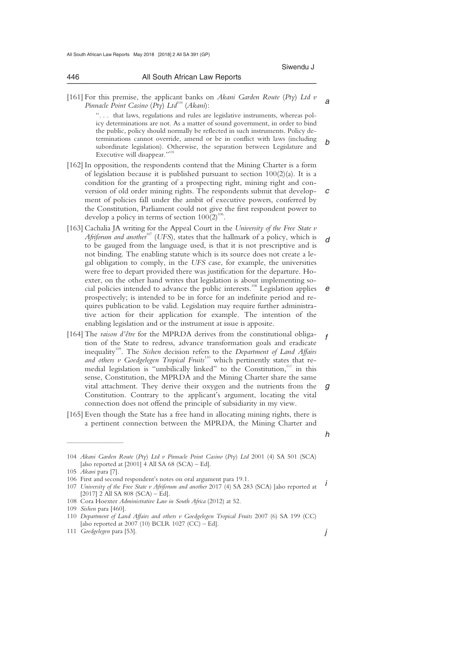*a*  [161] For this premise, the applicant banks on *Akani Garden Route* (*Pty*) *Ltd v Pinnacle Point Casino* (*Pty*)  $Ltd^{104}$  (*Akani*):

\_\_\_\_\_\_\_\_\_\_\_\_\_\_\_\_\_\_\_\_\_\_\_\_\_\_\_\_\_\_\_\_\_\_\_\_\_\_\_\_\_\_\_\_\_\_\_\_\_\_\_\_\_\_\_\_\_\_\_\_\_\_\_\_\_\_\_\_\_\_\_\_\_\_\_\_\_\_\_\_\_\_\_\_\_\_\_\_\_\_\_\_\_\_\_\_\_\_\_\_\_\_\_\_\_\_\_\_\_\_\_\_\_\_\_\_\_\_\_\_\_\_\_\_\_\_\_\_\_\_\_\_\_\_\_\_\_\_\_\_\_\_\_

*b*  ". . . that laws, regulations and rules are legislative instruments, whereas policy determinations are not. As a matter of sound government, in order to bind the public, policy should normally be reflected in such instruments. Policy determinations cannot override, amend or be in conflict with laws (including subordinate legislation). Otherwise, the separation between Legislature and Executive will disappear.'

- *c*  [162] In opposition, the respondents contend that the Mining Charter is a form of legislation because it is published pursuant to section  $100(2)(a)$ . It is a condition for the granting of a prospecting right, mining right and conversion of old order mining rights. The respondents submit that development of policies fall under the ambit of executive powers, conferred by the Constitution, Parliament could not give the first respondent power to develop a policy in terms of section  $100(2)^{106}$ .
- *d e*  [163] Cachalia JA writing for the Appeal Court in the *University of the Free State v Afriforum and another*107 (*UFS*), states that the hallmark of a policy, which is to be gauged from the language used, is that it is not prescriptive and is not binding. The enabling statute which is its source does not create a legal obligation to comply, in the *UFS* case, for example, the universities were free to depart provided there was justification for the departure. Hoexter, on the other hand writes that legislation is about implementing social policies intended to advance the public interests.108 Legislation applies prospectively; is intended to be in force for an indefinite period and requires publication to be valid. Legislation may require further administrative action for their application for example. The intention of the enabling legislation and or the instrument at issue is apposite.
- *f g*  [164] The *raison d'être* for the MPRDA derives from the constitutional obligation of the State to redress, advance transformation goals and eradicate inequality<sup>109</sup>. The *Sishen* decision refers to the *Department of Land Affairs* and others v Goedgelegen Tropical Fruits<sup>110</sup> which pertinently states that remedial legislation is "umbilically linked" to the Constitution,<sup>111</sup> in this sense, Constitution, the MPRDA and the Mining Charter share the same vital attachment. They derive their oxygen and the nutrients from the Constitution. Contrary to the applicant's argument, locating the vital connection does not offend the principle of subsidiarity in my view.
- [165] Even though the State has a free hand in allocating mining rights, there is a pertinent connection between the MPRDA, the Mining Charter and

 $\overline{\phantom{a}}$  , where  $\overline{\phantom{a}}$ 

*h* 

*j* 

Siwendu J

<sup>104</sup> *Akani Garden Route* (*Pty*) *Ltd v Pinnacle Point Casino* (*Pty*) *Ltd* 2001 (4) SA 501 (SCA) [also reported at  $[2001]$  4 All SA 68 (SCA) – Ed].

<sup>105</sup> *Akani* para [7].

<sup>106</sup> First and second respondent's notes on oral argument para 19.1.

<sup>107</sup> *University of the Free State v Afriforum and another* 2017 (4) SA 283 (SCA) [also reported at  $\overline{I}$  $[2017]$  2 All SA 808 (SCA) – Ed].

<sup>108</sup> Cora Hoexter *Administrative Law in South Africa* (2012) at 52.

<sup>109</sup> *Sishen* para [460].

<sup>110</sup> *Department of Land Affairs and others v Goedgelegen Tropical Fruits* 2007 (6) SA 199 (CC) [also reported at 2007 (10) BCLR 1027 (CC) – Ed].

<sup>111</sup> *Goedgelegen* para [53].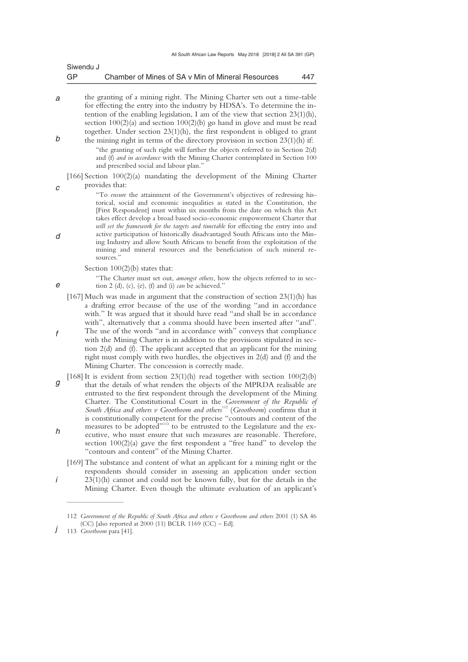| Siwendu J |                                                   |     |
|-----------|---------------------------------------------------|-----|
| GP        | Chamber of Mines of SA v Min of Mineral Resources | 447 |

*a b*  the granting of a mining right. The Mining Charter sets out a time-table for effecting the entry into the industry by HDSA's. To determine the intention of the enabling legislation, I am of the view that section 23(1)(h), section 100(2)(a) and section 100(2)(b) go hand in glove and must be read together. Under section 23(1)(h), the first respondent is obliged to grant the mining right in terms of the directory provision in section 23(1)(h) if:

"the granting of such right will further the objects referred to in Section 2(d) and (f) *and in accordance* with the Mining Charter contemplated in Section 100 and prescribed social and labour plan."

[166] Section 100(2)(a) mandating the development of the Mining Charter provides that:

"To *ensure* the attainment of the Government's objectives of redressing historical, social and economic inequalities as stated in the Constitution, the [First Respondent] must within six months from the date on which this Act takes effect develop a broad based socio-economic empowerment Charter that *will set the framework for the targets and timetable* for effecting the entry into and active participation of historically disadvantaged South Africans into the Mining Industry and allow South Africans to benefit from the exploitation of the mining and mineral resources and the beneficiation of such mineral resources."

Section  $100(2)(b)$  states that:

"The Charter must set out, *amongst others*, how the objects referred to in section 2 (d), (c), (e), (f) and (i) *can* be achieved."

- [167] Much was made in argument that the construction of section 23(1)(h) has a drafting error because of the use of the wording "and in accordance with." It was argued that it should have read "and shall be in accordance with", alternatively that a comma should have been inserted after "and". The use of the words "and in accordance with" conveys that compliance with the Mining Charter is in addition to the provisions stipulated in section 2(d) and (f). The applicant accepted that an applicant for the mining right must comply with two hurdles, the objectives in 2(d) and (f) and the Mining Charter. The concession is correctly made.
- *g h*  [168] It is evident from section  $23(1)(h)$  read together with section  $100(2)(b)$ that the details of what renders the objects of the MPRDA realisable are entrusted to the first respondent through the development of the Mining Charter. The Constitutional Court in the *Government of the Republic of South Africa and others v Grootboom and others*112 (*Grootboom*) confirms that it is constitutionally competent for the precise "contours and content of the measures to be adopted"<sup>113</sup> to be entrusted to the Legislature and the executive, who must ensure that such measures are reasonable. Therefore, section 100(2)(a) gave the first respondent a "free hand" to develop the "contours and content" of the Mining Charter.
	- [169] The substance and content of what an applicant for a mining right or the respondents should consider in assessing an application under section  $23(1)$ (h) cannot and could not be known fully, but for the details in the Mining Charter. Even though the ultimate evaluation of an applicant's

 $\frac{1}{2}$  , and the set of the set of the set of the set of the set of the set of the set of the set of the set of the set of the set of the set of the set of the set of the set of the set of the set of the set of the set

*d* 

*e* 

*f* 

*i* 

*c* 

<sup>112</sup> *Government of the Republic of South Africa and others v Grootboom and others* 2001 (1) SA 46 (CC) [also reported at  $2000$  (11) BCLR 1169 (CC) – Ed].

*j*  113 *Grootboom* para [41].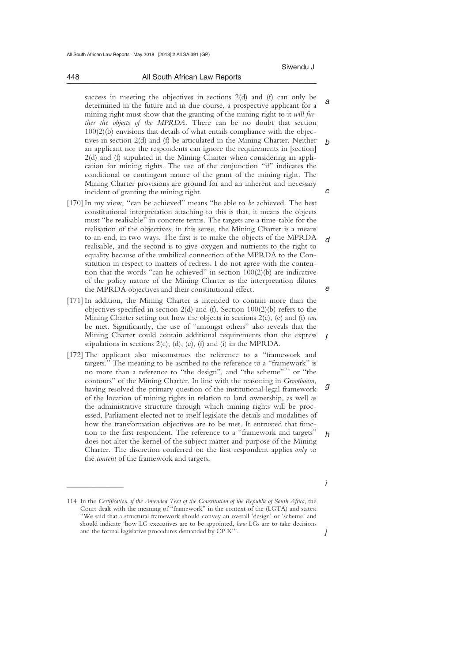*a b c*  success in meeting the objectives in sections 2(d) and (f) can only be determined in the future and in due course, a prospective applicant for a mining right must show that the granting of the mining right to it *will further the objects of the MPRDA.* There can be no doubt that section 100(2)(b) envisions that details of what entails compliance with the objectives in section 2(d) and (f) be articulated in the Mining Charter. Neither an applicant nor the respondents can ignore the requirements in [section] 2(d) and (f) stipulated in the Mining Charter when considering an application for mining rights. The use of the conjunction "if" indicates the conditional or contingent nature of the grant of the mining right. The Mining Charter provisions are ground for and an inherent and necessary incident of granting the mining right.

- *d e*  [170] In my view, "can be achieved" means "be able to *be* achieved. The best constitutional interpretation attaching to this is that, it means the objects must "be realisable" in concrete terms. The targets are a time-table for the realisation of the objectives, in this sense, the Mining Charter is a means to an end, in two ways. The first is to make the objects of the MPRDA realisable, and the second is to give oxygen and nutrients to the right to equality because of the umbilical connection of the MPRDA to the Constitution in respect to matters of redress. I do not agree with the contention that the words "can he achieved" in section  $100(2)(b)$  are indicative of the policy nature of the Mining Charter as the interpretation dilutes the MPRDA objectives and their constitutional effect.
- [171] In addition, the Mining Charter is intended to contain more than the objectives specified in section 2(d) and (f). Section 100(2)(b) refers to the Mining Charter setting out how the objects in sections 2(c), (e) and (i) *can*  be met. Significantly, the use of "amongst others" also reveals that the Mining Charter could contain additional requirements than the express stipulations in sections  $2(c)$ , (d), (e), (f) and (i) in the MPRDA.
- *g h*  [172] The applicant also misconstrues the reference to a "framework and targets." The meaning to be ascribed to the reference to a "framework" is no more than a reference to "the design", and "the scheme"<sup>114</sup> or "the contours" of the Mining Charter. In line with the reasoning in *Grootboom*, having resolved the primary question of the institutional legal framework of the location of mining rights in relation to land ownership, as well as the administrative structure through which mining rights will be processed, Parliament elected not to itself legislate the details and modalities of how the transformation objectives are to be met. It entrusted that function to the first respondent. The reference to a "framework and targets" does not alter the kernel of the subject matter and purpose of the Mining Charter. The discretion conferred on the first respondent applies *only* to the *content* of the framework and targets.

 $\overline{\phantom{a}}$  , where  $\overline{\phantom{a}}$ 

*i* 

*f* 

<sup>114</sup> In the *Certification of the Amended Text of the Constitution of the Republic of South Africa*, the Court dealt with the meaning of "framework" in the context of the (LGTA) and states: "We said that a structural framework should convey an overall 'design' or 'scheme' and should indicate 'how LG executives are to be appointed, *how* LGs are to take decisions and the formal legislative procedures demanded by CP X'".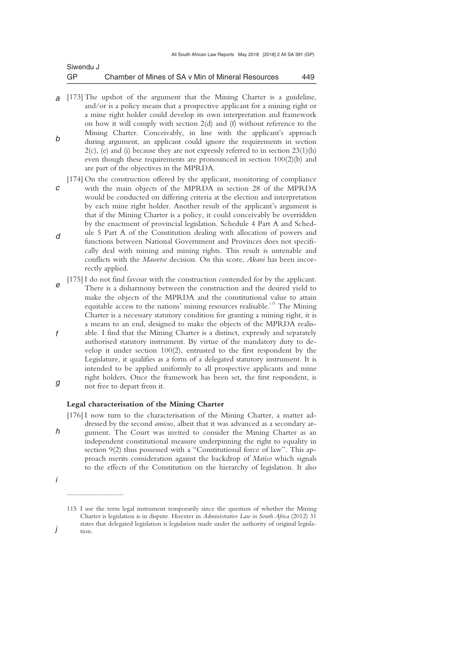| Siwendu J |                                                   |      |
|-----------|---------------------------------------------------|------|
| GP        | Chamber of Mines of SA v Min of Mineral Resources | 449. |

- *a*  [173] The upshot of the argument that the Mining Charter is a guideline, *b*  and/or is a policy means that a prospective applicant for a mining right or a mine right holder could develop its own interpretation and framework on how it will comply with section 2(d) and (f) without reference to the Mining Charter. Conceivably, in line with the applicant's approach during argument, an applicant could ignore the requirements in section  $2(c)$ , (e) and (i) because they are not expressly referred to in section  $23(1)(h)$ even though these requirements are pronounced in section 100(2)(b) and are part of the objectives in the MPRDA.
- *c d*  [174] On the construction offered by the applicant, monitoring of compliance with the main objects of the MPRDA in section 28 of the MPRDA would be conducted on differing criteria at the election and interpretation by each mine right holder. Another result of the applicant's argument is that if the Mining Charter is a policy, it could conceivably be overridden by the enactment of provincial legislation. Schedule 4 Part A and Schedule 5 Part A of the Constitution dealing with allocation of powers and functions between National Government and Provinces does not specifically deal with mining and mining rights. This result is untenable and conflicts with the *Mawetse* decision. On this score, *Akani* has been incorrectly applied.
- *e f g*  [175] I do not find favour with the construction contended for by the applicant. There is a disharmony between the construction and the desired yield to make the objects of the MPRDA and the constitutional value to attain equitable access to the nations' mining resources realisable.<sup>115</sup> The Mining Charter is a necessary statutory condition for granting a mining right, it is a means to an end, designed to make the objects of the MPRDA realisable. I find that the Mining Charter is a distinct, expressly and separately authorised statutory instrument. By virtue of the mandatory duty to develop it under section 100(2), entrusted to the first respondent by the Legislature, it qualifies as a form of a delegated statutory instrument. It is intended to be applied uniformly to all prospective applicants and mine right holders. Once the framework has been set, the first respondent, is not free to depart from it.

### **Legal characterisation of the Mining Charter**

*h*  [176] I now turn to the characterisation of the Mining Charter, a matter addressed by the second *amicus*, albeit that it was advanced as a secondary argument. The Court was invited to consider the Mining Charter as an independent constitutional measure underpinning the right to equality in section 9(2) thus possessed with a "Constitutional force of law". This approach merits consideration against the backdrop of *Matiso* which signals to the effects of the Constitution on the hierarchy of legislation. It also

 $\overline{\phantom{a}}$  , where  $\overline{\phantom{a}}$ 

*i* 

<sup>115</sup> I use the term legal instrument temporarily since the question of whether the Mining Charter is legislation is in dispute. Hoexter in *Administrative Law in South Africa* (2012) 31 states that delegated legislation is legislation made under the authority of original legislation.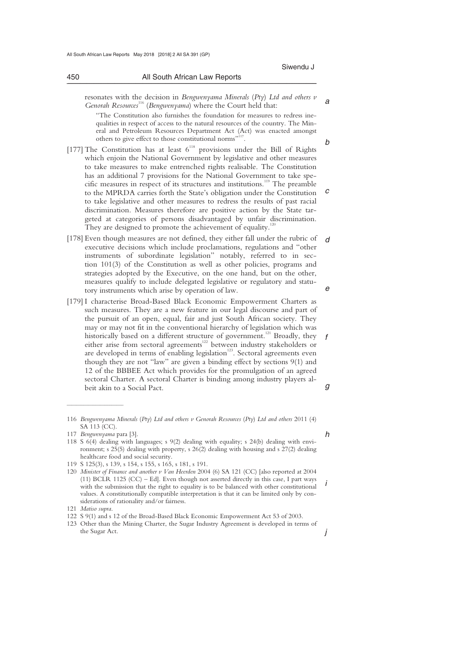resonates with the decision in *Bengwenyama Minerals* (*Pty*) *Ltd and others v Genorah Resources*116 (*Bengwenyama*) where the Court held that:

"The Constitution also furnishes the foundation for measures to redress inequalities in respect of access to the natural resources of the country. The Mineral and Petroleum Resources Department Act (Act) was enacted amongst others to give effect to those constitutional norms" .

- *c*  [177] The Constitution has at least  $6^{118}$  provisions under the Bill of Rights which enjoin the National Government by legislative and other measures to take measures to make entrenched rights realisable. The Constitution has an additional 7 provisions for the National Government to take specific measures in respect of its structures and institutions.<sup>119</sup> The preamble to the MPRDA carries forth the State's obligation under the Constitution to take legislative and other measures to redress the results of past racial discrimination. Measures therefore are positive action by the State targeted at categories of persons disadvantaged by unfair discrimination. They are designed to promote the achievement of equality.<sup>12</sup>
- *d e*  [178] Even though measures are not defined, they either fall under the rubric of executive decisions which include proclamations, regulations and "other instruments of subordinate legislation" notably, referred to in section 101(3) of the Constitution as well as other policies, programs and strategies adopted by the Executive, on the one hand, but on the other, measures qualify to include delegated legislative or regulatory and statutory instruments which arise by operation of law.
- *f g*  [179] I characterise Broad-Based Black Economic Empowerment Charters as such measures. They are a new feature in our legal discourse and part of the pursuit of an open, equal, fair and just South African society. They may or may not fit in the conventional hierarchy of legislation which was historically based on a different structure of government.<sup>121</sup> Broadly, they either arise from sectoral agreements<sup>122</sup> between industry stakeholders or are developed in terms of enabling legislation<sup>123</sup>. Sectoral agreements even though they are not "law" are given a binding effect by sections 9(1) and 12 of the BBBEE Act which provides for the promulgation of an agreed sectoral Charter. A sectoral Charter is binding among industry players albeit akin to a Social Pact.

 $\overline{\phantom{a}}$  , where  $\overline{\phantom{a}}$ 

*h* 

*j* 

*a* 

*b* 

<sup>116</sup> *Bengwenyama Minerals* (*Pty*) *Ltd and others v Genorah Resources* (*Pty*) *Ltd and others* 2011 (4) SA 113 (CC).

<sup>117</sup> *Bengwenyama* para [3].

<sup>118</sup> S 6(4) dealing with languages; s 9(2) dealing with equality; s 24(b) dealing with environment; s 25(5) dealing with property, s 26(2) dealing with housing and s 27(2) dealing healthcare food and social security.

<sup>119</sup> S 125(3), s 139, s 154, s 155, s 165, s 181, s 191.

*i*  120 *Minister of Finance and another v Van Heerden* 2004 (6) SA 121 (CC) [also reported at 2004  $(11)$  BCLR 1125  $(CC)$  – Ed]. Even though not asserted directly in this case, I part ways with the submission that the right to equality is to be balanced with other constitutional values. A constitutionally compatible interpretation is that it can be limited only by considerations of rationality and/or fairness.

<sup>121</sup> *Matiso supra*.

<sup>122</sup> S 9(1) and s 12 of the Broad-Based Black Economic Empowerment Act 53 of 2003.

<sup>123</sup> Other than the Mining Charter, the Sugar Industry Agreement is developed in terms of the Sugar Act.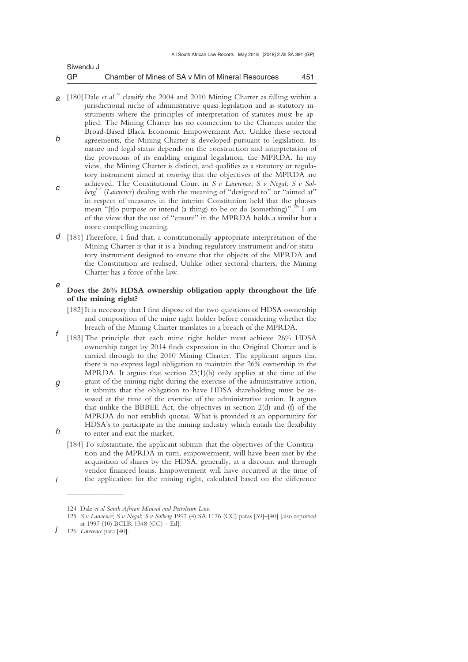| Siwendu J |                                                   |     |
|-----------|---------------------------------------------------|-----|
| GP        | Chamber of Mines of SA v Min of Mineral Resources | 451 |

- *a* [180] Dale *et al*<sup>124</sup> classify the 2004 and 2010 Mining Charter as falling within a *b*  jurisdictional niche of administrative quasi-legislation and as statutory instruments where the principles of interpretation of statutes must be applied. The Mining Charter has no connection to the Charters under the Broad-Based Black Economic Empowerment Act. Unlike these sectoral agreements, the Mining Charter is developed pursuant to legislation. Its nature and legal status depends on the construction and interpretation of the provisions of its enabling original legislation, the MPRDA. In my view, the Mining Charter is distinct, and qualifies as a statutory or regulatory instrument aimed at *ensuring* that the objectives of the MPRDA are
- *c*  achieved. The Constitutional Court in *S v Lawrence*; *S v Negal*; *S v Solberg*<sup>125</sup> (*Lawrence*) dealing with the meaning of "designed to" or "aimed at" in respect of measures in the interim Constitution held that the phrases mean "[t]o purpose or intend (a thing) to be or do (something)".<sup>126</sup> I am of the view that the use of "ensure" in the MPRDA holds a similar but a more compelling meaning.
- *d*  [181] Therefore, I find that, a constitutionally appropriate interpretation of the Mining Charter is that it is a binding regulatory instrument and/or statutory instrument designed to ensure that the objects of the MPRDA and the Constitution are realised, Unlike other sectoral charters, the Mining Charter has a force of the law.

### *e*  **Does the 26% HDSA ownership obligation apply throughout the life of the mining right?**

- [182] It is necessary that I first dispose of the two questions of HDSA ownership and composition of the mine right holder before considering whether the breach of the Mining Charter translates to a breach of the MPRDA.
- *f*  [183] The principle that each mine right holder must achieve 26% HDSA ownership target by 2014 finds expression in the Original Charter and is carried through to the 2010 Mining Charter. The applicant argues that there is no express legal obligation to maintain the 26% ownership in the MPRDA. It argues that section 23(1)(h) only applies at the time of the
- *g h*  grant of the mining right during the exercise of the administrative action, it submits that the obligation to have HDSA shareholding must be assessed at the time of the exercise of the administrative action. It argues that unlike the BBBEE Act, the objectives in section 2(d) and (f) of the MPRDA do not establish quotas. What is provided is an opportunity for HDSA's to participate in the mining industry which entails the flexibility to enter and exit the market.
	- [184] To substantiate, the applicant submits that the objectives of the Constitution and the MPRDA in turn, empowerment, will have been met by the acquisition of shares by the HDSA, generally, at a discount and through vendor financed loans. Empowerment will have occurred at the time of the application for the mining right, calculated based on the difference

 $\overline{\phantom{a}}$  , where  $\overline{\phantom{a}}$ 

<sup>124</sup> Dale *et al South African Mineral and Petroleum Law*.

<sup>125</sup> *S v Lawrence*; *S v Negal*; *S v Solberg* 1997 (4) SA 1176 (CC) paras [39]–[40] [also reported at 1997 (10) BCLR 1348 (CC) – Ed].

*j*  126 *Lawrence* para [40].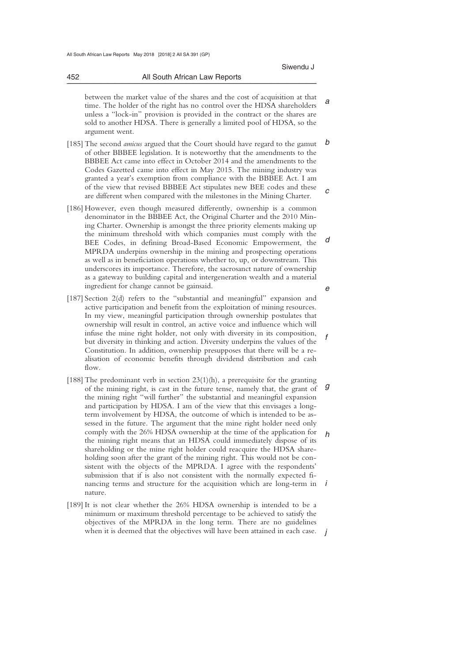### 452 All South African Law Reports \_\_\_\_\_\_\_\_\_\_\_\_\_\_\_\_\_\_\_\_\_\_\_\_\_\_\_\_\_\_\_\_\_\_\_\_\_\_\_\_\_\_\_\_\_\_\_\_\_\_\_\_\_\_\_\_\_\_\_\_\_\_\_\_\_\_\_\_\_\_\_\_\_\_\_\_\_\_\_\_\_\_\_\_\_\_\_\_\_\_\_\_\_\_\_\_\_\_\_\_\_\_\_\_\_\_\_\_\_\_\_\_\_\_\_\_\_\_\_\_\_\_\_\_\_\_\_\_\_\_\_\_\_\_\_\_\_\_\_\_\_\_\_

*a*  between the market value of the shares and the cost of acquisition at that time. The holder of the right has no control over the HDSA shareholders unless a "lock-in" provision is provided in the contract or the shares are sold to another HDSA. There is generally a limited pool of HDSA, so the argument went.

- *b c*  [185] The second *amicus* argued that the Court should have regard to the gamut of other BBBEE legislation. It is noteworthy that the amendments to the BBBEE Act came into effect in October 2014 and the amendments to the Codes Gazetted came into effect in May 2015. The mining industry was granted a year's exemption from compliance with the BBBEE Act. I am of the view that revised BBBEE Act stipulates new BEE codes and these are different when compared with the milestones in the Mining Charter.
- *d e*  [186] However, even though measured differently, ownership is a common denominator in the BBBEE Act, the Original Charter and the 2010 Mining Charter. Ownership is amongst the three priority elements making up the minimum threshold with which companies must comply with the BEE Codes, in defining Broad-Based Economic Empowerment, the MPRDA underpins ownership in the mining and prospecting operations as well as in beneficiation operations whether to, up, or downstream. This underscores its importance. Therefore, the sacrosanct nature of ownership as a gateway to building capital and intergeneration wealth and a material ingredient for change cannot be gainsaid.
- *f*  [187] Section 2(d) refers to the "substantial and meaningful" expansion and active participation and benefit from the exploitation of mining resources. In my view, meaningful participation through ownership postulates that ownership will result in control, an active voice and influence which will infuse the mine right holder, not only with diversity in its composition, but diversity in thinking and action. Diversity underpins the values of the Constitution. In addition, ownership presupposes that there will be a realisation of economic benefits through dividend distribution and cash flow.
- *g h i*  [188] The predominant verb in section  $23(1)(h)$ , a prerequisite for the granting of the mining right, is cast in the future tense, namely that, the grant of the mining right "will further" the substantial and meaningful expansion and participation by HDSA. I am of the view that this envisages a longterm involvement by HDSA, the outcome of which is intended to be assessed in the future. The argument that the mine right holder need only comply with the 26% HDSA ownership at the time of the application for the mining right means that an HDSA could immediately dispose of its shareholding or the mine right holder could reacquire the HDSA shareholding soon after the grant of the mining right. This would not be consistent with the objects of the MPRDA. I agree with the respondents' submission that if is also not consistent with the normally expected financing terms and structure for the acquisition which are long-term in nature.
- when it is deemed that the objectives will have been attained in each case.  $j$ [189] It is not clear whether the 26% HDSA ownership is intended to be a minimum or maximum threshold percentage to be achieved to satisfy the objectives of the MPRDA in the long term. There are no guidelines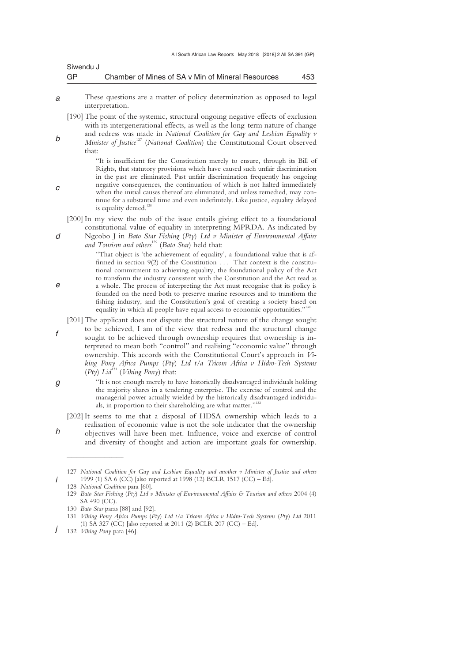| Siwendu J |                                                   |     |
|-----------|---------------------------------------------------|-----|
| GP        | Chamber of Mines of SA v Min of Mineral Resources | 453 |

*a*  These questions are a matter of policy determination as opposed to legal interpretation.

[190] The point of the systemic, structural ongoing negative effects of exclusion with its intergenerational effects, as well as the long-term nature of change and redress was made in *National Coalition for Gay and Lesbian Equality v Minister of Justice*<sup>127</sup> (*National Coalition*) the Constitutional Court observed

that:

"It is insufficient for the Constitution merely to ensure, through its Bill of Rights, that statutory provisions which have caused such unfair discrimination in the past are eliminated. Past unfair discrimination frequently has ongoing negative consequences, the continuation of which is not halted immediately when the initial causes thereof are eliminated, and unless remedied, may continue for a substantial time and even indefinitely. Like justice, equality delayed is equality denied.<sup>11</sup>

- [200] In my view the nub of the issue entails giving effect to a foundational constitutional value of equality in interpreting MPRDA. As indicated by
- Ngcobo J in *Bato Star Fishing* (*Pty*) *Ltd v Minister of Environmental Affairs*  and Tourism and others<sup>129</sup> (Bato Star) held that:

"That object is 'the achievement of equality', a foundational value that is affirmed in section 9(2) of the Constitution . . . That context is the constitutional commitment to achieving equality, the foundational policy of the Act to transform the industry consistent with the Constitution and the Act read as a whole. The process of interpreting the Act must recognise that its policy is founded on the need both to preserve marine resources and to transform the fishing industry, and the Constitution's goal of creating a society based on equality in which all people have equal access to economic opportunities."<sup>1</sup>

[201] The applicant does not dispute the structural nature of the change sought to be achieved, I am of the view that redress and the structural change sought to be achieved through ownership requires that ownership is interpreted to mean both "control" and realising "economic value" through ownership. This accords with the Constitutional Court's approach in *Viking Pony Africa Pumps* (*Pty*) *Ltd t/a Tricom Africa v Hidro-Tech Systems*   $(Pty)$  *Lid*<sup>131</sup> (*Viking Pony*) that:

"It is not enough merely to have historically disadvantaged individuals holding the majority shares in a tendering enterprise. The exercise of control and the managerial power actually wielded by the historically disadvantaged individuals, in proportion to their shareholding are what matter."<sup>132</sup>

[202] It seems to me that a disposal of HDSA ownership which leads to a realisation of economic value is not the sole indicator that the ownership objectives will have been met. Influence, voice and exercise of control and diversity of thought and action are important goals for ownership.

 $\frac{1}{2}$  , and the set of the set of the set of the set of the set of the set of the set of the set of the set of the set of the set of the set of the set of the set of the set of the set of the set of the set of the set

*d* 

*c* 

*b* 

*f* 

*e* 

*g* 

*h* 

<sup>127</sup> *National Coalition for Gay and Lesbian Equality and another v Minister of Justice and others*  1999 (1) SA 6 (CC) [also reported at 1998 (12) BCLR 1517 (CC) – Ed].

<sup>128</sup> *National Coalition* para [60]. 129 *Bato Star Fishing* (*Pty*) *Ltd v Minister of Environmental Affairs & Tourism and others* 2004 (4) SA 490 (CC).

<sup>130</sup> *Bato Star* paras [88] and [92].

<sup>131</sup> *Viking Pony Africa Pumps* (*Pty*) *Ltd t/a Tricom Africa v Hidro-Tech Systems* (*Pty*) *Ltd* 2011 (1) SA 327 (CC) [also reported at 2011 (2) BCLR 207 (CC) – Ed].

*j*  132 *Viking Pony* para [46].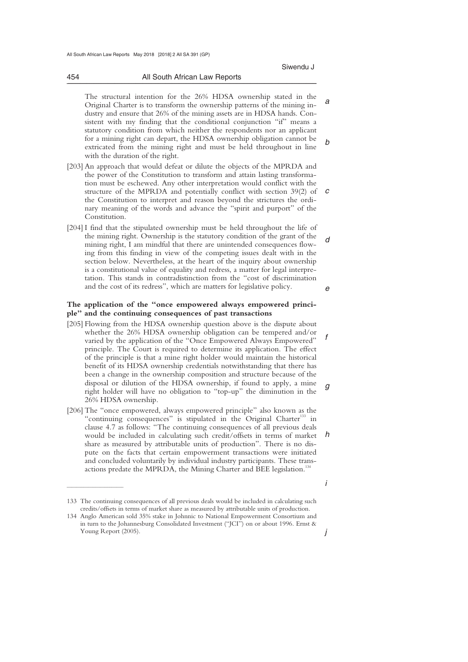*a* 

*b* 

 The structural intention for the 26% HDSA ownership stated in the Original Charter is to transform the ownership patterns of the mining industry and ensure that 26% of the mining assets are in HDSA hands. Consistent with my finding that the conditional conjunction "if" means a statutory condition from which neither the respondents nor an applicant for a mining right can depart, the HDSA ownership obligation cannot be extricated from the mining right and must be held throughout in line with the duration of the right.

- *c*  [203] An approach that would defeat or dilute the objects of the MPRDA and the power of the Constitution to transform and attain lasting transformation must be eschewed. Any other interpretation would conflict with the structure of the MPRDA and potentially conflict with section 39(2) of the Constitution to interpret and reason beyond the strictures the ordinary meaning of the words and advance the "spirit and purport" of the Constitution.
- *d e*  [204] I find that the stipulated ownership must be held throughout the life of the mining right. Ownership is the statutory condition of the grant of the mining right, I am mindful that there are unintended consequences flowing from this finding in view of the competing issues dealt with in the section below. Nevertheless, at the heart of the inquiry about ownership is a constitutional value of equality and redress, a matter for legal interpretation. This stands in contradistinction from the "cost of discrimination and the cost of its redress", which are matters for legislative policy.

### **The application of the "once empowered always empowered principle" and the continuing consequences of past transactions**

- *f g*  [205] Flowing from the HDSA ownership question above is the dispute about whether the 26% HDSA ownership obligation can be tempered and/or varied by the application of the "Once Empowered Always Empowered" principle. The Court is required to determine its application. The effect of the principle is that a mine right holder would maintain the historical benefit of its HDSA ownership credentials notwithstanding that there has been a change in the ownership composition and structure because of the disposal or dilution of the HDSA ownership, if found to apply, a mine right holder will have no obligation to "top-up" the diminution in the 26% HDSA ownership.
- *h*  [206] The "once empowered, always empowered principle" also known as the "continuing consequences" is stipulated in the Original Charter<sup>133</sup> in clause 4.7 as follows: "The continuing consequences of all previous deals would be included in calculating such credit/offsets in terms of market share as measured by attributable units of production". There is no dispute on the facts that certain empowerment transactions were initiated and concluded voluntarily by individual industry participants. These transactions predate the MPRDA, the Mining Charter and BEE legislation.<sup>134</sup>

 $\overline{\phantom{a}}$  , where  $\overline{\phantom{a}}$ 

454 All South African Law Reports \_\_\_\_\_\_\_\_\_\_\_\_\_\_\_\_\_\_\_\_\_\_\_\_\_\_\_\_\_\_\_\_\_\_\_\_\_\_\_\_\_\_\_\_\_\_\_\_\_\_\_\_\_\_\_\_\_\_\_\_\_\_\_\_\_\_\_\_\_\_\_\_\_\_\_\_\_\_\_\_\_\_\_\_\_\_\_\_\_\_\_\_\_\_\_\_\_\_\_\_\_\_\_\_\_\_\_\_\_\_\_\_\_\_\_\_\_\_\_\_\_\_\_\_\_\_\_\_\_\_\_\_\_\_\_\_\_\_\_\_\_\_\_

*i* 

<sup>133</sup> The continuing consequences of all previous deals would be included in calculating such credits/offsets in terms of market share as measured by attributable units of production.

<sup>134</sup> Anglo American sold 35% stake in Johnnic to National Empowerment Consortium and in turn to the Johannesburg Consolidated Investment ("JCI") on or about 1996. Ernst & Young Report (2005).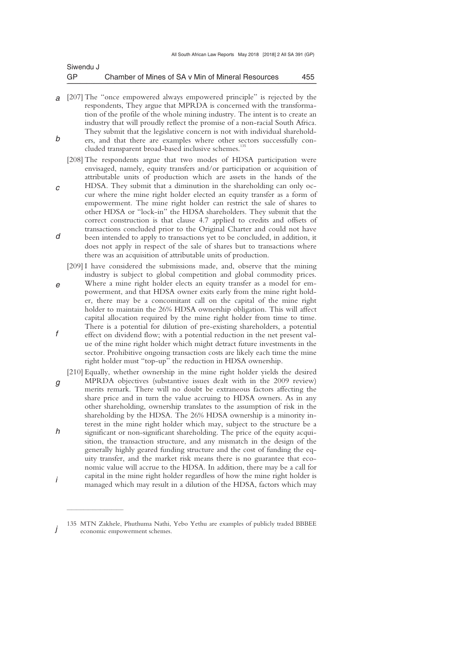| Siwendu J |                                                   |     |
|-----------|---------------------------------------------------|-----|
| GP        | Chamber of Mines of SA v Min of Mineral Resources | 455 |

- *a*  [207] The "once empowered always empowered principle" is rejected by the *b*  respondents, They argue that MPRDA is concerned with the transformation of the profile of the whole mining industry. The intent is to create an industry that will proudly reflect the promise of a non-racial South Africa. They submit that the legislative concern is not with individual shareholders, and that there are examples where other sectors successfully con
	- cluded transparent broad-based inclusive schemes.<sup>13</sup>
	- [208] The respondents argue that two modes of HDSA participation were envisaged, namely, equity transfers and/or participation or acquisition of attributable units of production which are assets in the hands of the
- *c d*  HDSA. They submit that a diminution in the shareholding can only occur where the mine right holder elected an equity transfer as a form of empowerment. The mine right holder can restrict the sale of shares to other HDSA or "lock-in" the HDSA shareholders. They submit that the correct construction is that clause 4.7 applied to credits and offsets of transactions concluded prior to the Original Charter and could not have been intended to apply to transactions yet to be concluded, in addition, it does not apply in respect of the sale of shares but to transactions where there was an acquisition of attributable units of production.
- *e f*  [209] I have considered the submissions made, and, observe that the mining industry is subject to global competition and global commodity prices. Where a mine right holder elects an equity transfer as a model for empowerment, and that HDSA owner exits early from the mine right holder, there may be a concomitant call on the capital of the mine right holder to maintain the 26% HDSA ownership obligation. This will affect capital allocation required by the mine right holder from time to time. There is a potential for dilution of pre-existing shareholders, a potential effect on dividend flow; with a potential reduction in the net present value of the mine right holder which might detract future investments in the sector. Prohibitive ongoing transaction costs are likely each time the mine right holder must "top-up" the reduction in HDSA ownership.
- *g h i*  [210] Equally, whether ownership in the mine right holder yields the desired MPRDA objectives (substantive issues dealt with in the 2009 review) merits remark. There will no doubt be extraneous factors affecting the share price and in turn the value accruing to HDSA owners. As in any other shareholding, ownership translates to the assumption of risk in the shareholding by the HDSA. The 26% HDSA ownership is a minority interest in the mine right holder which may, subject to the structure be a significant or non-significant shareholding. The price of the equity acquisition, the transaction structure, and any mismatch in the design of the generally highly geared funding structure and the cost of funding the equity transfer, and the market risk means there is no guarantee that economic value will accrue to the HDSA. In addition, there may be a call for capital in the mine right holder regardless of how the mine right holder is managed which may result in a dilution of the HDSA, factors which may

 $\overline{\phantom{a}}$  , where  $\overline{\phantom{a}}$ 

*j*  135 MTN Zakhele, Phuthuma Nathi, Yebo Yethu are examples of publicly traded BBBEE economic empowerment schemes.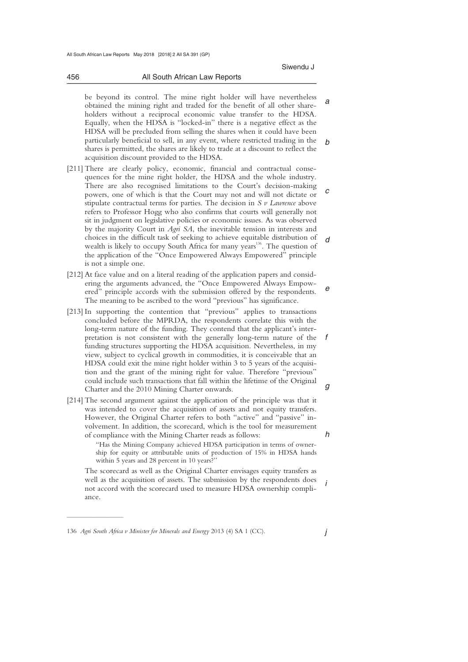Siwendu J

#### 456 All South African Law Reports \_\_\_\_\_\_\_\_\_\_\_\_\_\_\_\_\_\_\_\_\_\_\_\_\_\_\_\_\_\_\_\_\_\_\_\_\_\_\_\_\_\_\_\_\_\_\_\_\_\_\_\_\_\_\_\_\_\_\_\_\_\_\_\_\_\_\_\_\_\_\_\_\_\_\_\_\_\_\_\_\_\_\_\_\_\_\_\_\_\_\_\_\_\_\_\_\_\_\_\_\_\_\_\_\_\_\_\_\_\_\_\_\_\_\_\_\_\_\_\_\_\_\_\_\_\_\_\_\_\_\_\_\_\_\_\_\_\_\_\_\_\_\_

*a b*  be beyond its control. The mine right holder will have nevertheless obtained the mining right and traded for the benefit of all other shareholders without a reciprocal economic value transfer to the HDSA. Equally, when the HDSA is "locked-in" there is a negative effect as the HDSA will be precluded from selling the shares when it could have been particularly beneficial to sell, in any event, where restricted trading in the shares is permitted, the shares are likely to trade at a discount to reflect the acquisition discount provided to the HDSA.

- *c d*  [211] There are clearly policy, economic, financial and contractual consequences for the mine right holder, the HDSA and the whole industry. There are also recognised limitations to the Court's decision-making powers, one of which is that the Court may not and will not dictate or stipulate contractual terms for parties. The decision in *S v Lawrence* above refers to Professor Hogg who also confirms that courts will generally not sit in judgment on legislative policies or economic issues. As was observed by the majority Court in *Agri SA*, the inevitable tension in interests and choices in the difficult task of seeking to achieve equitable distribution of wealth is likely to occupy South Africa for many years<sup>136</sup>. The question of the application of the "Once Empowered Always Empowered" principle is not a simple one.
- *e*  [212] At face value and on a literal reading of the application papers and considering the arguments advanced, the "Once Empowered Always Empowered" principle accords with the submission offered by the respondents. The meaning to be ascribed to the word "previous" has significance.
- *f g*  [213] In supporting the contention that "previous" applies to transactions concluded before the MPRDA, the respondents correlate this with the long-term nature of the funding. They contend that the applicant's interpretation is not consistent with the generally long-term nature of the funding structures supporting the HDSA acquisition. Nevertheless, in my view, subject to cyclical growth in commodities, it is conceivable that an HDSA could exit the mine right holder within 3 to 5 years of the acquisition and the grant of the mining right for value. Therefore "previous" could include such transactions that fall within the lifetime of the Original Charter and the 2010 Mining Charter onwards.
- [214] The second argument against the application of the principle was that it was intended to cover the acquisition of assets and not equity transfers. However, the Original Charter refers to both "active" and "passive" involvement. In addition, the scorecard, which is the tool for measurement of compliance with the Mining Charter reads as follows:

"Has the Mining Company achieved HDSA participation in terms of ownership for equity or attributable units of production of 15% in HDSA hands within 5 years and 28 percent in 10 years?''

*i*  The scorecard as well as the Original Charter envisages equity transfers as well as the acquisition of assets. The submission by the respondents does not accord with the scorecard used to measure HDSA ownership compliance.

 $\overline{\phantom{a}}$  , where  $\overline{\phantom{a}}$ 

*j* 

*h* 

<sup>136</sup> *Agri South Africa v Minister for Minerals and Energy* 2013 (4) SA 1 (CC).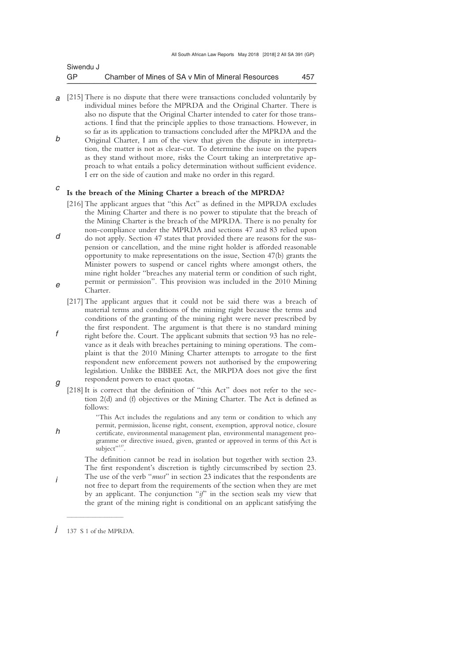| Siwendu J |                                                   |     |
|-----------|---------------------------------------------------|-----|
| GP        | Chamber of Mines of SA v Min of Mineral Resources | 457 |

- *a*  [215] There is no dispute that there were transactions concluded voluntarily by *b*  individual mines before the MPRDA and the Original Charter. There is also no dispute that the Original Charter intended to cater for those transactions. I find that the principle applies to those transactions. However, in so far as its application to transactions concluded after the MPRDA and the Original Charter, I am of the view that given the dispute in interpreta-
- tion, the matter is not as clear-cut. To determine the issue on the papers as they stand without more, risks the Court taking an interpretative approach to what entails a policy determination without sufficient evidence. I err on the side of caution and make no order in this regard.

### *c*  **Is the breach of the Mining Charter a breach of the MPRDA?**

- [216] The applicant argues that "this Act" as defined in the MPRDA excludes the Mining Charter and there is no power to stipulate that the breach of the Mining Charter is the breach of the MPRDA. There is no penalty for non-compliance under the MPRDA and sections 47 and 83 relied upon
- *d e*  do not apply. Section 47 states that provided there are reasons for the suspension or cancellation, and the mine right holder is afforded reasonable opportunity to make representations on the issue, Section 47(b) grants the Minister powers to suspend or cancel rights where amongst others, the mine right holder "breaches any material term or condition of such right, permit or permission"*.* This provision was included in the 2010 Mining Charter.
- *g*  [217] The applicant argues that it could not be said there was a breach of material terms and conditions of the mining right because the terms and conditions of the granting of the mining right were never prescribed by the first respondent. The argument is that there is no standard mining right before the. Court. The applicant submits that section 93 has no relevance as it deals with breaches pertaining to mining operations. The complaint is that the 2010 Mining Charter attempts to arrogate to the first respondent new enforcement powers not authorised by the empowering legislation. Unlike the BBBEE Act, the MRPDA does not give the first respondent powers to enact quotas.
- [218] It is correct that the definition of "this Act" does not refer to the section 2(d) and (f) objectives or the Mining Charter. The Act is defined as follows:

"This Act includes the regulations and any term or condition to which any permit, permission, license right, consent, exemption, approval notice, closure certificate, environmental management plan, environmental management programme or directive issued, given, granted or approved in terms of this Act is subject",137 .

 The definition cannot be read in isolation but together with section 23. The first respondent's discretion is tightly circumscribed by section 23. The use of the verb "*must*" in section 23 indicates that the respondents are not free to depart from the requirements of the section when they are met by an applicant. The conjunction "*if*" in the section seals my view that the grant of the mining right is conditional on an applicant satisfying the

*f* 

*h* 

*j*   $\overline{\phantom{a}}$  , where  $\overline{\phantom{a}}$ 137 S 1 of the MPRDA.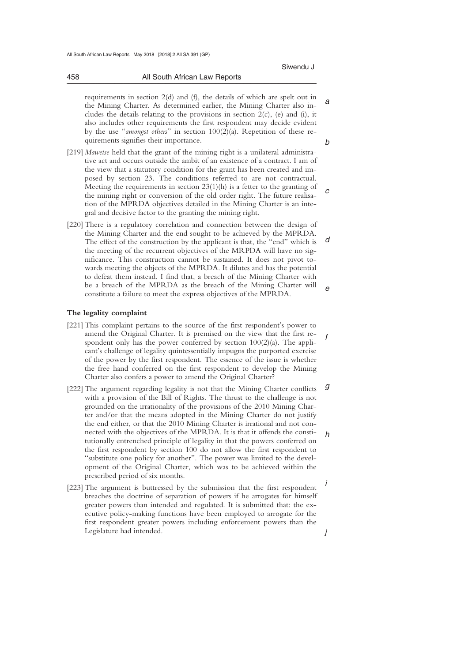requirements in section 2(d) and (f), the details of which are spelt out in the Mining Charter. As determined earlier, the Mining Charter also includes the details relating to the provisions in section  $2(c)$ , (e) and (i), it also includes other requirements the first respondent may decide evident by the use "*amongst others*" in section 100(2)(a). Repetition of these requirements signifies their importance.

- *c*  [219] *Mawetse* held that the grant of the mining right is a unilateral administrative act and occurs outside the ambit of an existence of a contract. I am of the view that a statutory condition for the grant has been created and imposed by section 23. The conditions referred to are not contractual. Meeting the requirements in section  $23(1)(h)$  is a fetter to the granting of the mining right or conversion of the old order right. The future realisation of the MPRDA objectives detailed in the Mining Charter is an integral and decisive factor to the granting the mining right.
- *d e*  [220] There is a regulatory correlation and connection between the design of the Mining Charter and the end sought to be achieved by the MPRDA. The effect of the construction by the applicant is that, the "end" which is the meeting of the recurrent objectives of the MRPDA will have no significance. This construction cannot be sustained. It does not pivot towards meeting the objects of the MPRDA. It dilutes and has the potential to defeat them instead. I find that, a breach of the Mining Charter with be a breach of the MPRDA as the breach of the Mining Charter will constitute a failure to meet the express objectives of the MPRDA.

### **The legality complaint**

- *f*  [221] This complaint pertains to the source of the first respondent's power to amend the Original Charter. It is premised on the view that the first respondent only has the power conferred by section  $100(2)(a)$ . The applicant's challenge of legality quintessentially impugns the purported exercise of the power by the first respondent. The essence of the issue is whether the free hand conferred on the first respondent to develop the Mining Charter also confers a power to amend the Original Charter?
- *g h*  [222] The argument regarding legality is not that the Mining Charter conflicts with a provision of the Bill of Rights. The thrust to the challenge is not grounded on the irrationality of the provisions of the 2010 Mining Charter and/or that the means adopted in the Mining Charter do not justify the end either, or that the 2010 Mining Charter is irrational and not connected with the objectives of the MPRDA. It is that it offends the constitutionally entrenched principle of legality in that the powers conferred on the first respondent by section 100 do not allow the first respondent to "substitute one policy for another". The power was limited to the development of the Original Charter, which was to be achieved within the prescribed period of six months.
- *i j*  [223] The argument is buttressed by the submission that the first respondent breaches the doctrine of separation of powers if he arrogates for himself greater powers than intended and regulated. It is submitted that: the executive policy-making functions have been employed to arrogate for the first respondent greater powers including enforcement powers than the Legislature had intended.

458 All South African Law Reports \_\_\_\_\_\_\_\_\_\_\_\_\_\_\_\_\_\_\_\_\_\_\_\_\_\_\_\_\_\_\_\_\_\_\_\_\_\_\_\_\_\_\_\_\_\_\_\_\_\_\_\_\_\_\_\_\_\_\_\_\_\_\_\_\_\_\_\_\_\_\_\_\_\_\_\_\_\_\_\_\_\_\_\_\_\_\_\_\_\_\_\_\_\_\_\_\_\_\_\_\_\_\_\_\_\_\_\_\_\_\_\_\_\_\_\_\_\_\_\_\_\_\_\_\_\_\_\_\_\_\_\_\_\_\_\_\_\_\_\_\_\_\_

*b* 

*a*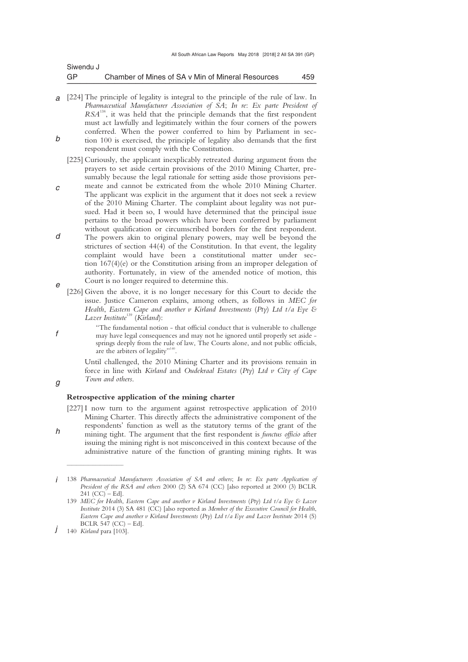| Siwendu J |                                                   |     |
|-----------|---------------------------------------------------|-----|
| GP        | Chamber of Mines of SA v Min of Mineral Resources | 459 |

- *a*  [224] The principle of legality is integral to the principle of the rule of law. In *b Pharmaceutical Manufacturer Association of SA*; *In re*: *Ex parte President of RSA*138, it was held that the principle demands that the first respondent must act lawfully and legitimately within the four corners of the powers conferred. When the power conferred to him by Parliament in section 100 is exercised, the principle of legality also demands that the first respondent must comply with the Constitution.
	- [225] Curiously, the applicant inexplicably retreated during argument from the prayers to set aside certain provisions of the 2010 Mining Charter, presumably because the legal rationale for setting aside those provisions per-
- *c*  meate and cannot be extricated from the whole 2010 Mining Charter. The applicant was explicit in the argument that it does not seek a review of the 2010 Mining Charter. The complaint about legality was not pursued. Had it been so, I would have determined that the principal issue pertains to the broad powers which have been conferred by parliament without qualification or circumscribed borders for the first respondent.
- *d e*  The powers akin to original plenary powers, may well be beyond the strictures of section 44(4) of the Constitution. In that event, the legality complaint would have been a constitutional matter under section 167(4)(e) or the Constitution arising from an improper delegation of authority. Fortunately, in view of the amended notice of motion, this Court is no longer required to determine this.
- [226] Given the above, it is no longer necessary for this Court to decide the issue. Justice Cameron explains, among others, as follows in *MEC for Health*, *Eastern Cape and another v Kirland Investments* (*Pty*) *Ltd t/a Eye & Lazer Institute*<sup>139</sup> (*Kirland*):
	- "The fundamental notion that official conduct that is vulnerable to challenge may have legal consequences and may not he ignored until properly set aside springs deeply from the rule of law, The Courts alone, and not public officials, are the arbiters of legality"<sup>14</sup> .

 Until challenged, the 2010 Mining Charter and its provisions remain in force in line with *Kirland* and *Oudekraal Estates* (*Pty*) *Ltd v City of Cape Town and others*.

## *g*

*h* 

*f* 

## **Retrospective application of the mining charter**

[227] I now turn to the argument against retrospective application of 2010 Mining Charter. This directly affects the administrative component of the respondents' function as well as the statutory terms of the grant of the mining tight. The argument that the first respondent is *functus officio* after issuing the mining right is not misconceived in this context because of the administrative nature of the function of granting mining rights. It was

 $\overline{\phantom{a}}$  , where  $\overline{\phantom{a}}$ 

*i*  138 *Pharmaceutical Manufacturers Association of SA and others*; *In re*: *Ex parte Application of President of the RSA and others* 2000 (2) SA 674 (CC) [also reported at 2000 (3) BCLR  $241$  (CC) – Ed].

<sup>139</sup> *MEC for Health*, *Eastern Cape and another v Kirland Investments* (*Pty*) *Ltd t/a Eye & Lazer Institute* 2014 (3) SA 481 (CC) [also reported as *Member of the Executive Council for Health*, *Eastern Cape and another v Kirland Investments* (*Pty*) *Ltd t/a Eye and Lazer Institute* 2014 (5) BCLR  $54\overline{7}$  (CC) – Ed].

*j*  140 *Kirland* para [103].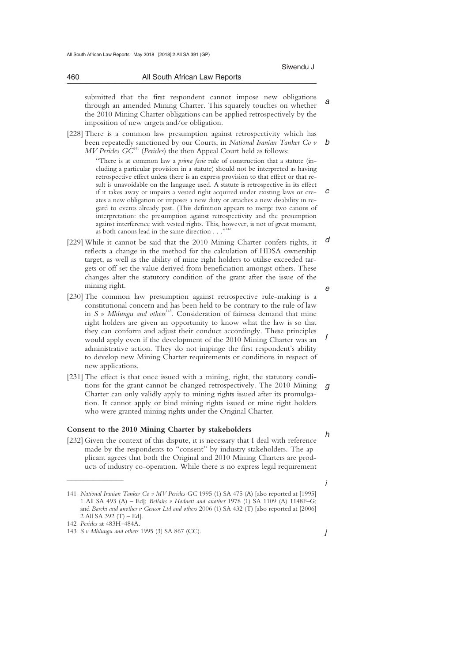460 All South African Law Reports

*a* 

 submitted that the first respondent cannot impose new obligations through an amended Mining Charter. This squarely touches on whether the 2010 Mining Charter obligations can be applied retrospectively by the imposition of new targets and/or obligation.

\_\_\_\_\_\_\_\_\_\_\_\_\_\_\_\_\_\_\_\_\_\_\_\_\_\_\_\_\_\_\_\_\_\_\_\_\_\_\_\_\_\_\_\_\_\_\_\_\_\_\_\_\_\_\_\_\_\_\_\_\_\_\_\_\_\_\_\_\_\_\_\_\_\_\_\_\_\_\_\_\_\_\_\_\_\_\_\_\_\_\_\_\_\_\_\_\_\_\_\_\_\_\_\_\_\_\_\_\_\_\_\_\_\_\_\_\_\_\_\_\_\_\_\_\_\_\_\_\_\_\_\_\_\_\_\_\_\_\_\_\_\_\_

*b*  [228] There is a common law presumption against retrospectivity which has been repeatedly sanctioned by our Courts, in *National Iranian Tanker Co v MV Pericles GC*141 (*Pericles*) the then Appeal Court held as follows:

> *c*  "There is at common law a *prima facie* rule of construction that a statute (including a particular provision in a statute) should not be interpreted as having retrospective effect unless there is an express provision to that effect or that result is unavoidable on the language used. A statute is retrospective in its effect if it takes away or impairs a vested right acquired under existing laws or creates a new obligation or imposes a new duty or attaches a new disability in regard to events already past. (This definition appears to merge two canons of interpretation: the presumption against retrospectivity and the presumption against interference with vested rights. This, however, is not of great moment, as both canons lead in the same direction . . ."<sup>142</sup>

- *d e*  [229] While it cannot be said that the 2010 Mining Charter confers rights, it reflects a change in the method for the calculation of HDSA ownership target, as well as the ability of mine right holders to utilise exceeded targets or off-set the value derived from beneficiation amongst others. These changes alter the statutory condition of the grant after the issue of the mining right.
- *f*  [230] The common law presumption against retrospective rule-making is a constitutional concern and has been held to be contrary to the rule of law in  $S$   $\nu$  Mhlungu and others<sup>143</sup>. Consideration of fairness demand that mine right holders are given an opportunity to know what the law is so that they can conform and adjust their conduct accordingly. These principles would apply even if the development of the 2010 Mining Charter was an administrative action. They do not impinge the first respondent's ability to develop new Mining Charter requirements or conditions in respect of new applications.
- *g*  [231] The effect is that once issued with a mining, right, the statutory conditions for the grant cannot be changed retrospectively. The 2010 Mining Charter can only validly apply to mining rights issued after its promulgation. It cannot apply or bind mining rights issued or mine right holders who were granted mining rights under the Original Charter.

### **Consent to the 2010 Mining Charter by stakeholders**

[232] Given the context of this dispute, it is necessary that I deal with reference made by the respondents to "consent" by industry stakeholders. The applicant agrees that both the Original and 2010 Mining Charters are products of industry co-operation. While there is no express legal requirement

 $\frac{1}{2}$  , and the set of the set of the set of the set of the set of the set of the set of the set of the set of the set of the set of the set of the set of the set of the set of the set of the set of the set of the set

*h* 

<sup>141</sup> *National Iranian Tanker Co v MV Pericles GC* 1995 (1) SA 475 (A) [also reported at [1995] 1 All SA 493 (A) – Ed]; *Bellairs v Hodnett and another* 1978 (1) SA 1109 (A) 1148F–G; and *Bareki and another v Gencor Ltd and others* 2006 (1) SA 432 (T) [also reported at [2006] 2 All SA 392 (T) – Ed].

<sup>142</sup> *Pericles* at 483H–484A.

<sup>143</sup> *S v Mhlungu and others* 1995 (3) SA 867 (CC).

*j*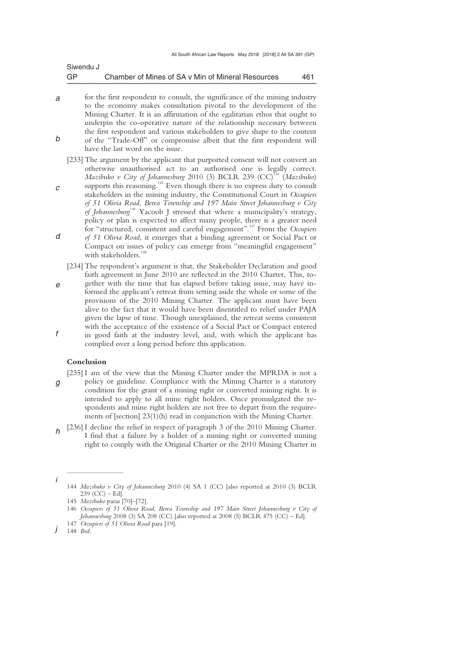| Siwendu J |                                                   |     |
|-----------|---------------------------------------------------|-----|
| GP        | Chamber of Mines of SA v Min of Mineral Resources | 461 |

- *a b*  for the first respondent to consult, the significance of the mining industry to the economy makes consultation pivotal to the development of the Mining Charter. It is an affirmation of the egalitarian ethos that ought to underpin the co-operative nature of the relationship necessary between the first respondent and various stakeholders to give shape to the content of the "Trade-Off" or compromise albeit that the first respondent will have the last word on the issue.
	- [233] The argument by the applicant that purported consent will not convert an otherwise unauthorised act to an authorised one is legally correct. *Mazibuko v City of Johannesburg* 2010 (3) BCLR 239 (CC)<sup>144</sup> (Mazibuko)
- *c d*  supports this reasoning.<sup>145</sup> Even though there is no express duty to consult stakeholders in the mining industry, the Constitutional Court in *Occupiers of 51 Olivia Road*, *Berea Township and 197 Main Street Johannesburg v City of Johannesburg*<sup>146</sup> Yacoob J stressed that where a municipality's strategy, policy or plan is expected to affect many people, there is a greater need for "structured, consistent and careful engagement".147 From the *Occupiers of 51 Olivia Road*, it emerges that a binding agreement or Social Pact or Compact on issues of policy can emerge from "meaningful engagement"
	- with stakeholders.<sup>148</sup>
- *e f*  [234] The respondent's argument is that, the Stakeholder Declaration and good faith agreement in June 2010 are reflected in the 2010 Charter, This, together with the time that has elapsed before taking issue, may have informed the applicant's retreat from setting aside the whole or some of the provisions of the 2010 Mining Charter. The applicant must have been alive to the fact that it would have been disentitled to relief under PAJA given the lapse of time. Though unexplained, the retreat seems consistent with the acceptance of the existence of a Social Pact or Compact entered in good faith at the industry level, and, with which the applicant has complied over a long period before this application.

### **Conclusion**

- *g*  [235] I am of the view that the Mining Charter under the MPRDA is not a policy or guideline. Compliance with the Mining Charter is a statutory condition for the grant of a mining right or converted mining right. It is intended to apply to all mine right holders. Once promulgated the respondents and mine right holders are not free to depart from the requirements of [section] 23(1)(h) read in conjunction with the Mining Charter.
- *h*  [236] I decline the relief in respect of paragraph 3 of the 2010 Mining Charter. I find that a failure by a holder of a mining right or converted mining right to comply with the Original Charter or the 2010 Mining Charter in

 $\overline{\phantom{a}}$  , where  $\overline{\phantom{a}}$ 

<sup>144</sup> *Mazibuko v City of Johannesburg* 2010 (4) SA 1 (CC) [also reported at 2010 (3) BCLR  $239$  (CC) – Ed].

<sup>145</sup> *Mazibuko* paras [70]–[72].

<sup>146</sup> *Occupiers of 51 Olivia Road*, *Berea Township and 197 Main Street Johannesburg v City of Johannesburg* 2008 (3) SA 208 (CC) [also reported at 2008 (5) BCLR 475 (CC) – Ed].

<sup>147</sup> *Occupiers of 51 Olivia Road* para [19].

*j*  148 *Ibid*.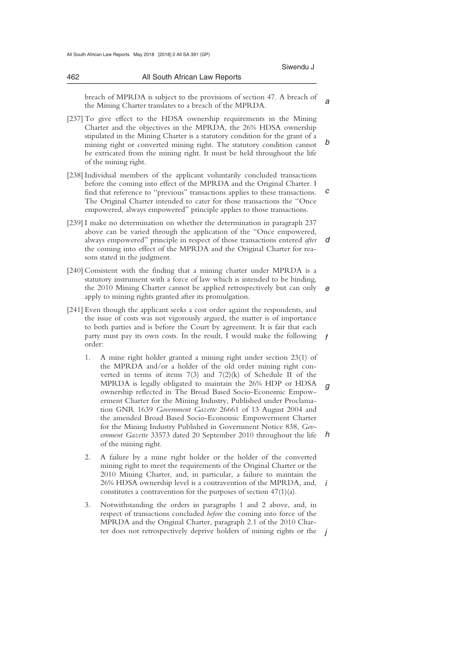462 All South African Law Reports

*a*  breach of MPRDA is subject to the provisions of section 47. A breach of the Mining Charter translates to a breach of the MPRDA.

\_\_\_\_\_\_\_\_\_\_\_\_\_\_\_\_\_\_\_\_\_\_\_\_\_\_\_\_\_\_\_\_\_\_\_\_\_\_\_\_\_\_\_\_\_\_\_\_\_\_\_\_\_\_\_\_\_\_\_\_\_\_\_\_\_\_\_\_\_\_\_\_\_\_\_\_\_\_\_\_\_\_\_\_\_\_\_\_\_\_\_\_\_\_\_\_\_\_\_\_\_\_\_\_\_\_\_\_\_\_\_\_\_\_\_\_\_\_\_\_\_\_\_\_\_\_\_\_\_\_\_\_\_\_\_\_\_\_\_\_\_\_\_

*b*  [237] To give effect to the HDSA ownership requirements in the Mining Charter and the objectives in the MPRDA, the 26% HDSA ownership stipulated in the Mining Charter is a statutory condition for the grant of a mining right or converted mining right. The statutory condition cannot be extricated from the mining right. It must be held throughout the life of the mining right.

*c*  [238] Individual members of the applicant voluntarily concluded transactions before the coming into effect of the MPRDA and the Original Charter. I find that reference to "previous" transactions applies to these transactions. The Original Charter intended to cater for those transactions the ''Once empowered, always empowered" principle applies to those transactions.

*d*  [239] I make no determination on whether the determination in paragraph 237 above can be varied through the application of the "Once empowered, always empowered" principle in respect of those transactions entered *after*  the coming into effect of the MPRDA and the Original Charter for reasons stated in the judgment.

*e*  [240] Consistent with the finding that a mining charter under MPRDA is a statutory instrument with a force of law which is intended to be binding, the 2010 Mining Charter cannot be applied retrospectively but can only apply to mining rights granted after its promulgation.

- *f*  [241] Even though the applicant seeks a cost order against the respondents, and the issue of costs was not vigorously argued, the matter is of importance to both parties and is before the Court by agreement. It is fair that each party must pay its own costs. In the result, I would make the following order:
	- *g h*  1. A mine right holder granted a mining right under section 23(1) of the MPRDA and/or a holder of the old order mining right converted in terms of items 7(3) and 7(2)(k) of Schedule II of the MPRDA is legally obligated to maintain the 26% HDP or HDSA ownership reflected in The Broad Based Socio-Economic Empowerment Charter for the Mining Industry, Published under Proclamation GNR 1639 *Government Gazette* 26661 of 13 August 2004 and the amended Broad Based Socio-Economic Empowerment Charter for the Mining Industry Published in Government Notice 838, *Government Gazette* 33573 dated 20 September 2010 throughout the life of the mining right.

*i*  2. A failure by a mine right holder or the holder of the converted mining right to meet the requirements of the Original Charter or the 2010 Mining Charter, and, in particular, a failure to maintain the 26% HDSA ownership level is a contravention of the MPRDA, and, constitutes a contravention for the purposes of section 47(1)(a).

ter does not retrospectively deprive holders of mining rights or the *j*  3. Notwithstanding the orders in paragraphs 1 and 2 above, and, in respect of transactions concluded *before* the coming into force of the MPRDA and the Original Charter, paragraph 2.1 of the 2010 Char-